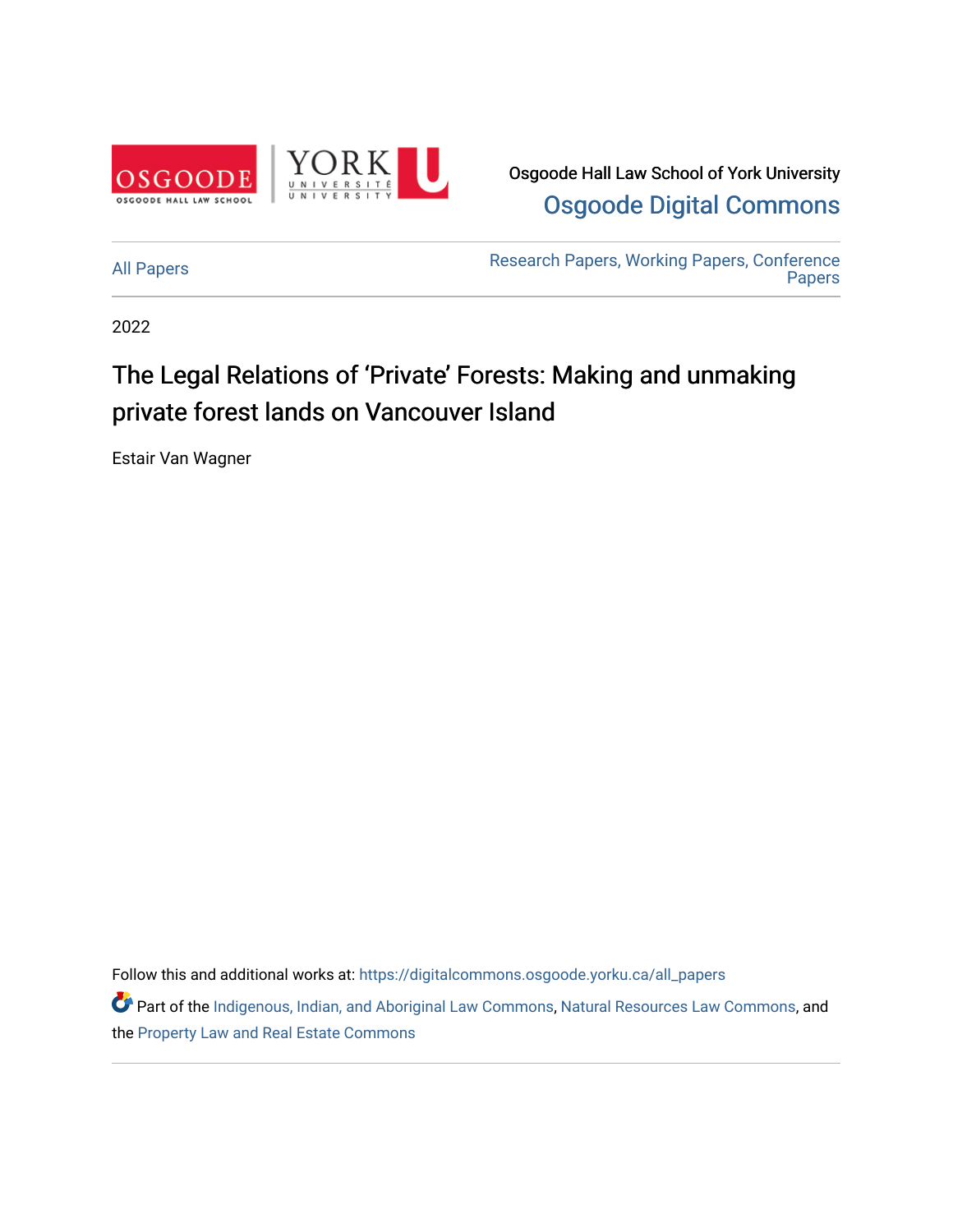

Osgoode Hall Law School of York University [Osgoode Digital Commons](https://digitalcommons.osgoode.yorku.ca/) 

[All Papers](https://digitalcommons.osgoode.yorku.ca/all_papers) [Research Papers, Working Papers, Conference](https://digitalcommons.osgoode.yorku.ca/working_papers)  [Papers](https://digitalcommons.osgoode.yorku.ca/working_papers) 

2022

## The Legal Relations of 'Private' Forests: Making and unmaking private forest lands on Vancouver Island

Estair Van Wagner

Follow this and additional works at: [https://digitalcommons.osgoode.yorku.ca/all\\_papers](https://digitalcommons.osgoode.yorku.ca/all_papers?utm_source=digitalcommons.osgoode.yorku.ca%2Fall_papers%2F340&utm_medium=PDF&utm_campaign=PDFCoverPages)

Part of the [Indigenous, Indian, and Aboriginal Law Commons](https://network.bepress.com/hgg/discipline/894?utm_source=digitalcommons.osgoode.yorku.ca%2Fall_papers%2F340&utm_medium=PDF&utm_campaign=PDFCoverPages), [Natural Resources Law Commons,](https://network.bepress.com/hgg/discipline/863?utm_source=digitalcommons.osgoode.yorku.ca%2Fall_papers%2F340&utm_medium=PDF&utm_campaign=PDFCoverPages) and the [Property Law and Real Estate Commons](https://network.bepress.com/hgg/discipline/897?utm_source=digitalcommons.osgoode.yorku.ca%2Fall_papers%2F340&utm_medium=PDF&utm_campaign=PDFCoverPages)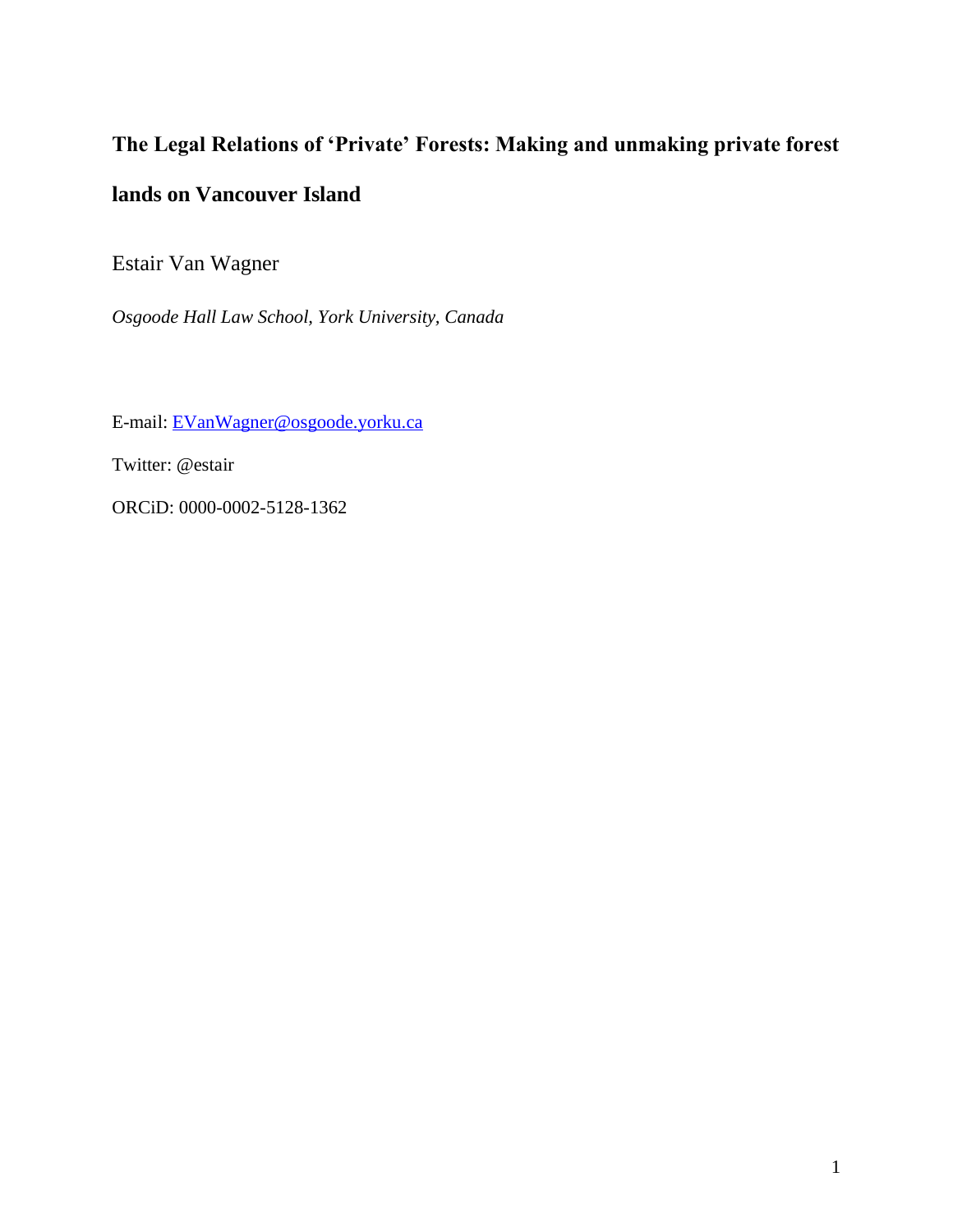# **The Legal Relations of 'Private' Forests: Making and unmaking private forest lands on Vancouver Island**

Estair Van Wagner

*Osgoode Hall Law School, York University, Canada*

E-mail: [EVanWagner@osgoode.yorku.ca](mailto:EVanWagner@osgoode.yorku.ca)

Twitter: @estair

ORCiD: 0000-0002-5128-1362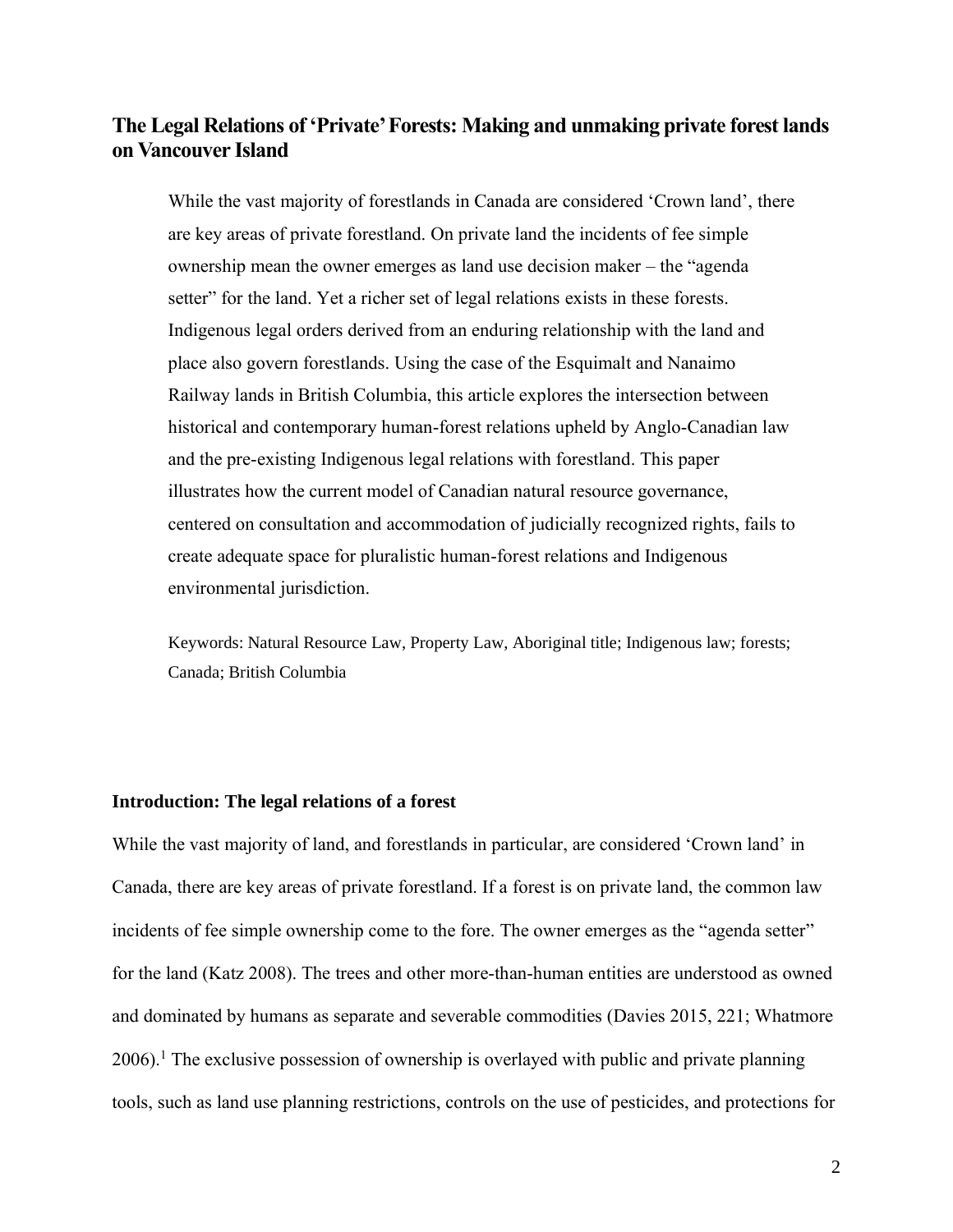### **The Legal Relations of 'Private' Forests: Making and unmaking private forest lands on Vancouver Island**

While the vast majority of forestlands in Canada are considered 'Crown land', there are key areas of private forestland. On private land the incidents of fee simple ownership mean the owner emerges as land use decision maker – the "agenda setter" for the land. Yet a richer set of legal relations exists in these forests. Indigenous legal orders derived from an enduring relationship with the land and place also govern forestlands. Using the case of the Esquimalt and Nanaimo Railway lands in British Columbia, this article explores the intersection between historical and contemporary human-forest relations upheld by Anglo-Canadian law and the pre-existing Indigenous legal relations with forestland. This paper illustrates how the current model of Canadian natural resource governance, centered on consultation and accommodation of judicially recognized rights, fails to create adequate space for pluralistic human-forest relations and Indigenous environmental jurisdiction.

Keywords: Natural Resource Law, Property Law, Aboriginal title; Indigenous law; forests; Canada; British Columbia

#### **Introduction: The legal relations of a forest**

While the vast majority of land, and forestlands in particular, are considered 'Crown land' in Canada, there are key areas of private forestland. If a forest is on private land, the common law incidents of fee simple ownership come to the fore. The owner emerges as the "agenda setter" for the land (Katz 2008). The trees and other more-than-human entities are understood as owned and dominated by humans as separate and severable commodities (Davies 2015, 221; Whatmore  $2006$ .<sup>1</sup> The exclusive possession of ownership is overlayed with public and private planning tools, such as land use planning restrictions, controls on the use of pesticides, and protections for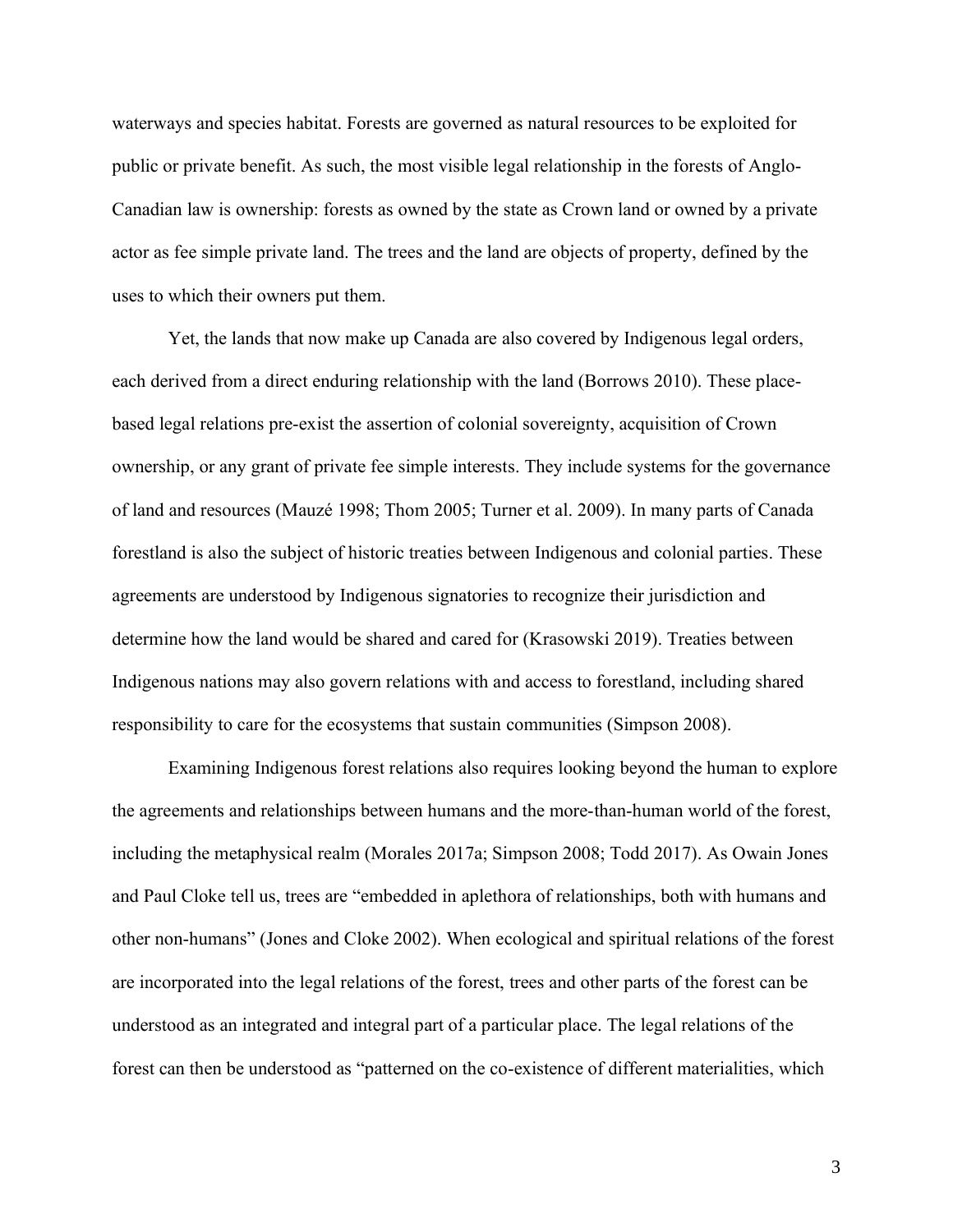waterways and species habitat. Forests are governed as natural resources to be exploited for public or private benefit. As such, the most visible legal relationship in the forests of Anglo-Canadian law is ownership: forests as owned by the state as Crown land or owned by a private actor as fee simple private land. The trees and the land are objects of property, defined by the uses to which their owners put them.

Yet, the lands that now make up Canada are also covered by Indigenous legal orders, each derived from a direct enduring relationship with the land (Borrows 2010). These placebased legal relations pre-exist the assertion of colonial sovereignty, acquisition of Crown ownership, or any grant of private fee simple interests. They include systems for the governance of land and resources (Mauzé 1998; Thom 2005; Turner et al. 2009). In many parts of Canada forestland is also the subject of historic treaties between Indigenous and colonial parties. These agreements are understood by Indigenous signatories to recognize their jurisdiction and determine how the land would be shared and cared for (Krasowski 2019). Treaties between Indigenous nations may also govern relations with and access to forestland, including shared responsibility to care for the ecosystems that sustain communities (Simpson 2008).

Examining Indigenous forest relations also requires looking beyond the human to explore the agreements and relationships between humans and the more-than-human world of the forest, including the metaphysical realm (Morales 2017a; Simpson 2008; Todd 2017). As Owain Jones and Paul Cloke tell us, trees are "embedded in aplethora of relationships, both with humans and other non-humans" (Jones and Cloke 2002). When ecological and spiritual relations of the forest are incorporated into the legal relations of the forest, trees and other parts of the forest can be understood as an integrated and integral part of a particular place. The legal relations of the forest can then be understood as "patterned on the co-existence of different materialities, which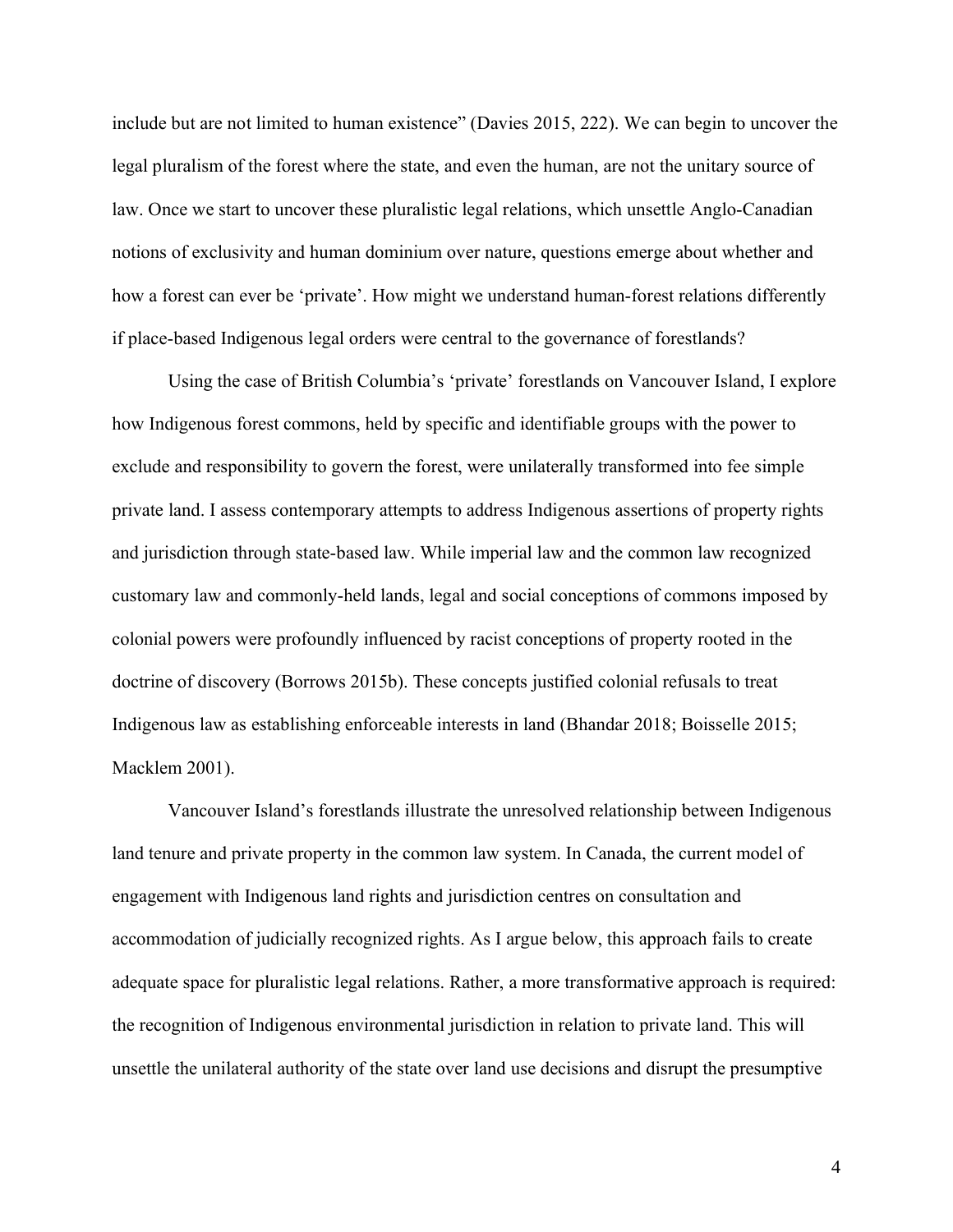include but are not limited to human existence" (Davies 2015, 222). We can begin to uncover the legal pluralism of the forest where the state, and even the human, are not the unitary source of law. Once we start to uncover these pluralistic legal relations, which unsettle Anglo-Canadian notions of exclusivity and human dominium over nature, questions emerge about whether and how a forest can ever be 'private'. How might we understand human-forest relations differently if place-based Indigenous legal orders were central to the governance of forestlands?

Using the case of British Columbia's 'private' forestlands on Vancouver Island, I explore how Indigenous forest commons, held by specific and identifiable groups with the power to exclude and responsibility to govern the forest, were unilaterally transformed into fee simple private land. I assess contemporary attempts to address Indigenous assertions of property rights and jurisdiction through state-based law. While imperial law and the common law recognized customary law and commonly-held lands, legal and social conceptions of commons imposed by colonial powers were profoundly influenced by racist conceptions of property rooted in the doctrine of discovery (Borrows 2015b). These concepts justified colonial refusals to treat Indigenous law as establishing enforceable interests in land (Bhandar 2018; Boisselle 2015; Macklem 2001).

Vancouver Island's forestlands illustrate the unresolved relationship between Indigenous land tenure and private property in the common law system. In Canada, the current model of engagement with Indigenous land rights and jurisdiction centres on consultation and accommodation of judicially recognized rights. As I argue below, this approach fails to create adequate space for pluralistic legal relations. Rather, a more transformative approach is required: the recognition of Indigenous environmental jurisdiction in relation to private land. This will unsettle the unilateral authority of the state over land use decisions and disrupt the presumptive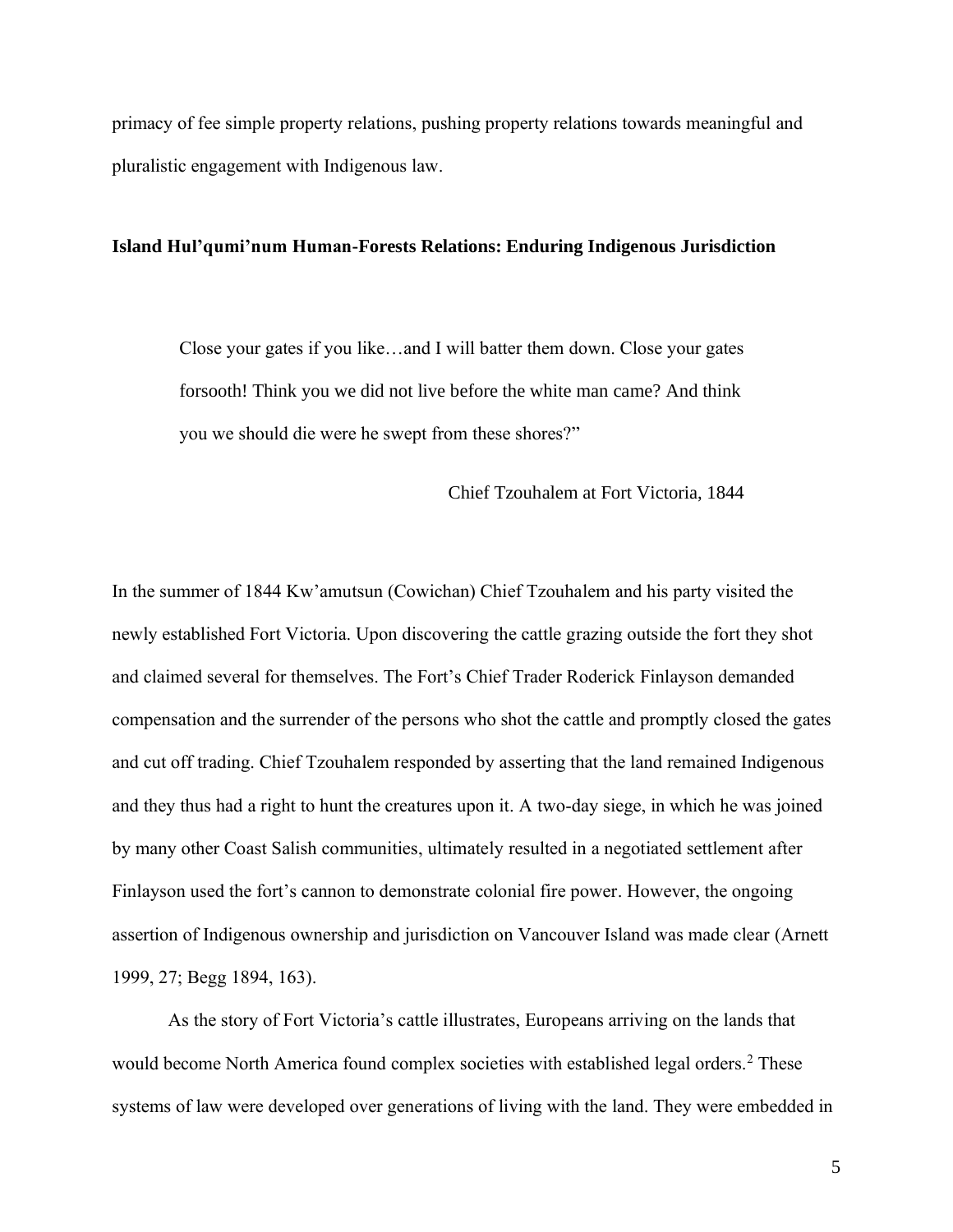primacy of fee simple property relations, pushing property relations towards meaningful and pluralistic engagement with Indigenous law.

#### **Island Hul'qumi'num Human-Forests Relations: Enduring Indigenous Jurisdiction**

Close your gates if you like…and I will batter them down. Close your gates forsooth! Think you we did not live before the white man came? And think you we should die were he swept from these shores?"

Chief Tzouhalem at Fort Victoria, 1844

In the summer of 1844 Kw'amutsun (Cowichan) Chief Tzouhalem and his party visited the newly established Fort Victoria. Upon discovering the cattle grazing outside the fort they shot and claimed several for themselves. The Fort's Chief Trader Roderick Finlayson demanded compensation and the surrender of the persons who shot the cattle and promptly closed the gates and cut off trading. Chief Tzouhalem responded by asserting that the land remained Indigenous and they thus had a right to hunt the creatures upon it. A two-day siege, in which he was joined by many other Coast Salish communities, ultimately resulted in a negotiated settlement after Finlayson used the fort's cannon to demonstrate colonial fire power. However, the ongoing assertion of Indigenous ownership and jurisdiction on Vancouver Island was made clear (Arnett 1999, 27; Begg 1894, 163).

As the story of Fort Victoria's cattle illustrates, Europeans arriving on the lands that would become North America found complex societies with established legal orders.<sup>2</sup> These systems of law were developed over generations of living with the land. They were embedded in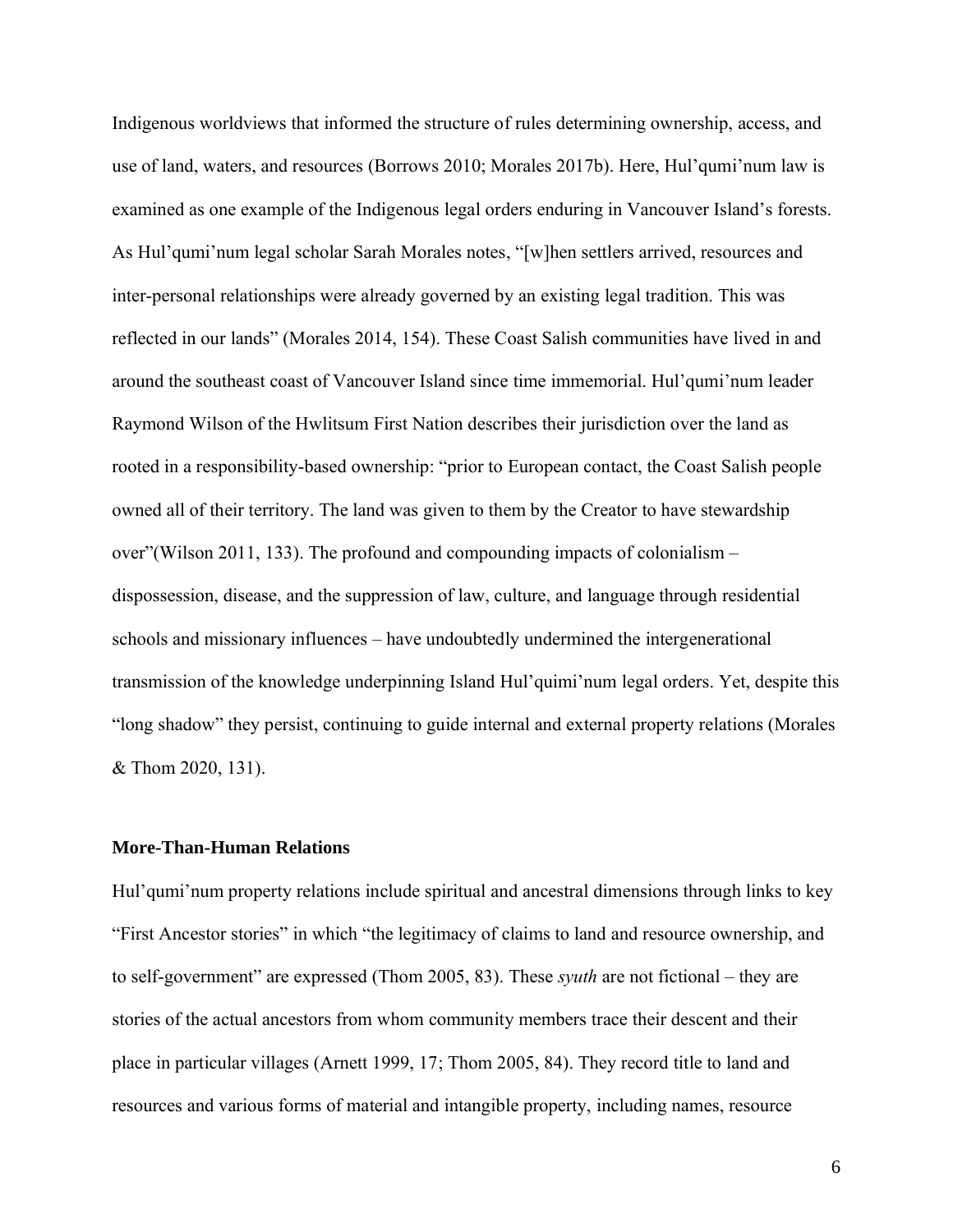Indigenous worldviews that informed the structure of rules determining ownership, access, and use of land, waters, and resources (Borrows 2010; Morales 2017b). Here, Hul'qumi'num law is examined as one example of the Indigenous legal orders enduring in Vancouver Island's forests. As Hul'qumi'num legal scholar Sarah Morales notes, "[w]hen settlers arrived, resources and inter-personal relationships were already governed by an existing legal tradition. This was reflected in our lands" (Morales 2014, 154). These Coast Salish communities have lived in and around the southeast coast of Vancouver Island since time immemorial. Hul'qumi'num leader Raymond Wilson of the Hwlitsum First Nation describes their jurisdiction over the land as rooted in a responsibility-based ownership: "prior to European contact, the Coast Salish people owned all of their territory. The land was given to them by the Creator to have stewardship over"(Wilson 2011, 133). The profound and compounding impacts of colonialism – dispossession, disease, and the suppression of law, culture, and language through residential schools and missionary influences – have undoubtedly undermined the intergenerational transmission of the knowledge underpinning Island Hul'quimi'num legal orders. Yet, despite this "long shadow" they persist, continuing to guide internal and external property relations (Morales & Thom 2020, 131).

#### **More-Than-Human Relations**

Hul'qumi'num property relations include spiritual and ancestral dimensions through links to key "First Ancestor stories" in which "the legitimacy of claims to land and resource ownership, and to self-government" are expressed (Thom 2005, 83). These *syuth* are not fictional – they are stories of the actual ancestors from whom community members trace their descent and their place in particular villages (Arnett 1999, 17; Thom 2005, 84). They record title to land and resources and various forms of material and intangible property, including names, resource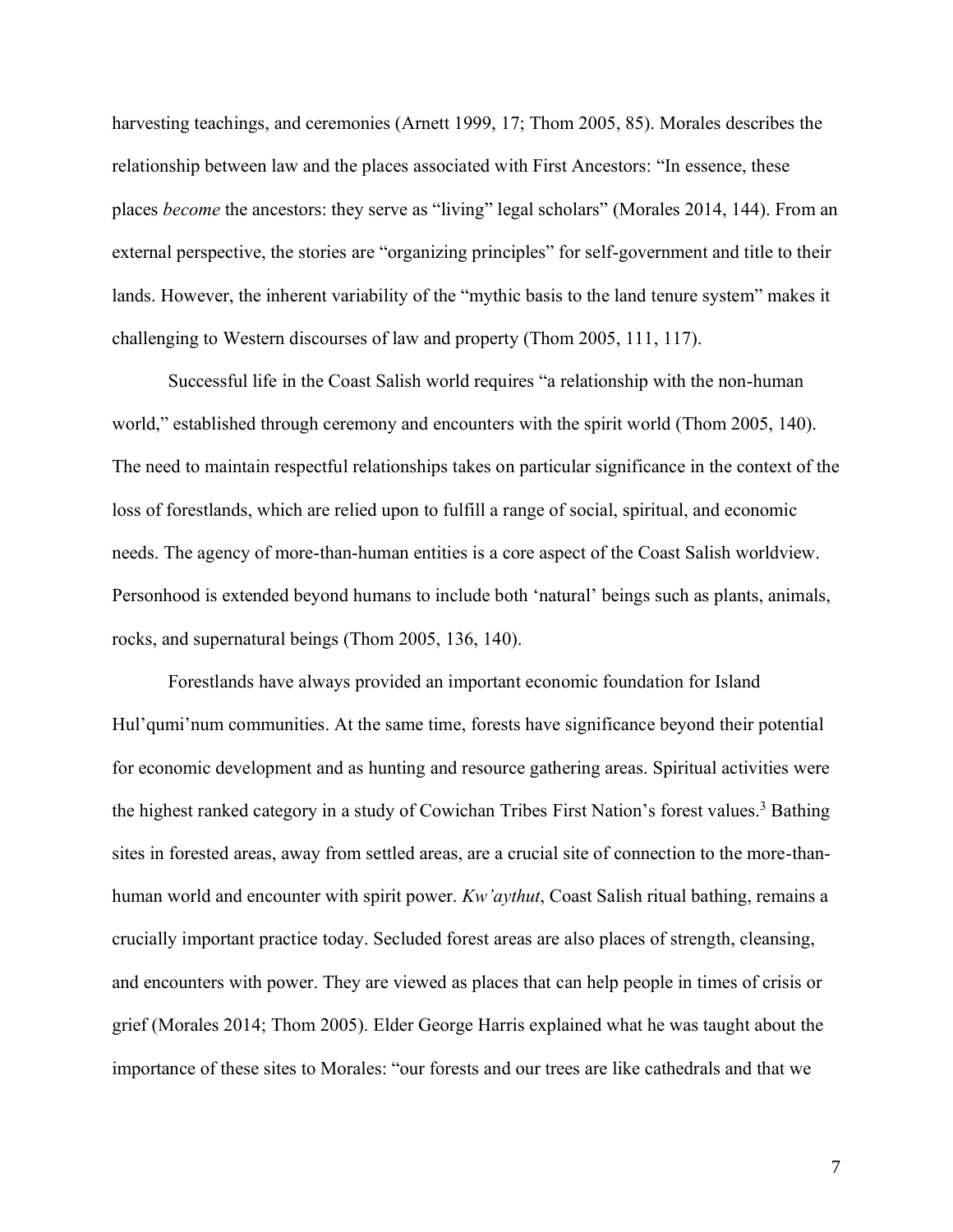harvesting teachings, and ceremonies (Arnett 1999, 17; Thom 2005, 85). Morales describes the relationship between law and the places associated with First Ancestors: "In essence, these places *become* the ancestors: they serve as "living" legal scholars" (Morales 2014, 144). From an external perspective, the stories are "organizing principles" for self-government and title to their lands. However, the inherent variability of the "mythic basis to the land tenure system" makes it challenging to Western discourses of law and property (Thom 2005, 111, 117).

Successful life in the Coast Salish world requires "a relationship with the non-human world," established through ceremony and encounters with the spirit world (Thom 2005, 140). The need to maintain respectful relationships takes on particular significance in the context of the loss of forestlands, which are relied upon to fulfill a range of social, spiritual, and economic needs. The agency of more-than-human entities is a core aspect of the Coast Salish worldview. Personhood is extended beyond humans to include both 'natural' beings such as plants, animals, rocks, and supernatural beings (Thom 2005, 136, 140).

Forestlands have always provided an important economic foundation for Island Hul'qumi'num communities. At the same time, forests have significance beyond their potential for economic development and as hunting and resource gathering areas. Spiritual activities were the highest ranked category in a study of Cowichan Tribes First Nation's forest values. <sup>3</sup> Bathing sites in forested areas, away from settled areas, are a crucial site of connection to the more-thanhuman world and encounter with spirit power. *Kw'aythut*, Coast Salish ritual bathing, remains a crucially important practice today. Secluded forest areas are also places of strength, cleansing, and encounters with power. They are viewed as places that can help people in times of crisis or grief (Morales 2014; Thom 2005). Elder George Harris explained what he was taught about the importance of these sites to Morales: "our forests and our trees are like cathedrals and that we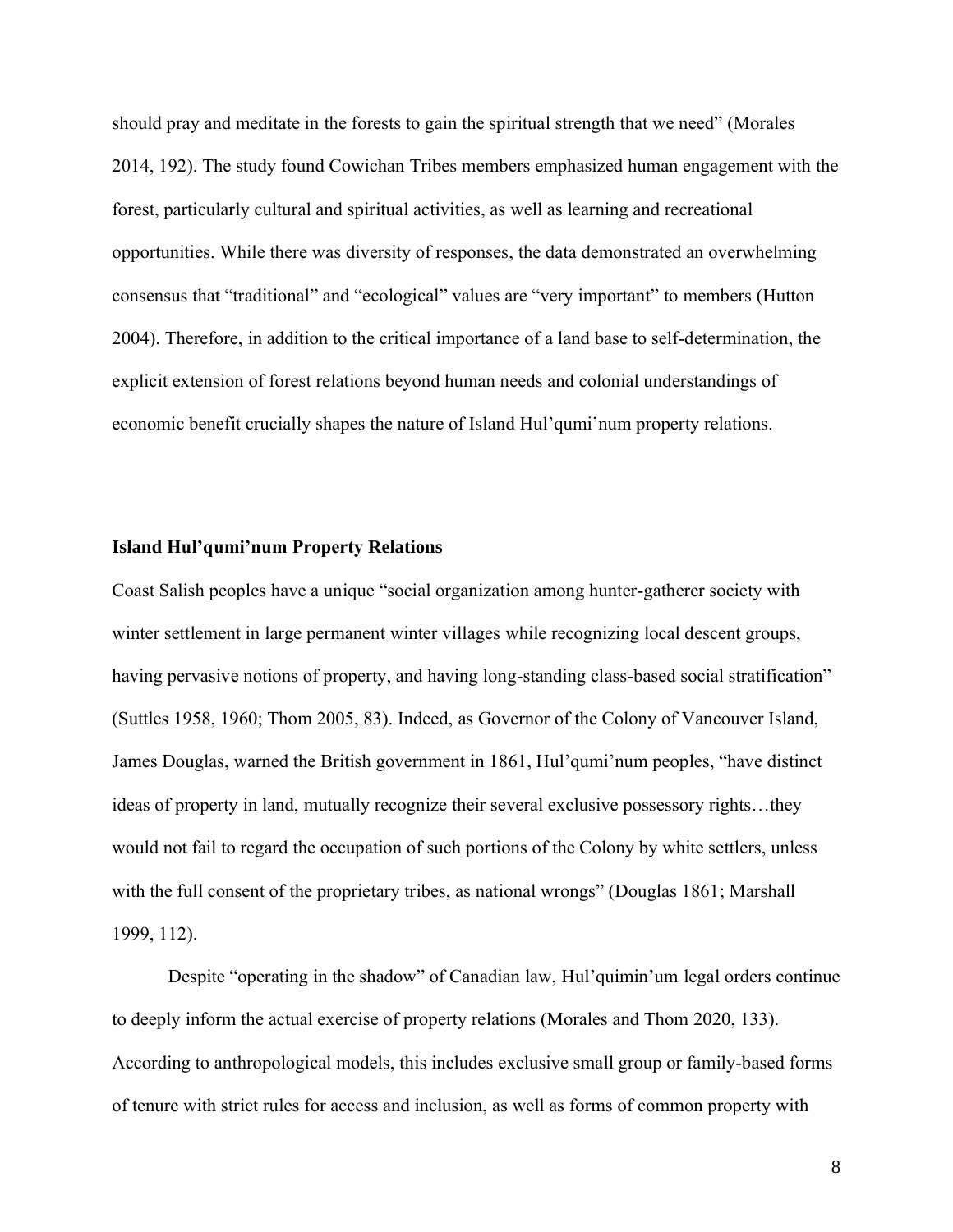should pray and meditate in the forests to gain the spiritual strength that we need" (Morales 2014, 192). The study found Cowichan Tribes members emphasized human engagement with the forest, particularly cultural and spiritual activities, as well as learning and recreational opportunities. While there was diversity of responses, the data demonstrated an overwhelming consensus that "traditional" and "ecological" values are "very important" to members (Hutton 2004). Therefore, in addition to the critical importance of a land base to self-determination, the explicit extension of forest relations beyond human needs and colonial understandings of economic benefit crucially shapes the nature of Island Hul'qumi'num property relations.

#### **Island Hul'qumi'num Property Relations**

Coast Salish peoples have a unique "social organization among hunter-gatherer society with winter settlement in large permanent winter villages while recognizing local descent groups, having pervasive notions of property, and having long-standing class-based social stratification" (Suttles 1958, 1960; Thom 2005, 83). Indeed, as Governor of the Colony of Vancouver Island, James Douglas, warned the British government in 1861, Hul'qumi'num peoples, "have distinct ideas of property in land, mutually recognize their several exclusive possessory rights…they would not fail to regard the occupation of such portions of the Colony by white settlers, unless with the full consent of the proprietary tribes, as national wrongs" (Douglas 1861; Marshall 1999, 112).

Despite "operating in the shadow" of Canadian law, Hul'quimin'um legal orders continue to deeply inform the actual exercise of property relations (Morales and Thom 2020, 133). According to anthropological models, this includes exclusive small group or family-based forms of tenure with strict rules for access and inclusion, as well as forms of common property with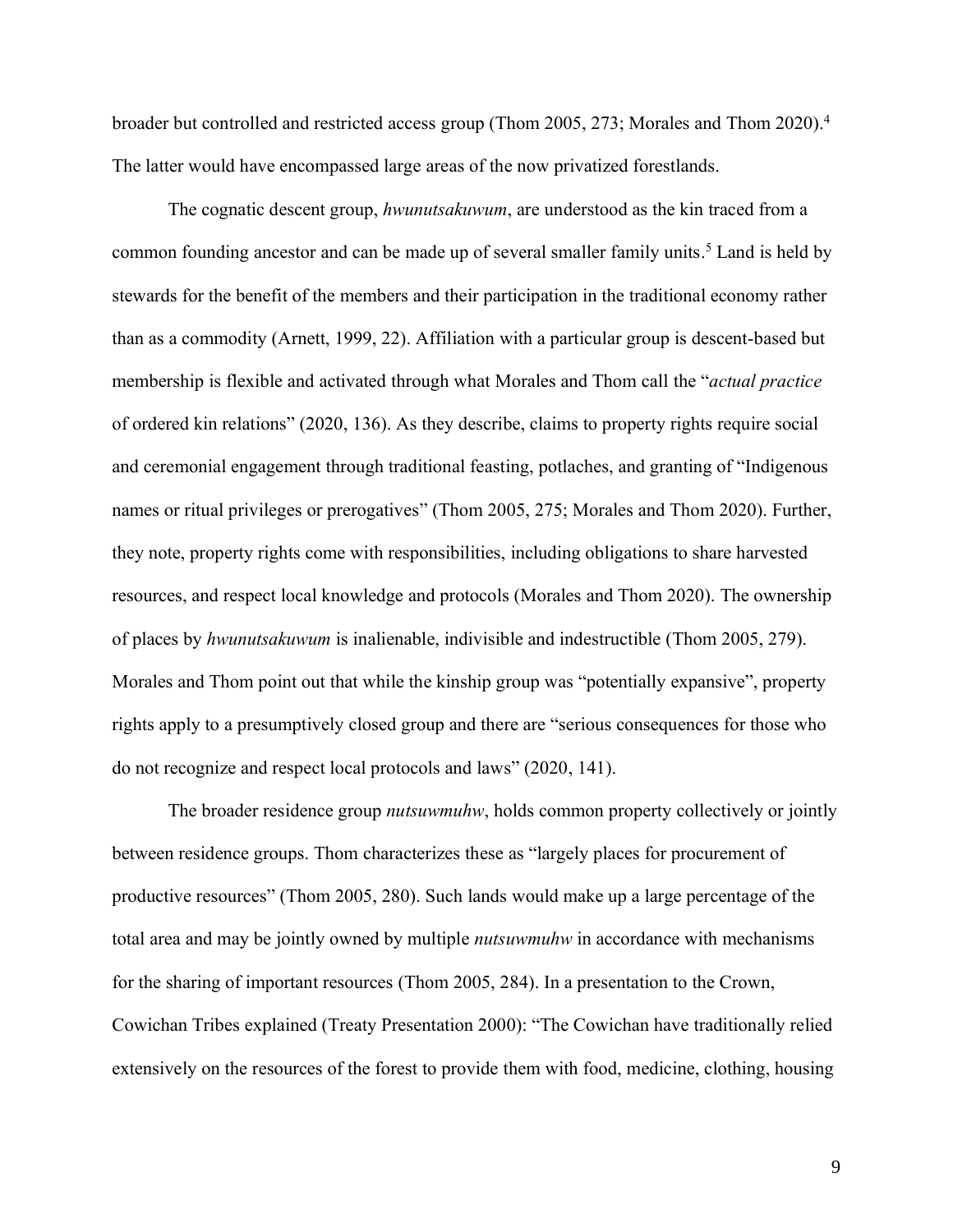broader but controlled and restricted access group (Thom 2005, 273; Morales and Thom 2020). 4 The latter would have encompassed large areas of the now privatized forestlands.

The cognatic descent group, *hwunutsakuwum*, are understood as the kin traced from a common founding ancestor and can be made up of several smaller family units. <sup>5</sup> Land is held by stewards for the benefit of the members and their participation in the traditional economy rather than as a commodity (Arnett, 1999, 22). Affiliation with a particular group is descent-based but membership is flexible and activated through what Morales and Thom call the "*actual practice*  of ordered kin relations" (2020, 136). As they describe, claims to property rights require social and ceremonial engagement through traditional feasting, potlaches, and granting of "Indigenous names or ritual privileges or prerogatives" (Thom 2005, 275; Morales and Thom 2020). Further, they note, property rights come with responsibilities, including obligations to share harvested resources, and respect local knowledge and protocols (Morales and Thom 2020). The ownership of places by *hwunutsakuwum* is inalienable, indivisible and indestructible (Thom 2005, 279). Morales and Thom point out that while the kinship group was "potentially expansive", property rights apply to a presumptively closed group and there are "serious consequences for those who do not recognize and respect local protocols and laws" (2020, 141).

The broader residence group *nutsuwmuhw*, holds common property collectively or jointly between residence groups. Thom characterizes these as "largely places for procurement of productive resources" (Thom 2005, 280). Such lands would make up a large percentage of the total area and may be jointly owned by multiple *nutsuwmuhw* in accordance with mechanisms for the sharing of important resources (Thom 2005, 284). In a presentation to the Crown, Cowichan Tribes explained (Treaty Presentation 2000): "The Cowichan have traditionally relied extensively on the resources of the forest to provide them with food, medicine, clothing, housing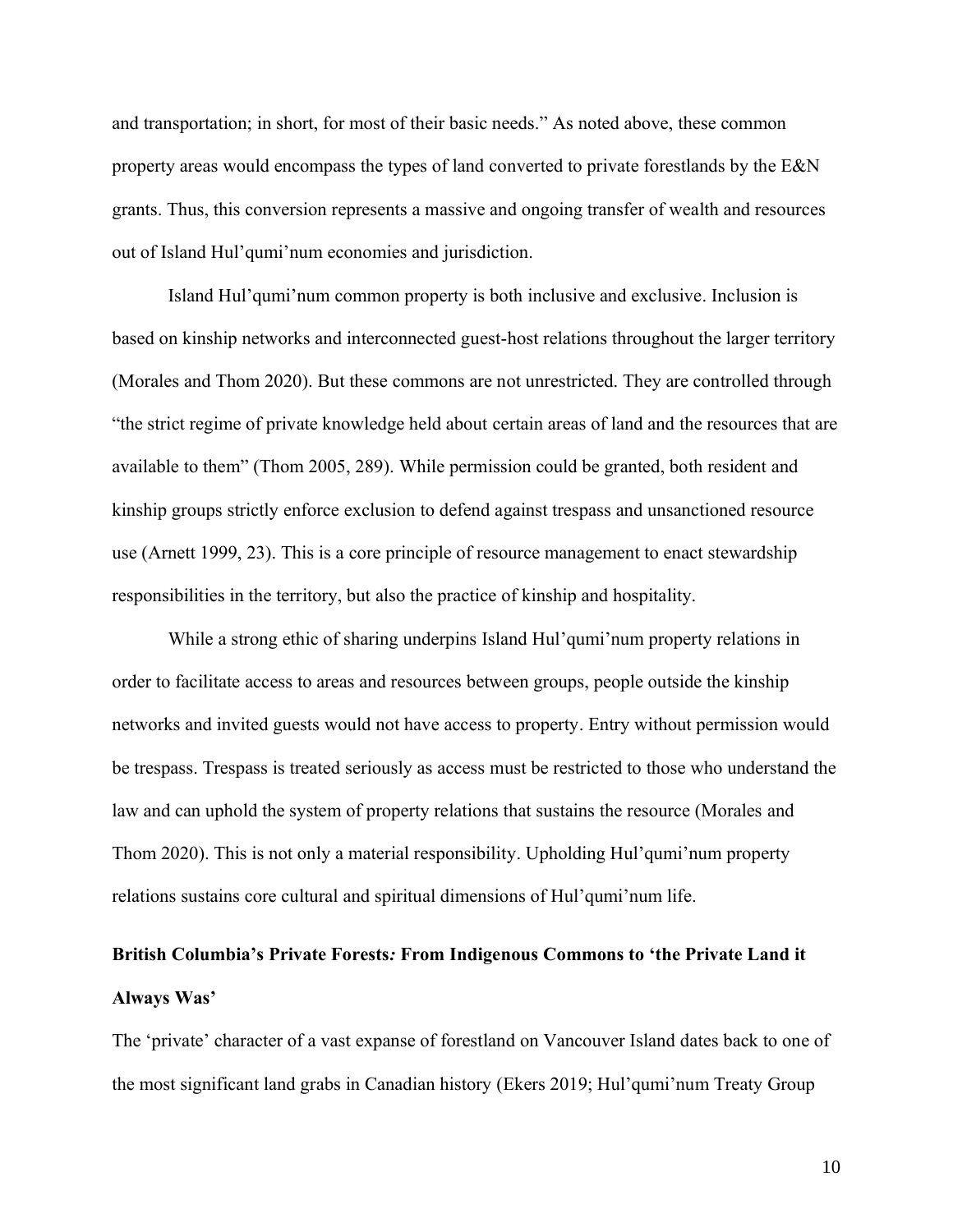and transportation; in short, for most of their basic needs." As noted above, these common property areas would encompass the types of land converted to private forestlands by the E&N grants. Thus, this conversion represents a massive and ongoing transfer of wealth and resources out of Island Hul'qumi'num economies and jurisdiction.

Island Hul'qumi'num common property is both inclusive and exclusive. Inclusion is based on kinship networks and interconnected guest-host relations throughout the larger territory (Morales and Thom 2020). But these commons are not unrestricted. They are controlled through "the strict regime of private knowledge held about certain areas of land and the resources that are available to them" (Thom 2005, 289). While permission could be granted, both resident and kinship groups strictly enforce exclusion to defend against trespass and unsanctioned resource use (Arnett 1999, 23). This is a core principle of resource management to enact stewardship responsibilities in the territory, but also the practice of kinship and hospitality.

While a strong ethic of sharing underpins Island Hul'qumi'num property relations in order to facilitate access to areas and resources between groups, people outside the kinship networks and invited guests would not have access to property. Entry without permission would be trespass. Trespass is treated seriously as access must be restricted to those who understand the law and can uphold the system of property relations that sustains the resource (Morales and Thom 2020). This is not only a material responsibility. Upholding Hul'qumi'num property relations sustains core cultural and spiritual dimensions of Hul'qumi'num life.

## **British Columbia's Private Forests***:* **From Indigenous Commons to 'the Private Land it Always Was'**

The 'private' character of a vast expanse of forestland on Vancouver Island dates back to one of the most significant land grabs in Canadian history (Ekers 2019; Hul'qumi'num Treaty Group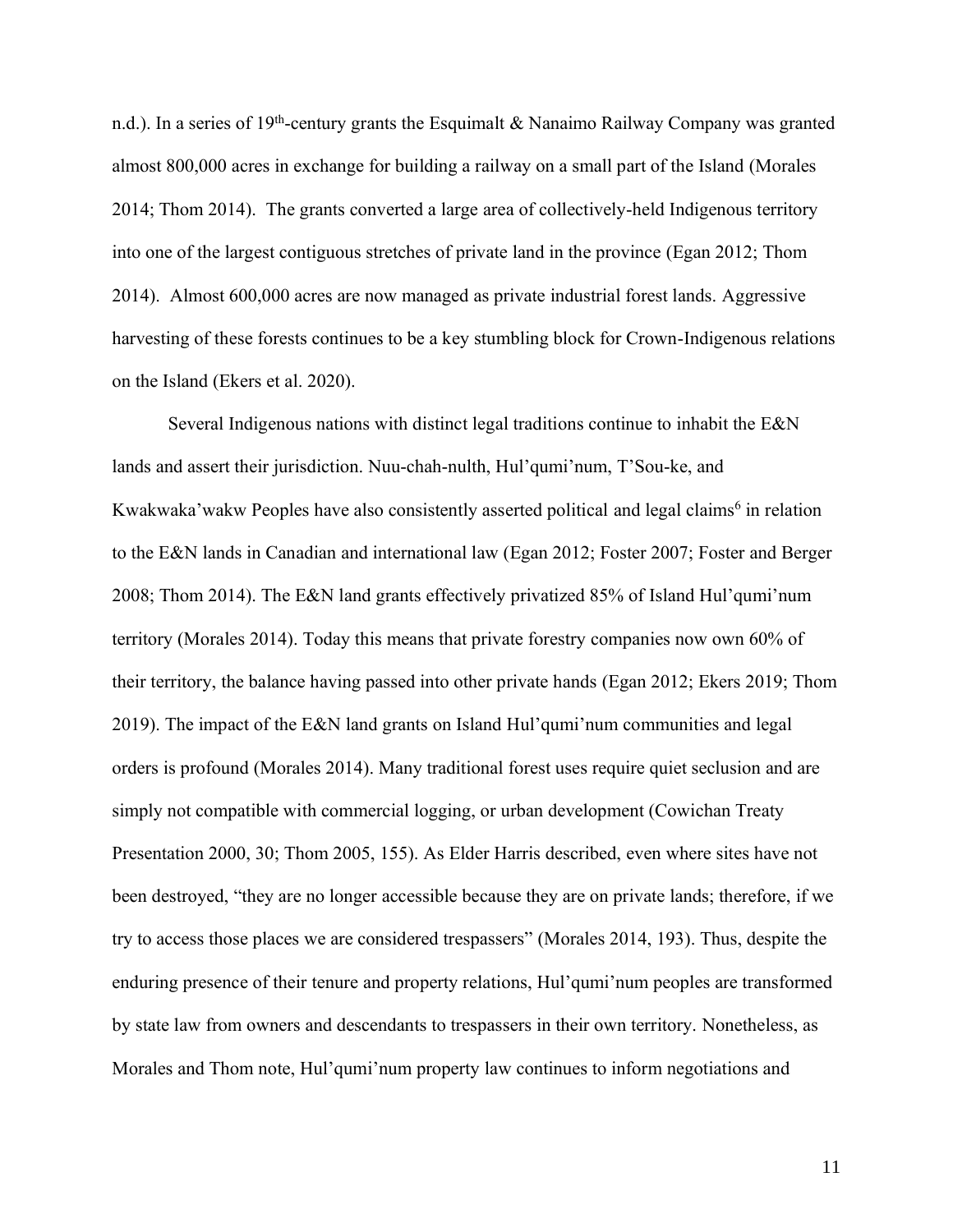n.d.). In a series of 19<sup>th</sup>-century grants the Esquimalt & Nanaimo Railway Company was granted almost 800,000 acres in exchange for building a railway on a small part of the Island (Morales 2014; Thom 2014). The grants converted a large area of collectively-held Indigenous territory into one of the largest contiguous stretches of private land in the province (Egan 2012; Thom 2014). Almost 600,000 acres are now managed as private industrial forest lands. Aggressive harvesting of these forests continues to be a key stumbling block for Crown-Indigenous relations on the Island (Ekers et al. 2020).

Several Indigenous nations with distinct legal traditions continue to inhabit the E&N lands and assert their jurisdiction. Nuu-chah-nulth, Hul'qumi'num, T'Sou-ke, and Kwakwaka'wakw Peoples have also consistently asserted political and legal claims<sup>6</sup> in relation to the E&N lands in Canadian and international law (Egan 2012; Foster 2007; Foster and Berger 2008; Thom 2014). The E&N land grants effectively privatized 85% of Island Hul'qumi'num territory (Morales 2014). Today this means that private forestry companies now own 60% of their territory, the balance having passed into other private hands (Egan 2012; Ekers 2019; Thom 2019). The impact of the E&N land grants on Island Hul'qumi'num communities and legal orders is profound (Morales 2014). Many traditional forest uses require quiet seclusion and are simply not compatible with commercial logging, or urban development (Cowichan Treaty Presentation 2000, 30; Thom 2005, 155). As Elder Harris described, even where sites have not been destroyed, "they are no longer accessible because they are on private lands; therefore, if we try to access those places we are considered trespassers" (Morales 2014, 193). Thus, despite the enduring presence of their tenure and property relations, Hul'qumi'num peoples are transformed by state law from owners and descendants to trespassers in their own territory. Nonetheless, as Morales and Thom note, Hul'qumi'num property law continues to inform negotiations and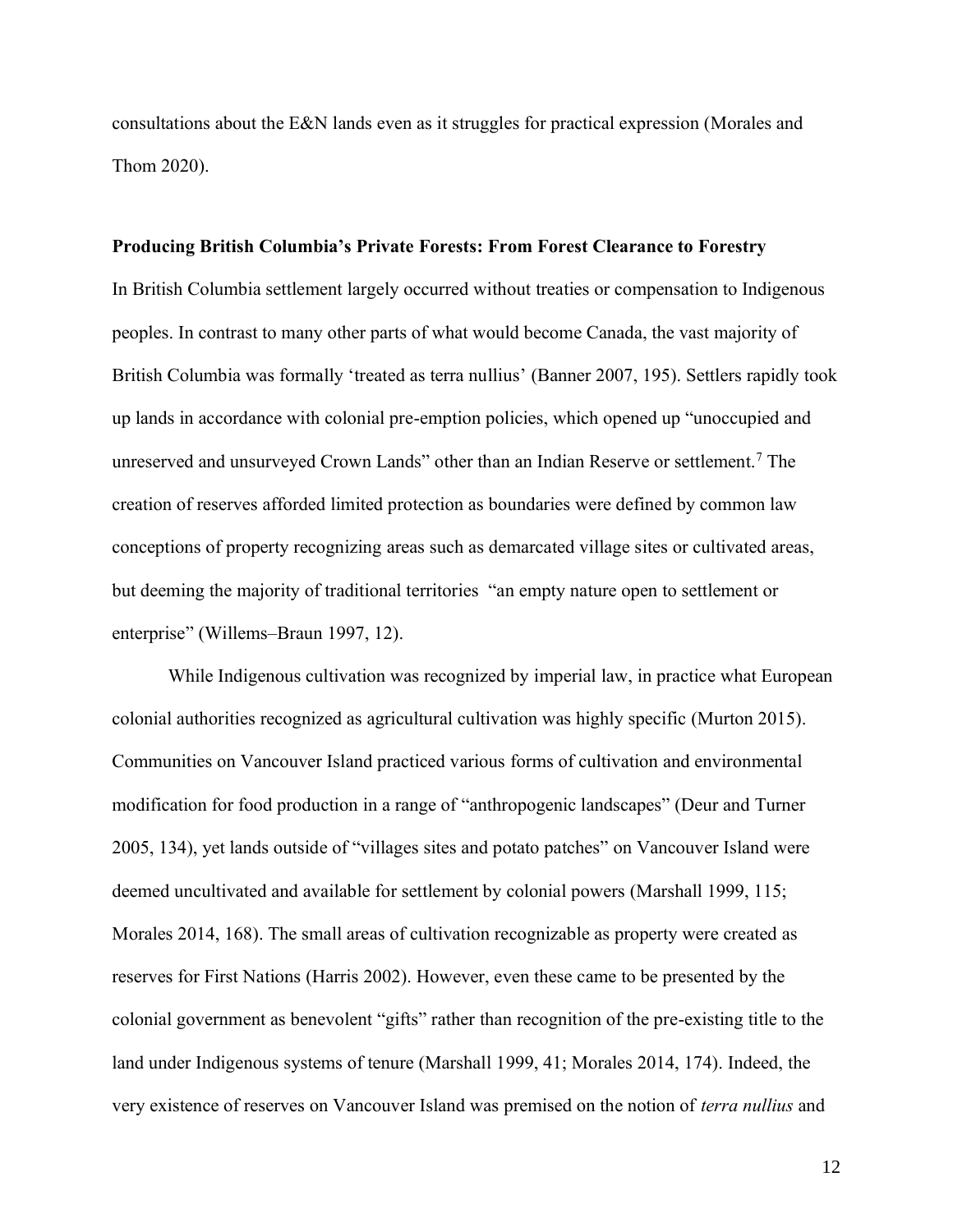consultations about the E&N lands even as it struggles for practical expression (Morales and Thom 2020).

#### **Producing British Columbia's Private Forests: From Forest Clearance to Forestry**

In British Columbia settlement largely occurred without treaties or compensation to Indigenous peoples. In contrast to many other parts of what would become Canada, the vast majority of British Columbia was formally 'treated as terra nullius' (Banner 2007, 195). Settlers rapidly took up lands in accordance with colonial pre-emption policies, which opened up "unoccupied and unreserved and unsurveyed Crown Lands" other than an Indian Reserve or settlement.<sup>7</sup> The creation of reserves afforded limited protection as boundaries were defined by common law conceptions of property recognizing areas such as demarcated village sites or cultivated areas, but deeming the majority of traditional territories "an empty nature open to settlement or enterprise" (Willems–Braun 1997, 12).

While Indigenous cultivation was recognized by imperial law, in practice what European colonial authorities recognized as agricultural cultivation was highly specific (Murton 2015). Communities on Vancouver Island practiced various forms of cultivation and environmental modification for food production in a range of "anthropogenic landscapes" (Deur and Turner 2005, 134), yet lands outside of "villages sites and potato patches" on Vancouver Island were deemed uncultivated and available for settlement by colonial powers (Marshall 1999, 115; Morales 2014, 168). The small areas of cultivation recognizable as property were created as reserves for First Nations (Harris 2002). However, even these came to be presented by the colonial government as benevolent "gifts" rather than recognition of the pre-existing title to the land under Indigenous systems of tenure (Marshall 1999, 41; Morales 2014, 174). Indeed, the very existence of reserves on Vancouver Island was premised on the notion of *terra nullius* and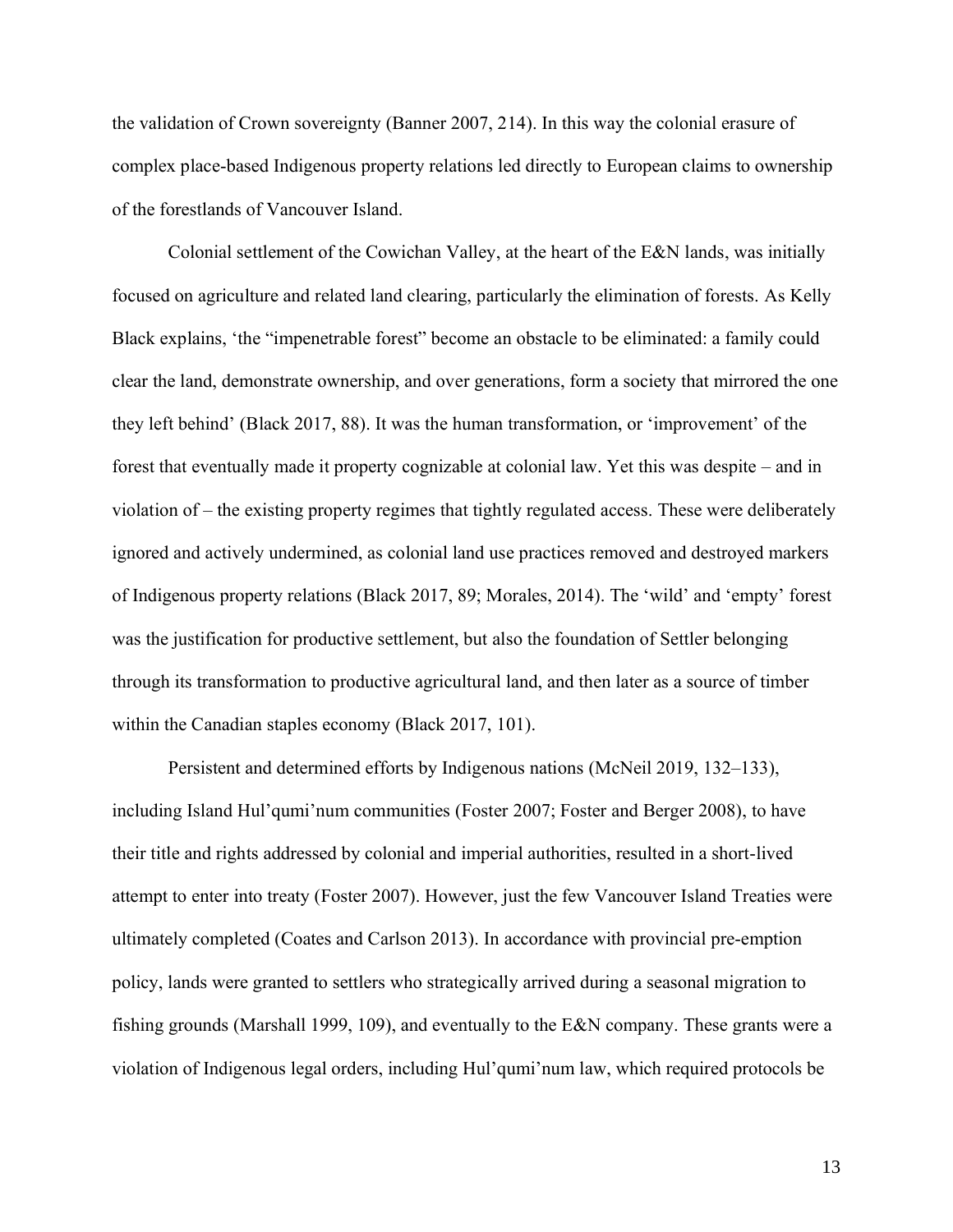the validation of Crown sovereignty (Banner 2007, 214). In this way the colonial erasure of complex place-based Indigenous property relations led directly to European claims to ownership of the forestlands of Vancouver Island.

Colonial settlement of the Cowichan Valley, at the heart of the E&N lands, was initially focused on agriculture and related land clearing, particularly the elimination of forests. As Kelly Black explains, 'the "impenetrable forest" become an obstacle to be eliminated: a family could clear the land, demonstrate ownership, and over generations, form a society that mirrored the one they left behind' (Black 2017, 88). It was the human transformation, or 'improvement' of the forest that eventually made it property cognizable at colonial law. Yet this was despite – and in violation of – the existing property regimes that tightly regulated access. These were deliberately ignored and actively undermined, as colonial land use practices removed and destroyed markers of Indigenous property relations (Black 2017, 89; Morales, 2014). The 'wild' and 'empty' forest was the justification for productive settlement, but also the foundation of Settler belonging through its transformation to productive agricultural land, and then later as a source of timber within the Canadian staples economy (Black 2017, 101).

Persistent and determined efforts by Indigenous nations (McNeil 2019, 132–133), including Island Hul'qumi'num communities (Foster 2007; Foster and Berger 2008), to have their title and rights addressed by colonial and imperial authorities, resulted in a short-lived attempt to enter into treaty (Foster 2007). However, just the few Vancouver Island Treaties were ultimately completed (Coates and Carlson 2013). In accordance with provincial pre-emption policy, lands were granted to settlers who strategically arrived during a seasonal migration to fishing grounds (Marshall 1999, 109), and eventually to the E&N company. These grants were a violation of Indigenous legal orders, including Hul'qumi'num law, which required protocols be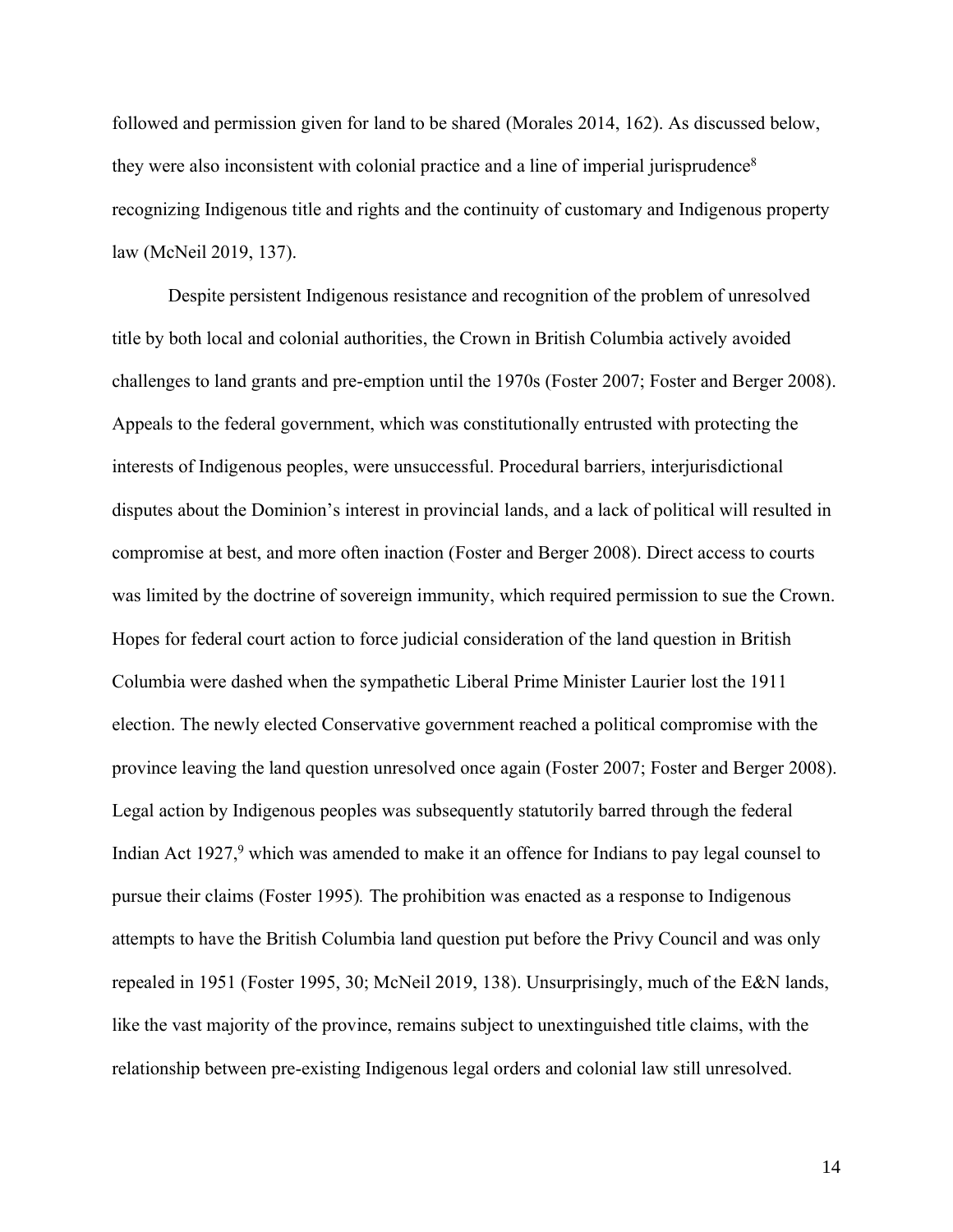followed and permission given for land to be shared (Morales 2014, 162). As discussed below, they were also inconsistent with colonial practice and a line of imperial jurisprudence<sup>8</sup> recognizing Indigenous title and rights and the continuity of customary and Indigenous property law (McNeil 2019, 137).

Despite persistent Indigenous resistance and recognition of the problem of unresolved title by both local and colonial authorities, the Crown in British Columbia actively avoided challenges to land grants and pre-emption until the 1970s (Foster 2007; Foster and Berger 2008). Appeals to the federal government, which was constitutionally entrusted with protecting the interests of Indigenous peoples, were unsuccessful. Procedural barriers, interjurisdictional disputes about the Dominion's interest in provincial lands, and a lack of political will resulted in compromise at best, and more often inaction (Foster and Berger 2008). Direct access to courts was limited by the doctrine of sovereign immunity, which required permission to sue the Crown. Hopes for federal court action to force judicial consideration of the land question in British Columbia were dashed when the sympathetic Liberal Prime Minister Laurier lost the 1911 election. The newly elected Conservative government reached a political compromise with the province leaving the land question unresolved once again (Foster 2007; Foster and Berger 2008). Legal action by Indigenous peoples was subsequently statutorily barred through the federal Indian Act 1927,<sup>9</sup> which was amended to make it an offence for Indians to pay legal counsel to pursue their claims (Foster 1995)*.* The prohibition was enacted as a response to Indigenous attempts to have the British Columbia land question put before the Privy Council and was only repealed in 1951 (Foster 1995, 30; McNeil 2019, 138). Unsurprisingly, much of the E&N lands, like the vast majority of the province, remains subject to unextinguished title claims, with the relationship between pre-existing Indigenous legal orders and colonial law still unresolved.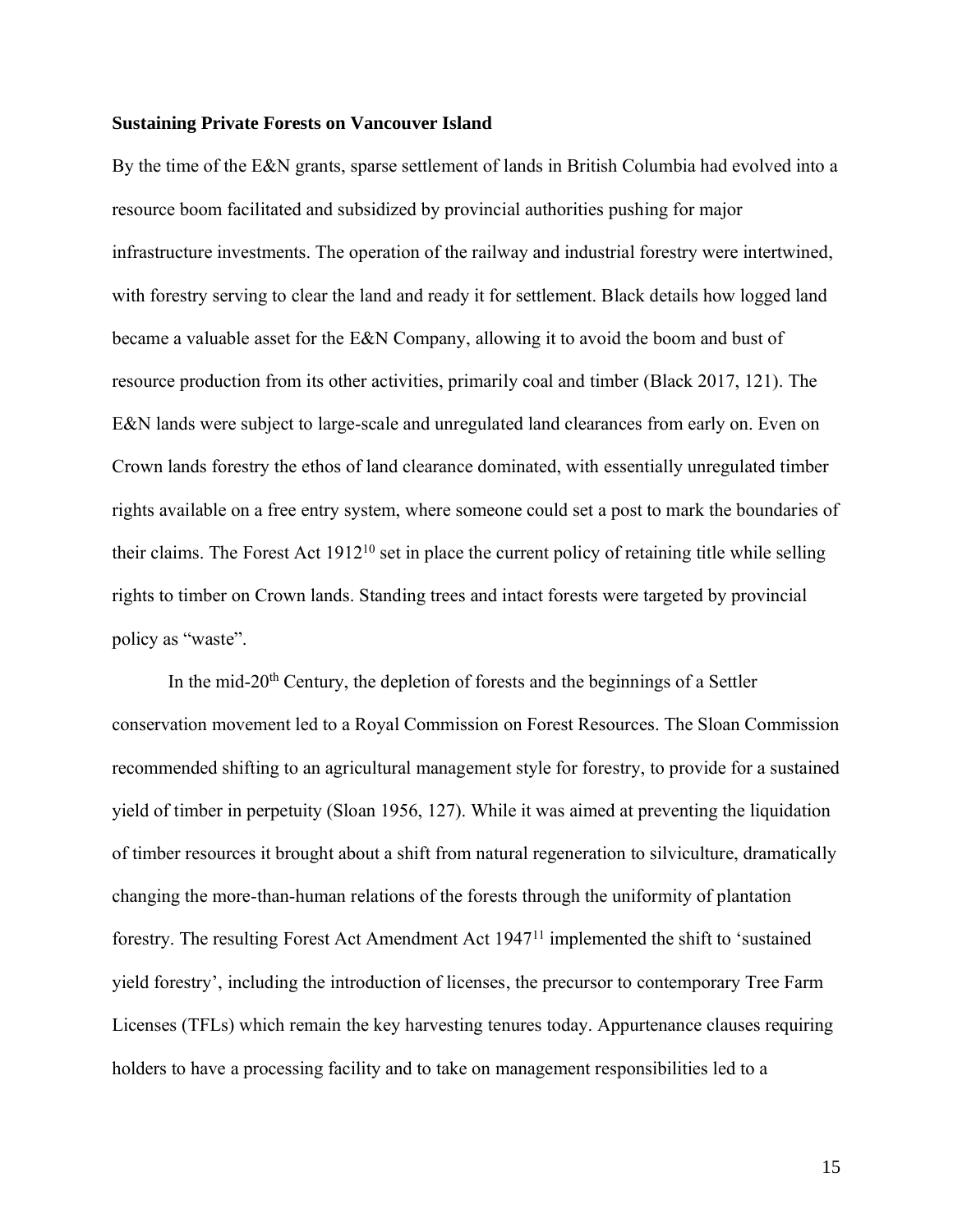#### **Sustaining Private Forests on Vancouver Island**

By the time of the E&N grants, sparse settlement of lands in British Columbia had evolved into a resource boom facilitated and subsidized by provincial authorities pushing for major infrastructure investments. The operation of the railway and industrial forestry were intertwined, with forestry serving to clear the land and ready it for settlement. Black details how logged land became a valuable asset for the E&N Company, allowing it to avoid the boom and bust of resource production from its other activities, primarily coal and timber (Black 2017, 121). The E&N lands were subject to large-scale and unregulated land clearances from early on. Even on Crown lands forestry the ethos of land clearance dominated, with essentially unregulated timber rights available on a free entry system, where someone could set a post to mark the boundaries of their claims. The Forest Act 1912<sup>10</sup> set in place the current policy of retaining title while selling rights to timber on Crown lands. Standing trees and intact forests were targeted by provincial policy as "waste".

In the mid- $20<sup>th</sup>$  Century, the depletion of forests and the beginnings of a Settler conservation movement led to a Royal Commission on Forest Resources. The Sloan Commission recommended shifting to an agricultural management style for forestry, to provide for a sustained yield of timber in perpetuity (Sloan 1956, 127). While it was aimed at preventing the liquidation of timber resources it brought about a shift from natural regeneration to silviculture, dramatically changing the more-than-human relations of the forests through the uniformity of plantation forestry. The resulting Forest Act Amendment Act 1947<sup>11</sup> implemented the shift to 'sustained yield forestry', including the introduction of licenses, the precursor to contemporary Tree Farm Licenses (TFLs) which remain the key harvesting tenures today. Appurtenance clauses requiring holders to have a processing facility and to take on management responsibilities led to a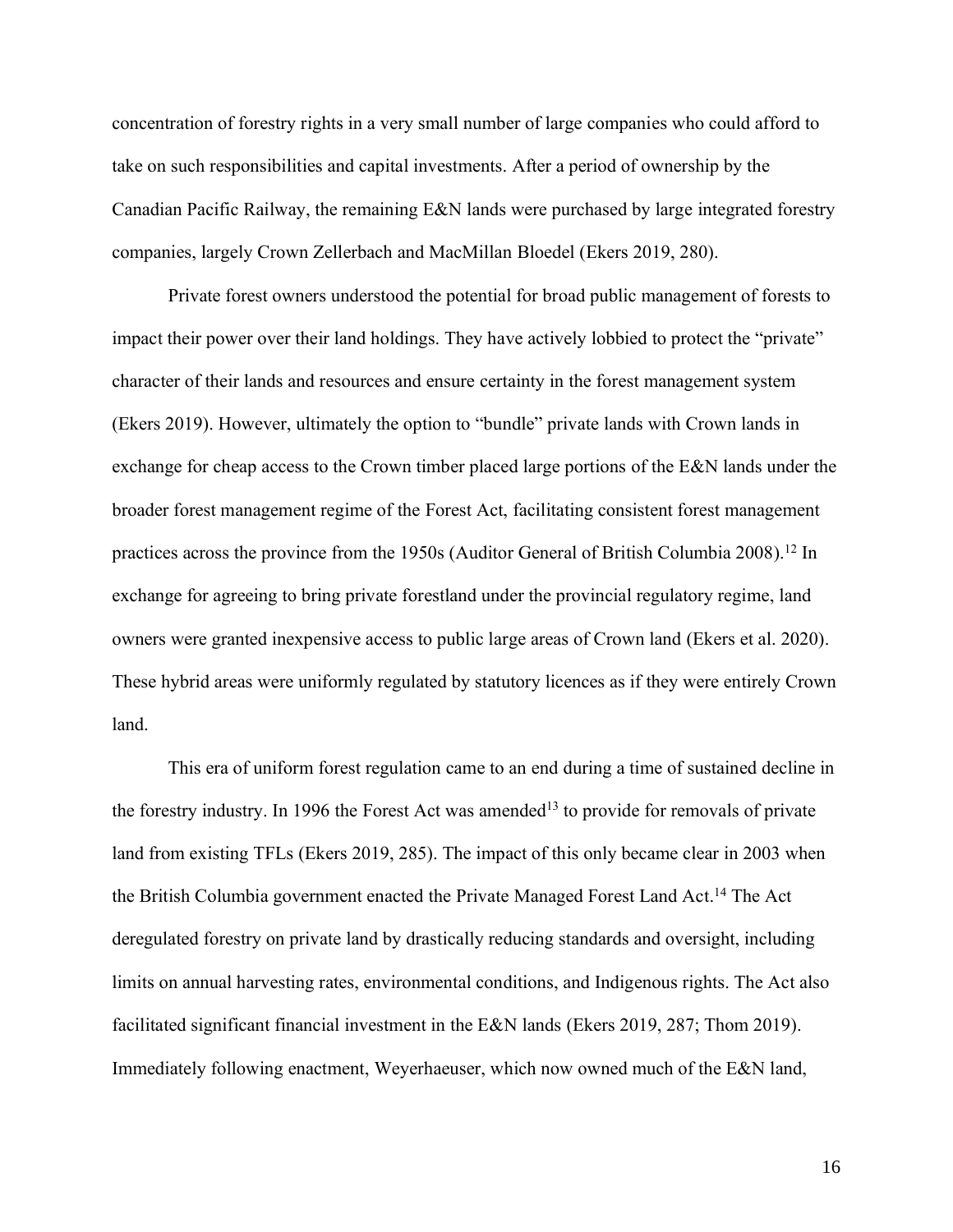concentration of forestry rights in a very small number of large companies who could afford to take on such responsibilities and capital investments. After a period of ownership by the Canadian Pacific Railway, the remaining E&N lands were purchased by large integrated forestry companies, largely Crown Zellerbach and MacMillan Bloedel (Ekers 2019, 280).

Private forest owners understood the potential for broad public management of forests to impact their power over their land holdings. They have actively lobbied to protect the "private" character of their lands and resources and ensure certainty in the forest management system (Ekers 2019). However, ultimately the option to "bundle" private lands with Crown lands in exchange for cheap access to the Crown timber placed large portions of the E&N lands under the broader forest management regime of the Forest Act, facilitating consistent forest management practices across the province from the 1950s (Auditor General of British Columbia 2008).<sup>12</sup> In exchange for agreeing to bring private forestland under the provincial regulatory regime, land owners were granted inexpensive access to public large areas of Crown land (Ekers et al. 2020). These hybrid areas were uniformly regulated by statutory licences as if they were entirely Crown land.

This era of uniform forest regulation came to an end during a time of sustained decline in the forestry industry. In 1996 the Forest Act was amended<sup>13</sup> to provide for removals of private land from existing TFLs (Ekers 2019, 285). The impact of this only became clear in 2003 when the British Columbia government enacted the Private Managed Forest Land Act.<sup>14</sup> The Act deregulated forestry on private land by drastically reducing standards and oversight, including limits on annual harvesting rates, environmental conditions, and Indigenous rights. The Act also facilitated significant financial investment in the E&N lands (Ekers 2019, 287; Thom 2019). Immediately following enactment, Weyerhaeuser, which now owned much of the E&N land,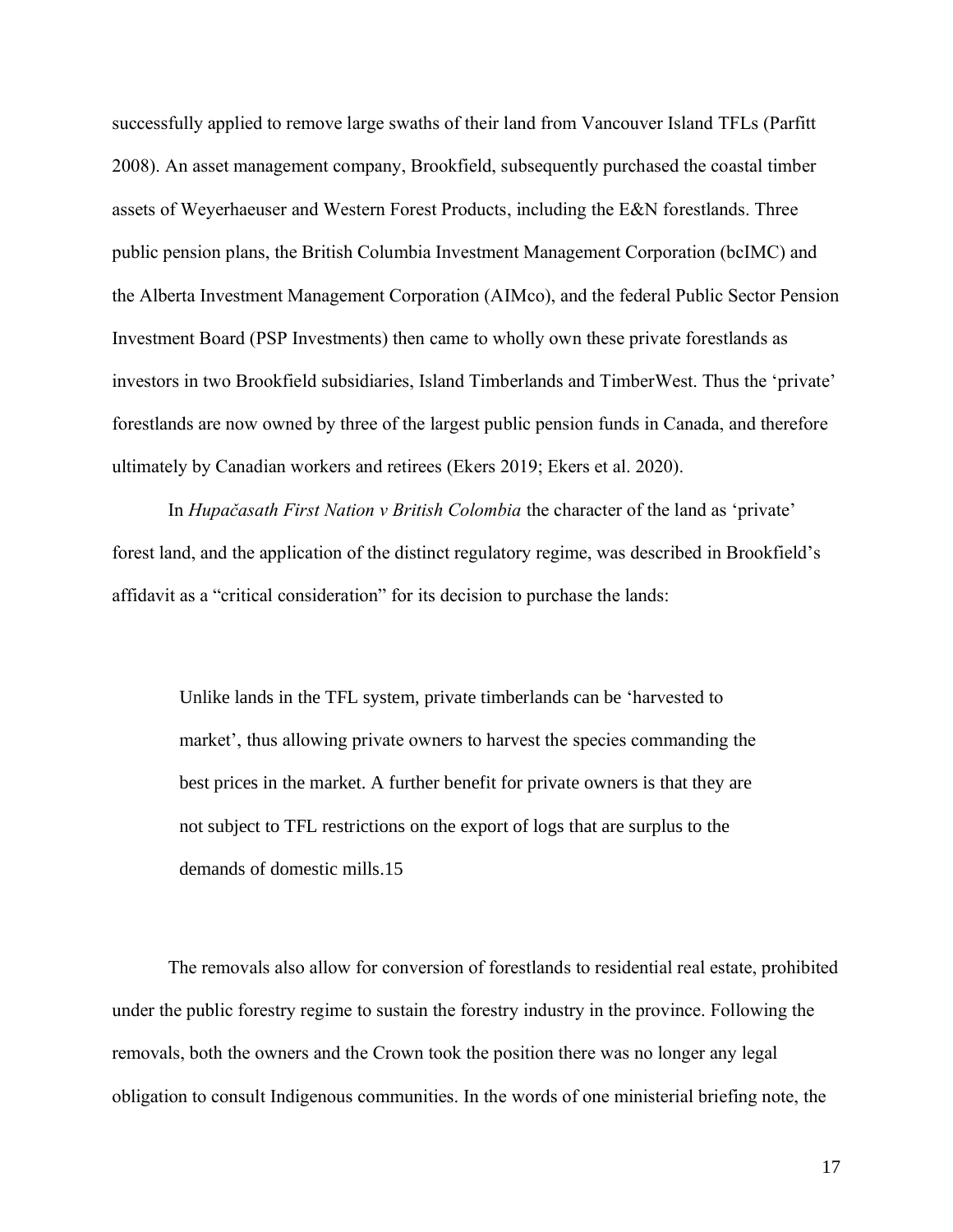successfully applied to remove large swaths of their land from Vancouver Island TFLs (Parfitt 2008). An asset management company, Brookfield, subsequently purchased the coastal timber assets of Weyerhaeuser and Western Forest Products, including the E&N forestlands. Three public pension plans, the British Columbia Investment Management Corporation (bcIMC) and the Alberta Investment Management Corporation (AIMco), and the federal Public Sector Pension Investment Board (PSP Investments) then came to wholly own these private forestlands as investors in two Brookfield subsidiaries, Island Timberlands and TimberWest. Thus the 'private' forestlands are now owned by three of the largest public pension funds in Canada, and therefore ultimately by Canadian workers and retirees (Ekers 2019; Ekers et al. 2020).

In *Hupačasath First Nation v British Colombia* the character of the land as 'private' forest land, and the application of the distinct regulatory regime, was described in Brookfield's affidavit as a "critical consideration" for its decision to purchase the lands:

Unlike lands in the TFL system, private timberlands can be 'harvested to market', thus allowing private owners to harvest the species commanding the best prices in the market. A further benefit for private owners is that they are not subject to TFL restrictions on the export of logs that are surplus to the demands of domestic mills.15

The removals also allow for conversion of forestlands to residential real estate, prohibited under the public forestry regime to sustain the forestry industry in the province. Following the removals, both the owners and the Crown took the position there was no longer any legal obligation to consult Indigenous communities. In the words of one ministerial briefing note, the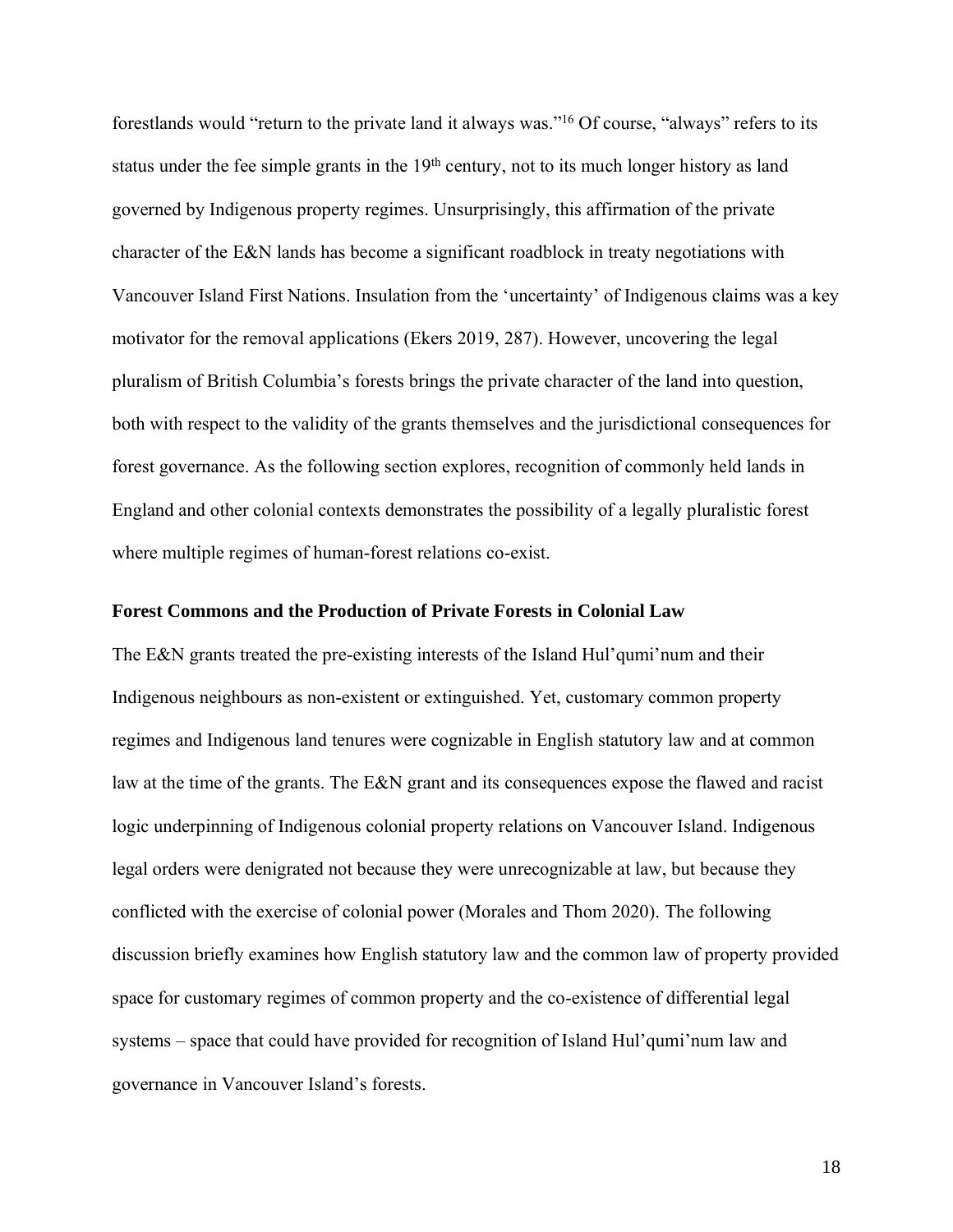forestlands would "return to the private land it always was." <sup>16</sup> Of course, "always" refers to its status under the fee simple grants in the  $19<sup>th</sup>$  century, not to its much longer history as land governed by Indigenous property regimes. Unsurprisingly, this affirmation of the private character of the E&N lands has become a significant roadblock in treaty negotiations with Vancouver Island First Nations. Insulation from the 'uncertainty' of Indigenous claims was a key motivator for the removal applications (Ekers 2019, 287). However, uncovering the legal pluralism of British Columbia's forests brings the private character of the land into question, both with respect to the validity of the grants themselves and the jurisdictional consequences for forest governance. As the following section explores, recognition of commonly held lands in England and other colonial contexts demonstrates the possibility of a legally pluralistic forest where multiple regimes of human-forest relations co-exist.

#### **Forest Commons and the Production of Private Forests in Colonial Law**

The E&N grants treated the pre-existing interests of the Island Hul'qumi'num and their Indigenous neighbours as non-existent or extinguished. Yet, customary common property regimes and Indigenous land tenures were cognizable in English statutory law and at common law at the time of the grants. The E&N grant and its consequences expose the flawed and racist logic underpinning of Indigenous colonial property relations on Vancouver Island. Indigenous legal orders were denigrated not because they were unrecognizable at law, but because they conflicted with the exercise of colonial power (Morales and Thom 2020). The following discussion briefly examines how English statutory law and the common law of property provided space for customary regimes of common property and the co-existence of differential legal systems – space that could have provided for recognition of Island Hul'qumi'num law and governance in Vancouver Island's forests.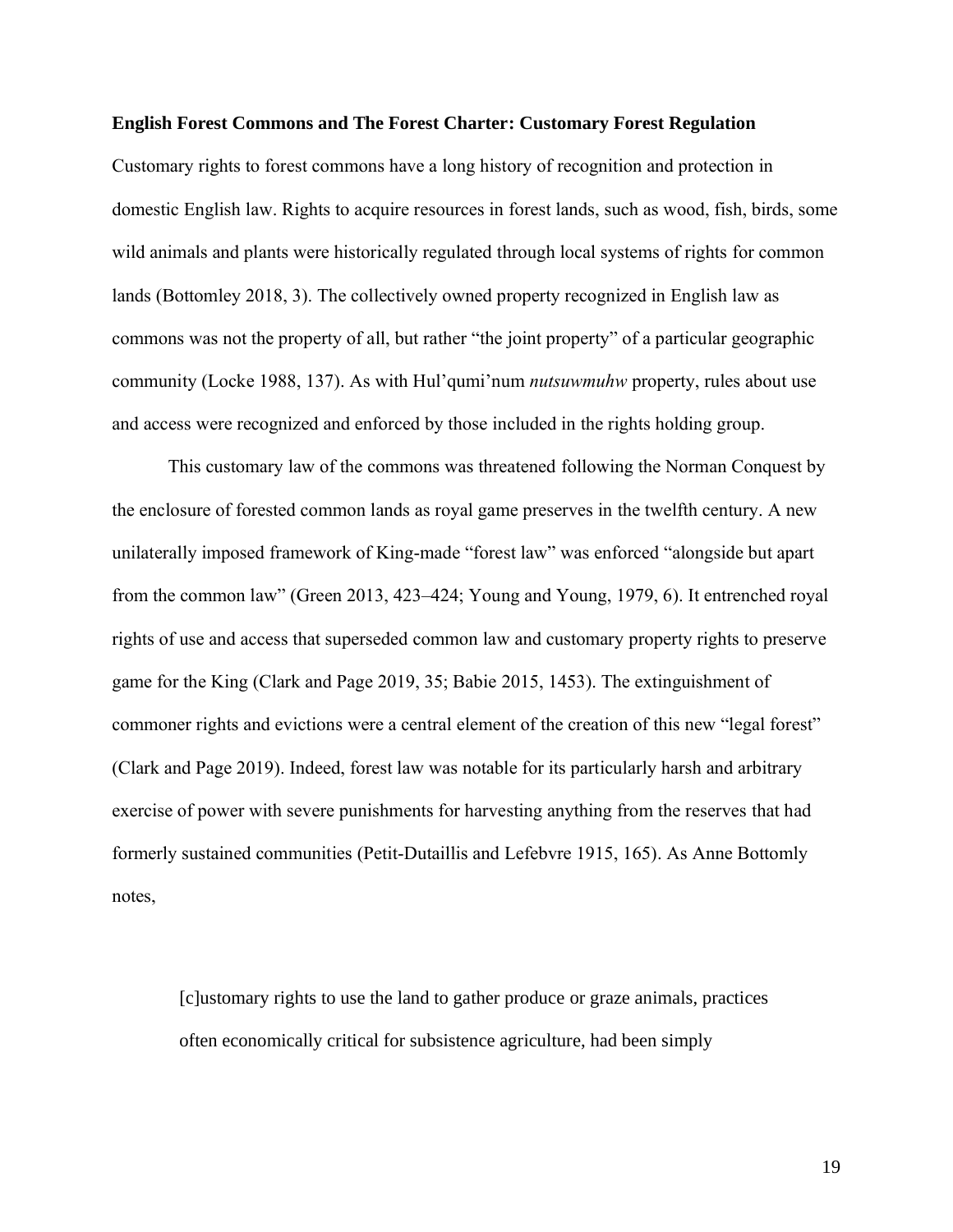#### **English Forest Commons and The Forest Charter: Customary Forest Regulation**

Customary rights to forest commons have a long history of recognition and protection in domestic English law. Rights to acquire resources in forest lands, such as wood, fish, birds, some wild animals and plants were historically regulated through local systems of rights for common lands (Bottomley 2018, 3). The collectively owned property recognized in English law as commons was not the property of all, but rather "the joint property" of a particular geographic community (Locke 1988, 137). As with Hul'qumi'num *nutsuwmuhw* property, rules about use and access were recognized and enforced by those included in the rights holding group.

This customary law of the commons was threatened following the Norman Conquest by the enclosure of forested common lands as royal game preserves in the twelfth century. A new unilaterally imposed framework of King-made "forest law" was enforced "alongside but apart from the common law" (Green 2013, 423–424; Young and Young, 1979, 6). It entrenched royal rights of use and access that superseded common law and customary property rights to preserve game for the King (Clark and Page 2019, 35; Babie 2015, 1453). The extinguishment of commoner rights and evictions were a central element of the creation of this new "legal forest" (Clark and Page 2019). Indeed, forest law was notable for its particularly harsh and arbitrary exercise of power with severe punishments for harvesting anything from the reserves that had formerly sustained communities (Petit-Dutaillis and Lefebvre 1915, 165). As Anne Bottomly notes,

[c]ustomary rights to use the land to gather produce or graze animals, practices often economically critical for subsistence agriculture, had been simply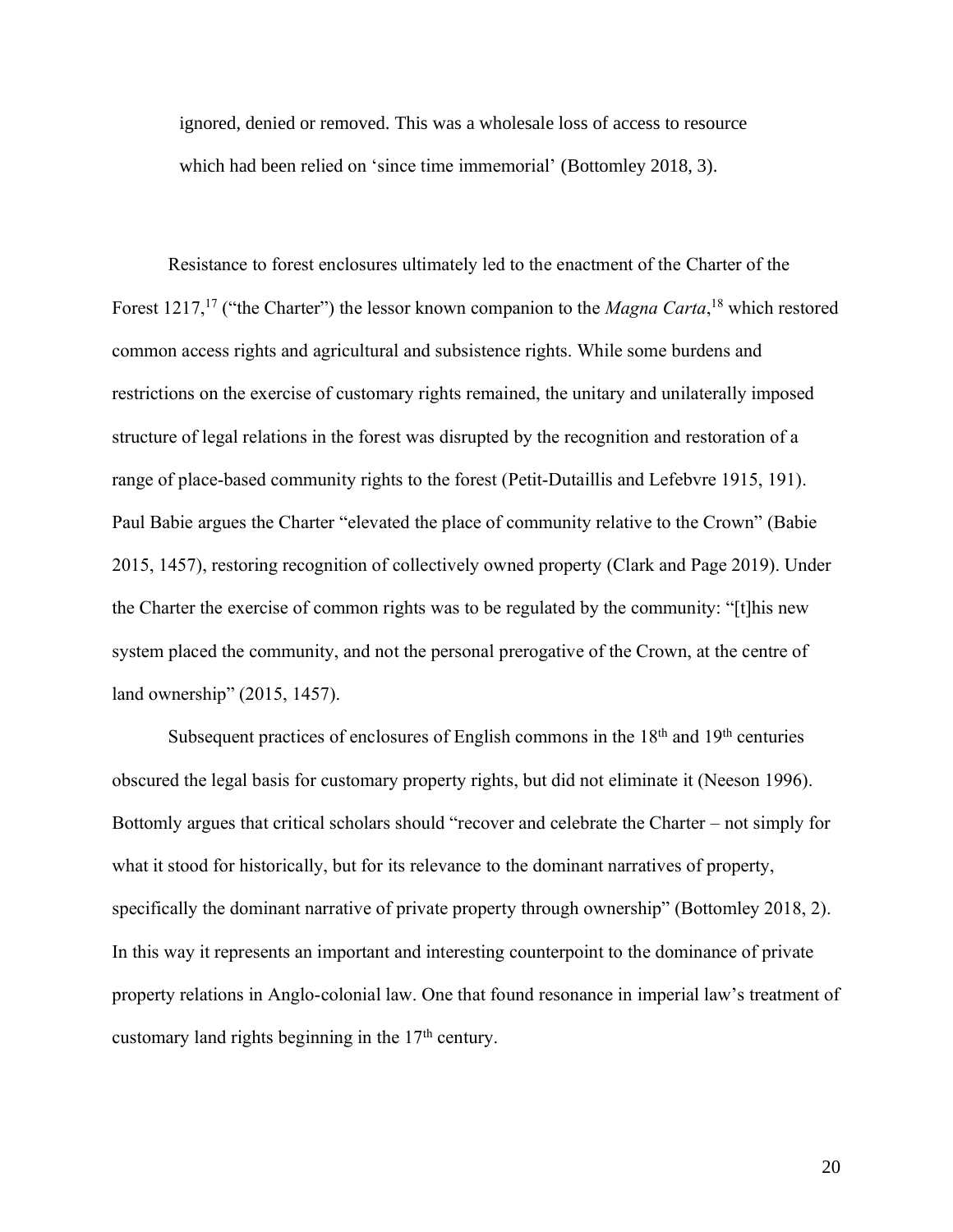ignored, denied or removed. This was a wholesale loss of access to resource which had been relied on 'since time immemorial' (Bottomley 2018, 3).

Resistance to forest enclosures ultimately led to the enactment of the Charter of the Forest 1217,<sup>17</sup> ("the Charter") the lessor known companion to the *Magna Carta*,<sup>18</sup> which restored common access rights and agricultural and subsistence rights. While some burdens and restrictions on the exercise of customary rights remained, the unitary and unilaterally imposed structure of legal relations in the forest was disrupted by the recognition and restoration of a range of place-based community rights to the forest (Petit-Dutaillis and Lefebvre 1915, 191). Paul Babie argues the Charter "elevated the place of community relative to the Crown" (Babie 2015, 1457), restoring recognition of collectively owned property (Clark and Page 2019). Under the Charter the exercise of common rights was to be regulated by the community: "[t]his new system placed the community, and not the personal prerogative of the Crown, at the centre of land ownership" (2015, 1457).

Subsequent practices of enclosures of English commons in the  $18<sup>th</sup>$  and  $19<sup>th</sup>$  centuries obscured the legal basis for customary property rights, but did not eliminate it (Neeson 1996). Bottomly argues that critical scholars should "recover and celebrate the Charter – not simply for what it stood for historically, but for its relevance to the dominant narratives of property, specifically the dominant narrative of private property through ownership" (Bottomley 2018, 2). In this way it represents an important and interesting counterpoint to the dominance of private property relations in Anglo-colonial law. One that found resonance in imperial law's treatment of customary land rights beginning in the  $17<sup>th</sup>$  century.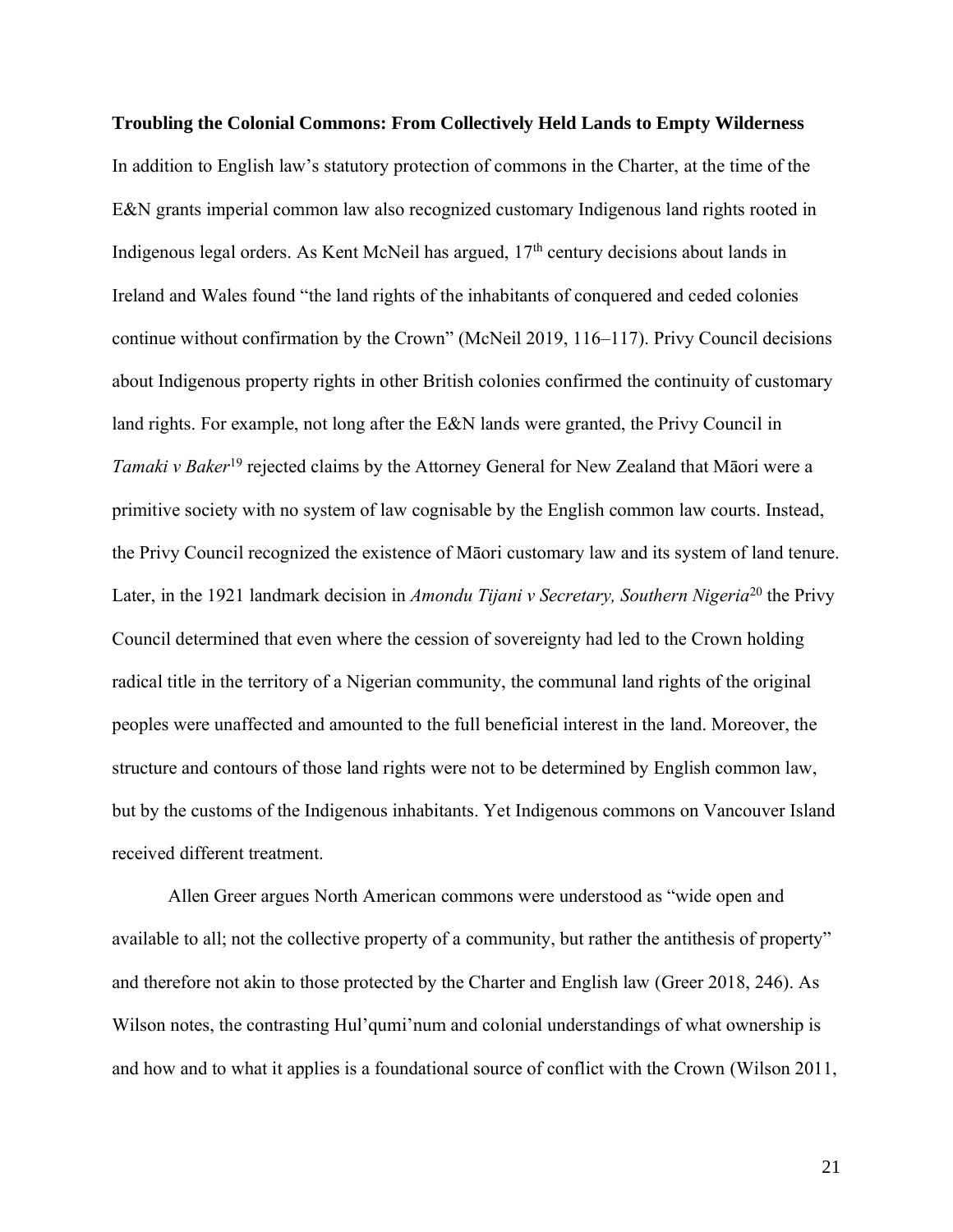**Troubling the Colonial Commons: From Collectively Held Lands to Empty Wilderness** In addition to English law's statutory protection of commons in the Charter, at the time of the E&N grants imperial common law also recognized customary Indigenous land rights rooted in Indigenous legal orders. As Kent McNeil has argued, 17<sup>th</sup> century decisions about lands in Ireland and Wales found "the land rights of the inhabitants of conquered and ceded colonies continue without confirmation by the Crown" (McNeil 2019, 116–117). Privy Council decisions about Indigenous property rights in other British colonies confirmed the continuity of customary land rights. For example, not long after the E&N lands were granted, the Privy Council in Tamaki v Baker<sup>19</sup> rejected claims by the Attorney General for New Zealand that Māori were a primitive society with no system of law cognisable by the English common law courts. Instead, the Privy Council recognized the existence of Māori customary law and its system of land tenure. Later, in the 1921 landmark decision in *Amondu Tijani v Secretary, Southern Nigeria*<sup>20</sup> the Privy Council determined that even where the cession of sovereignty had led to the Crown holding radical title in the territory of a Nigerian community, the communal land rights of the original peoples were unaffected and amounted to the full beneficial interest in the land. Moreover, the structure and contours of those land rights were not to be determined by English common law, but by the customs of the Indigenous inhabitants. Yet Indigenous commons on Vancouver Island received different treatment.

Allen Greer argues North American commons were understood as "wide open and available to all; not the collective property of a community, but rather the antithesis of property" and therefore not akin to those protected by the Charter and English law (Greer 2018, 246). As Wilson notes, the contrasting Hul'qumi'num and colonial understandings of what ownership is and how and to what it applies is a foundational source of conflict with the Crown (Wilson 2011,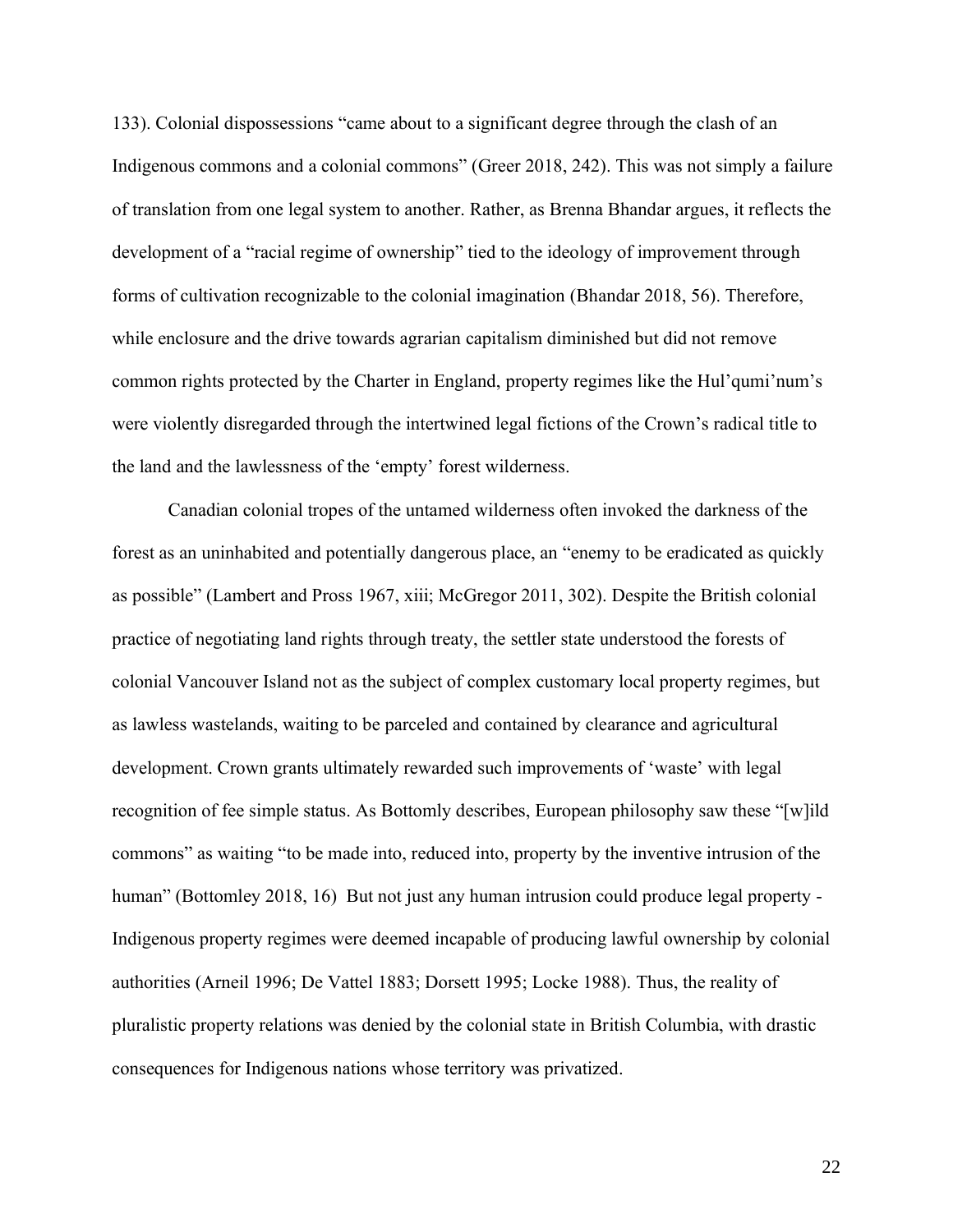133). Colonial dispossessions "came about to a significant degree through the clash of an Indigenous commons and a colonial commons" (Greer 2018, 242). This was not simply a failure of translation from one legal system to another. Rather, as Brenna Bhandar argues, it reflects the development of a "racial regime of ownership" tied to the ideology of improvement through forms of cultivation recognizable to the colonial imagination (Bhandar 2018, 56). Therefore, while enclosure and the drive towards agrarian capitalism diminished but did not remove common rights protected by the Charter in England, property regimes like the Hul'qumi'num's were violently disregarded through the intertwined legal fictions of the Crown's radical title to the land and the lawlessness of the 'empty' forest wilderness.

Canadian colonial tropes of the untamed wilderness often invoked the darkness of the forest as an uninhabited and potentially dangerous place, an "enemy to be eradicated as quickly as possible" (Lambert and Pross 1967, xiii; McGregor 2011, 302). Despite the British colonial practice of negotiating land rights through treaty, the settler state understood the forests of colonial Vancouver Island not as the subject of complex customary local property regimes, but as lawless wastelands, waiting to be parceled and contained by clearance and agricultural development. Crown grants ultimately rewarded such improvements of 'waste' with legal recognition of fee simple status. As Bottomly describes, European philosophy saw these "[w]ild commons" as waiting "to be made into, reduced into, property by the inventive intrusion of the human" (Bottomley 2018, 16) But not just any human intrusion could produce legal property -Indigenous property regimes were deemed incapable of producing lawful ownership by colonial authorities (Arneil 1996; De Vattel 1883; Dorsett 1995; Locke 1988). Thus, the reality of pluralistic property relations was denied by the colonial state in British Columbia, with drastic consequences for Indigenous nations whose territory was privatized.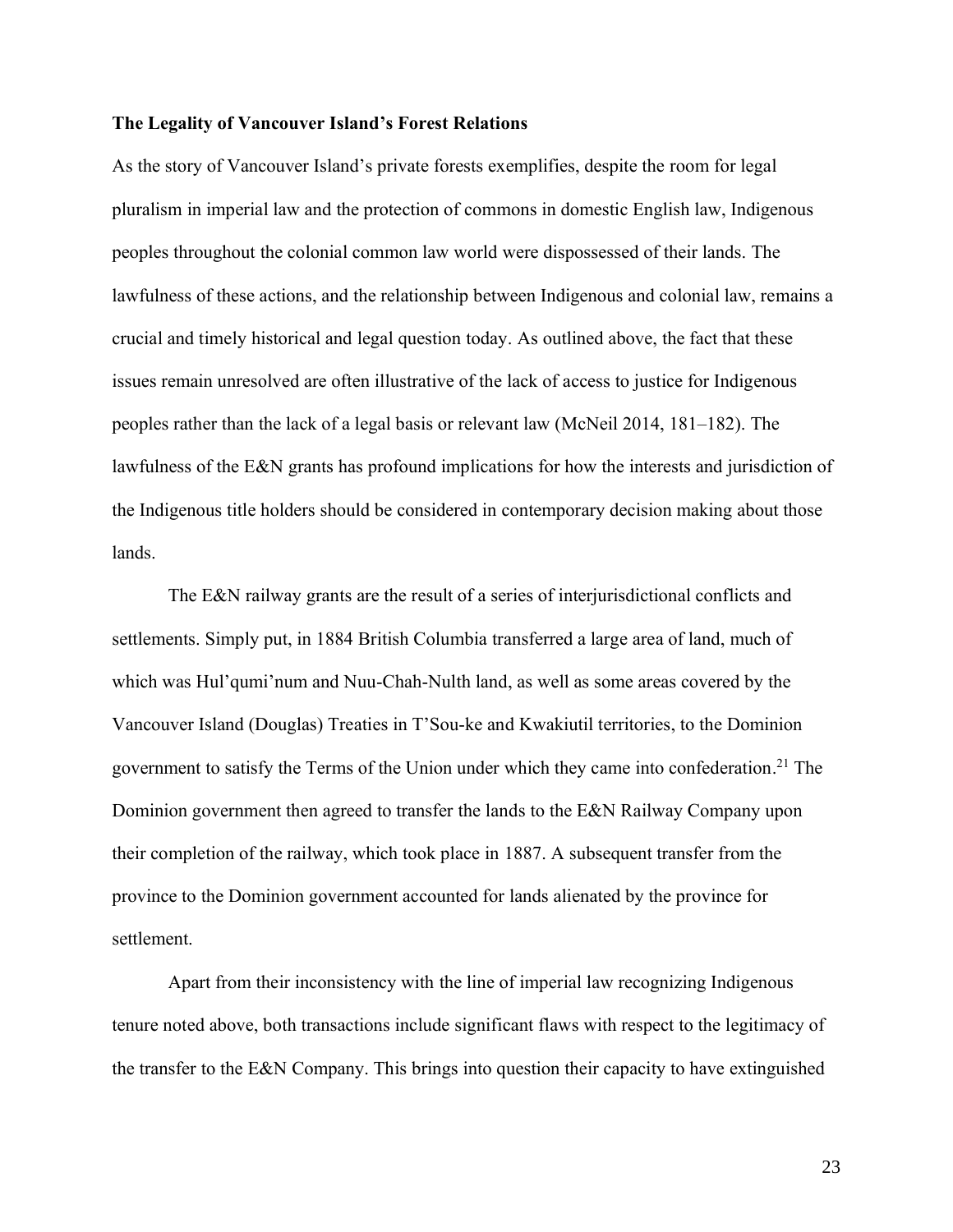#### **The Legality of Vancouver Island's Forest Relations**

As the story of Vancouver Island's private forests exemplifies, despite the room for legal pluralism in imperial law and the protection of commons in domestic English law, Indigenous peoples throughout the colonial common law world were dispossessed of their lands. The lawfulness of these actions, and the relationship between Indigenous and colonial law, remains a crucial and timely historical and legal question today. As outlined above, the fact that these issues remain unresolved are often illustrative of the lack of access to justice for Indigenous peoples rather than the lack of a legal basis or relevant law (McNeil 2014, 181–182). The lawfulness of the E&N grants has profound implications for how the interests and jurisdiction of the Indigenous title holders should be considered in contemporary decision making about those lands.

The E&N railway grants are the result of a series of interjurisdictional conflicts and settlements. Simply put, in 1884 British Columbia transferred a large area of land, much of which was Hul'qumi'num and Nuu-Chah-Nulth land, as well as some areas covered by the Vancouver Island (Douglas) Treaties in T'Sou-ke and Kwakiutil territories, to the Dominion government to satisfy the Terms of the Union under which they came into confederation. <sup>21</sup> The Dominion government then agreed to transfer the lands to the E&N Railway Company upon their completion of the railway, which took place in 1887. A subsequent transfer from the province to the Dominion government accounted for lands alienated by the province for settlement.

Apart from their inconsistency with the line of imperial law recognizing Indigenous tenure noted above, both transactions include significant flaws with respect to the legitimacy of the transfer to the E&N Company. This brings into question their capacity to have extinguished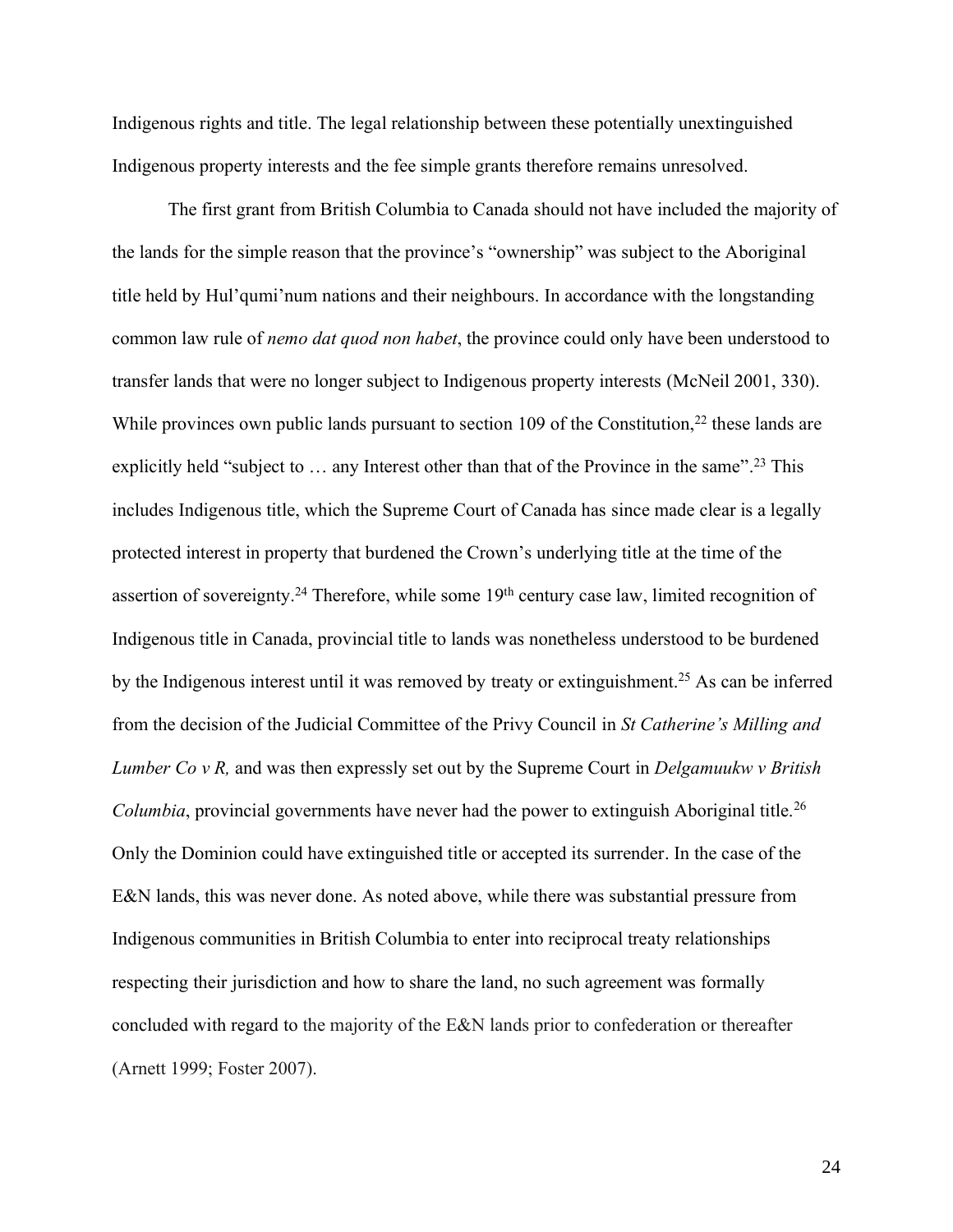Indigenous rights and title. The legal relationship between these potentially unextinguished Indigenous property interests and the fee simple grants therefore remains unresolved.

The first grant from British Columbia to Canada should not have included the majority of the lands for the simple reason that the province's "ownership" was subject to the Aboriginal title held by Hul'qumi'num nations and their neighbours. In accordance with the longstanding common law rule of *nemo dat quod non habet*, the province could only have been understood to transfer lands that were no longer subject to Indigenous property interests (McNeil 2001, 330). While provinces own public lands pursuant to section 109 of the Constitution, $22$  these lands are explicitly held "subject to ... any Interest other than that of the Province in the same".<sup>23</sup> This includes Indigenous title, which the Supreme Court of Canada has since made clear is a legally protected interest in property that burdened the Crown's underlying title at the time of the assertion of sovereignty.<sup>24</sup> Therefore, while some  $19<sup>th</sup>$  century case law, limited recognition of Indigenous title in Canada, provincial title to lands was nonetheless understood to be burdened by the Indigenous interest until it was removed by treaty or extinguishment.<sup>25</sup> As can be inferred from the decision of the Judicial Committee of the Privy Council in *St Catherine's Milling and Lumber Co v R,* and was then expressly set out by the Supreme Court in *Delgamuukw v British Columbia*, provincial governments have never had the power to extinguish Aboriginal title.<sup>26</sup> Only the Dominion could have extinguished title or accepted its surrender. In the case of the E&N lands, this was never done. As noted above, while there was substantial pressure from Indigenous communities in British Columbia to enter into reciprocal treaty relationships respecting their jurisdiction and how to share the land, no such agreement was formally concluded with regard to the majority of the E&N lands prior to confederation or thereafter (Arnett 1999; Foster 2007).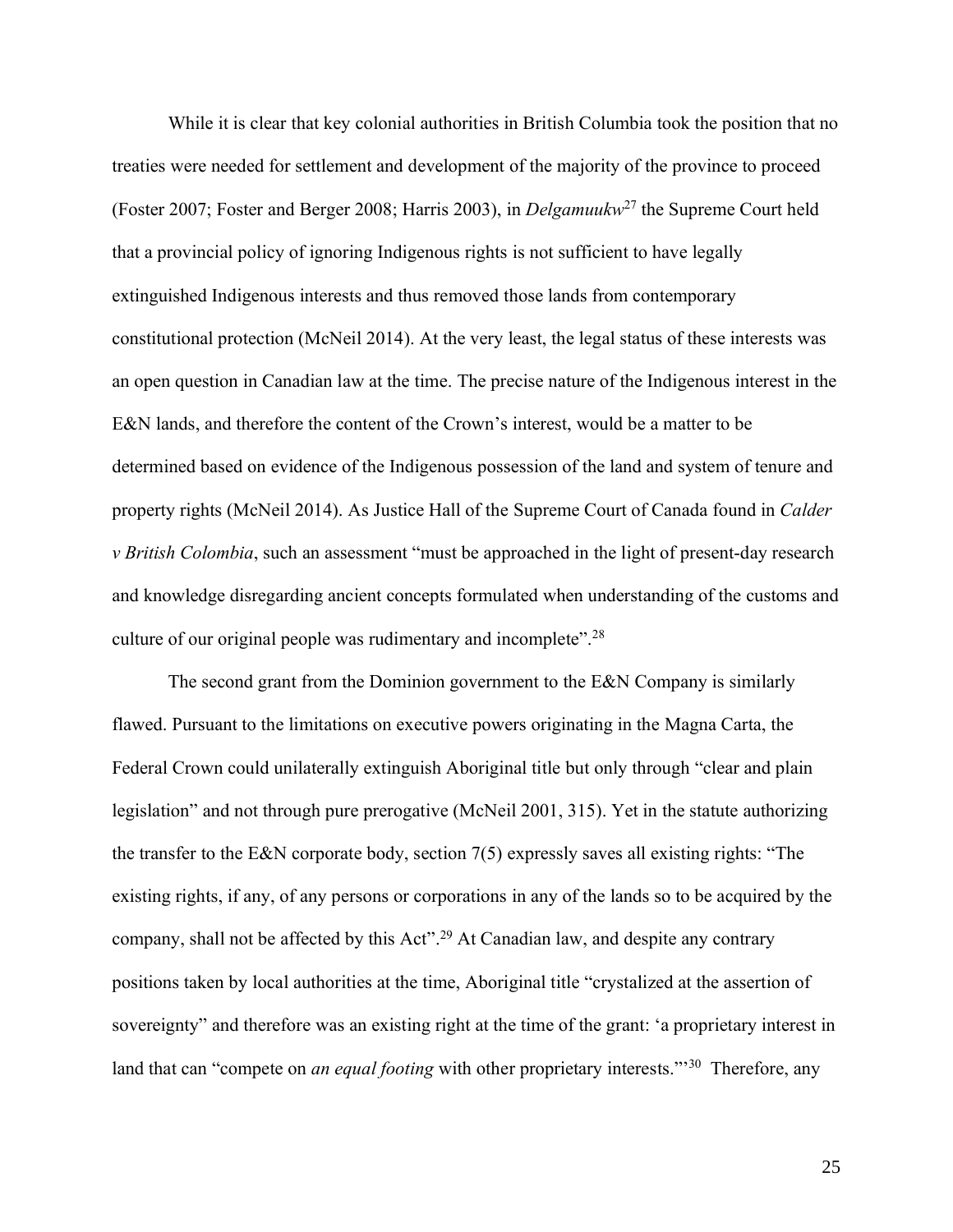While it is clear that key colonial authorities in British Columbia took the position that no treaties were needed for settlement and development of the majority of the province to proceed (Foster 2007; Foster and Berger 2008; Harris 2003), in *Delgamuukw*<sup>27</sup> the Supreme Court held that a provincial policy of ignoring Indigenous rights is not sufficient to have legally extinguished Indigenous interests and thus removed those lands from contemporary constitutional protection (McNeil 2014). At the very least, the legal status of these interests was an open question in Canadian law at the time. The precise nature of the Indigenous interest in the E&N lands, and therefore the content of the Crown's interest, would be a matter to be determined based on evidence of the Indigenous possession of the land and system of tenure and property rights (McNeil 2014). As Justice Hall of the Supreme Court of Canada found in *Calder v British Colombia*, such an assessment "must be approached in the light of present-day research and knowledge disregarding ancient concepts formulated when understanding of the customs and culture of our original people was rudimentary and incomplete".<sup>28</sup>

The second grant from the Dominion government to the E&N Company is similarly flawed. Pursuant to the limitations on executive powers originating in the Magna Carta, the Federal Crown could unilaterally extinguish Aboriginal title but only through "clear and plain legislation" and not through pure prerogative (McNeil 2001, 315). Yet in the statute authorizing the transfer to the E&N corporate body, section 7(5) expressly saves all existing rights: "The existing rights, if any, of any persons or corporations in any of the lands so to be acquired by the company, shall not be affected by this Act".<sup>29</sup> At Canadian law, and despite any contrary positions taken by local authorities at the time, Aboriginal title "crystalized at the assertion of sovereignty" and therefore was an existing right at the time of the grant: 'a proprietary interest in land that can "compete on *an equal footing* with other proprietary interests."<sup>30</sup> Therefore, any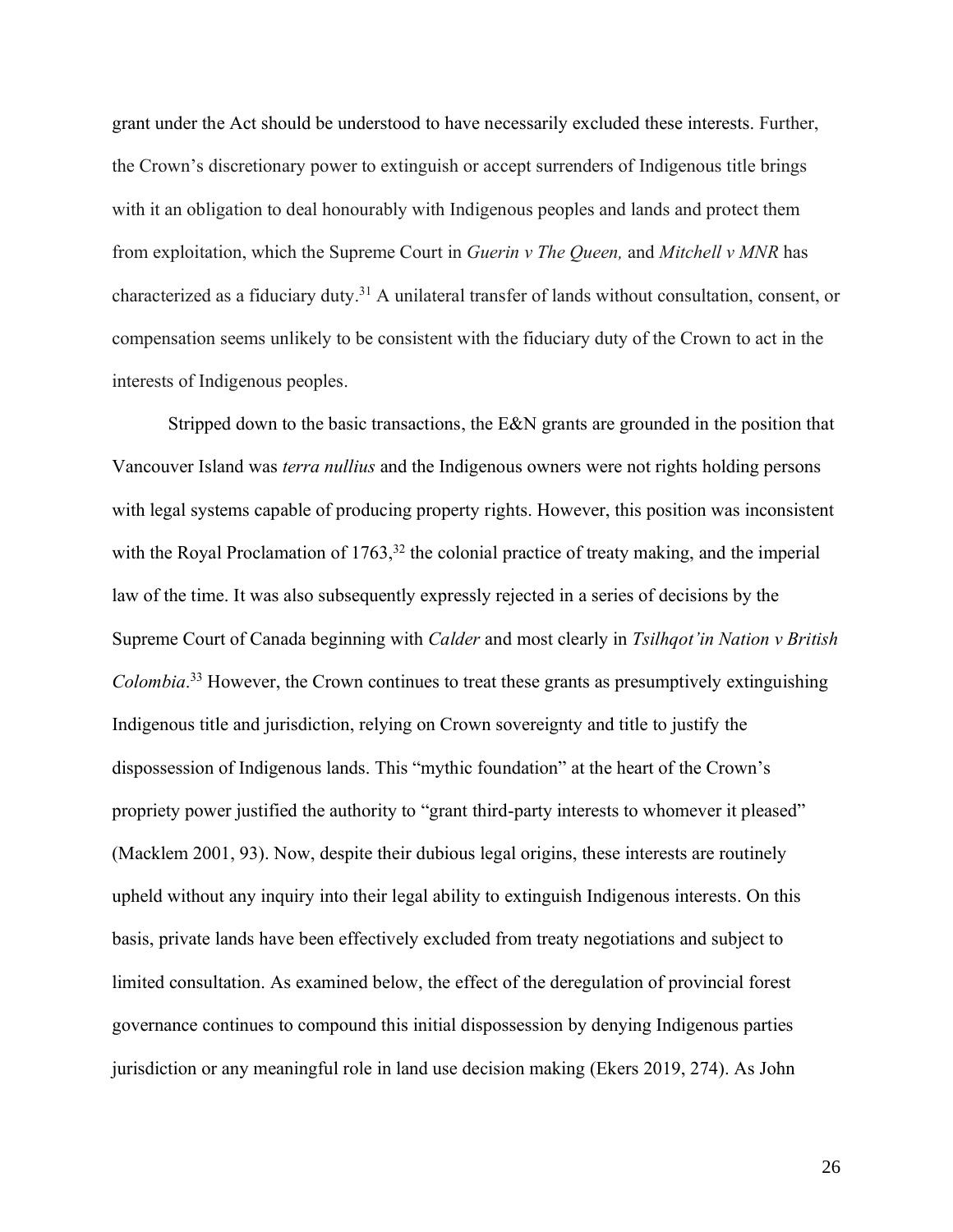grant under the Act should be understood to have necessarily excluded these interests. Further, the Crown's discretionary power to extinguish or accept surrenders of Indigenous title brings with it an obligation to deal honourably with Indigenous peoples and lands and protect them from exploitation, which the Supreme Court in *Guerin v The Queen,* and *Mitchell v MNR* has characterized as a fiduciary duty. <sup>31</sup> A unilateral transfer of lands without consultation, consent, or compensation seems unlikely to be consistent with the fiduciary duty of the Crown to act in the interests of Indigenous peoples.

Stripped down to the basic transactions, the E&N grants are grounded in the position that Vancouver Island was *terra nullius* and the Indigenous owners were not rights holding persons with legal systems capable of producing property rights. However, this position was inconsistent with the Royal Proclamation of  $1763$ ,<sup>32</sup> the colonial practice of treaty making, and the imperial law of the time. It was also subsequently expressly rejected in a series of decisions by the Supreme Court of Canada beginning with *Calder* and most clearly in *Tsilhqot'in Nation v British Colombia*. <sup>33</sup> However, the Crown continues to treat these grants as presumptively extinguishing Indigenous title and jurisdiction, relying on Crown sovereignty and title to justify the dispossession of Indigenous lands. This "mythic foundation" at the heart of the Crown's propriety power justified the authority to "grant third-party interests to whomever it pleased" (Macklem 2001, 93). Now, despite their dubious legal origins, these interests are routinely upheld without any inquiry into their legal ability to extinguish Indigenous interests. On this basis, private lands have been effectively excluded from treaty negotiations and subject to limited consultation. As examined below, the effect of the deregulation of provincial forest governance continues to compound this initial dispossession by denying Indigenous parties jurisdiction or any meaningful role in land use decision making (Ekers 2019, 274). As John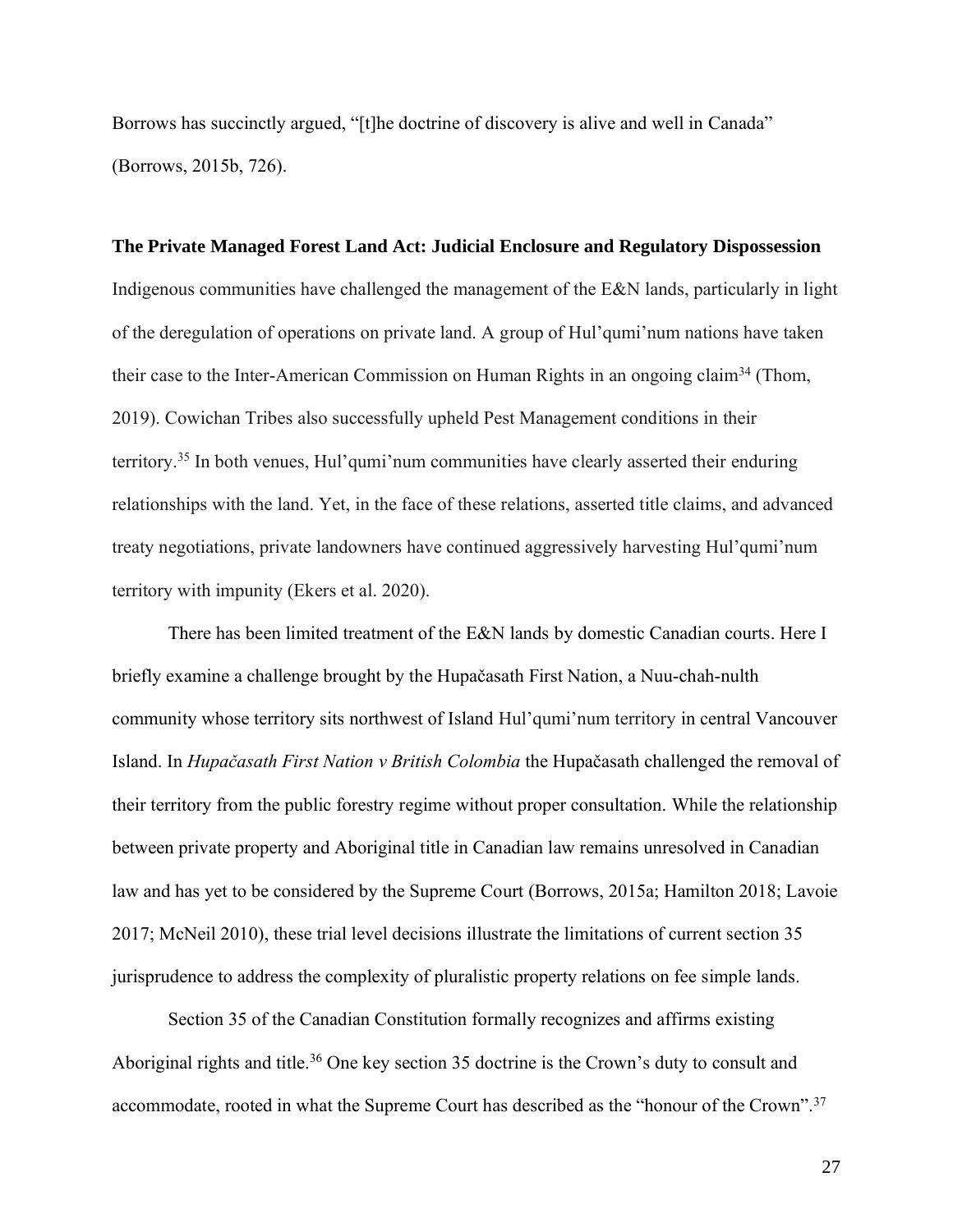Borrows has succinctly argued, "[t]he doctrine of discovery is alive and well in Canada" (Borrows, 2015b, 726).

#### **The Private Managed Forest Land Act: Judicial Enclosure and Regulatory Dispossession**

Indigenous communities have challenged the management of the E&N lands, particularly in light of the deregulation of operations on private land. A group of Hul'qumi'num nations have taken their case to the Inter-American Commission on Human Rights in an ongoing claim<sup>34</sup> (Thom, 2019). Cowichan Tribes also successfully upheld Pest Management conditions in their territory.<sup>35</sup> In both venues, Hul'qumi'num communities have clearly asserted their enduring relationships with the land. Yet, in the face of these relations, asserted title claims, and advanced treaty negotiations, private landowners have continued aggressively harvesting Hul'qumi'num territory with impunity (Ekers et al. 2020).

There has been limited treatment of the E&N lands by domestic Canadian courts. Here I briefly examine a challenge brought by the Hupačasath First Nation, a Nuu-chah-nulth community whose territory sits northwest of Island Hul'qumi'num territory in central Vancouver Island. In *Hupačasath First Nation v British Colombia* the Hupačasath challenged the removal of their territory from the public forestry regime without proper consultation. While the relationship between private property and Aboriginal title in Canadian law remains unresolved in Canadian law and has yet to be considered by the Supreme Court (Borrows, 2015a; Hamilton 2018; Lavoie 2017; McNeil 2010), these trial level decisions illustrate the limitations of current section 35 jurisprudence to address the complexity of pluralistic property relations on fee simple lands.

Section 35 of the Canadian Constitution formally recognizes and affirms existing Aboriginal rights and title.<sup>36</sup> One key section 35 doctrine is the Crown's duty to consult and accommodate, rooted in what the Supreme Court has described as the "honour of the Crown".<sup>37</sup>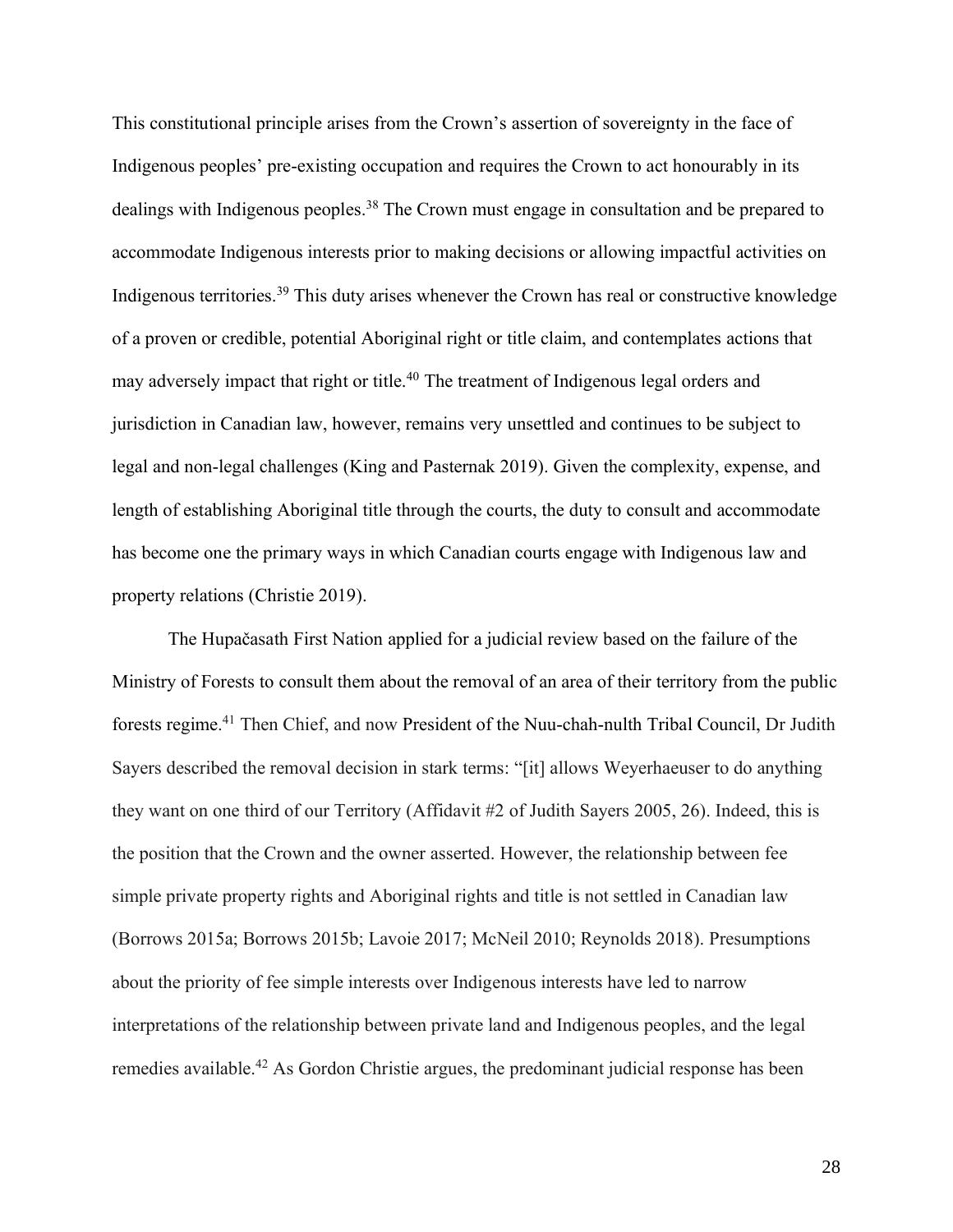This constitutional principle arises from the Crown's assertion of sovereignty in the face of Indigenous peoples' pre-existing occupation and requires the Crown to act honourably in its dealings with Indigenous peoples.<sup>38</sup> The Crown must engage in consultation and be prepared to accommodate Indigenous interests prior to making decisions or allowing impactful activities on Indigenous territories.<sup>39</sup> This duty arises whenever the Crown has real or constructive knowledge of a proven or credible, potential Aboriginal right or title claim, and contemplates actions that may adversely impact that right or title.<sup>40</sup> The treatment of Indigenous legal orders and jurisdiction in Canadian law, however, remains very unsettled and continues to be subject to legal and non-legal challenges (King and Pasternak 2019). Given the complexity, expense, and length of establishing Aboriginal title through the courts, the duty to consult and accommodate has become one the primary ways in which Canadian courts engage with Indigenous law and property relations (Christie 2019).

The Hupačasath First Nation applied for a judicial review based on the failure of the Ministry of Forests to consult them about the removal of an area of their territory from the public forests regime. <sup>41</sup> Then Chief, and now President of the Nuu-chah-nulth Tribal Council, Dr Judith Sayers described the removal decision in stark terms: "[it] allows Weyerhaeuser to do anything they want on one third of our Territory (Affidavit #2 of Judith Sayers 2005, 26). Indeed, this is the position that the Crown and the owner asserted. However, the relationship between fee simple private property rights and Aboriginal rights and title is not settled in Canadian law (Borrows 2015a; Borrows 2015b; Lavoie 2017; McNeil 2010; Reynolds 2018). Presumptions about the priority of fee simple interests over Indigenous interests have led to narrow interpretations of the relationship between private land and Indigenous peoples, and the legal remedies available.<sup>42</sup> As Gordon Christie argues, the predominant judicial response has been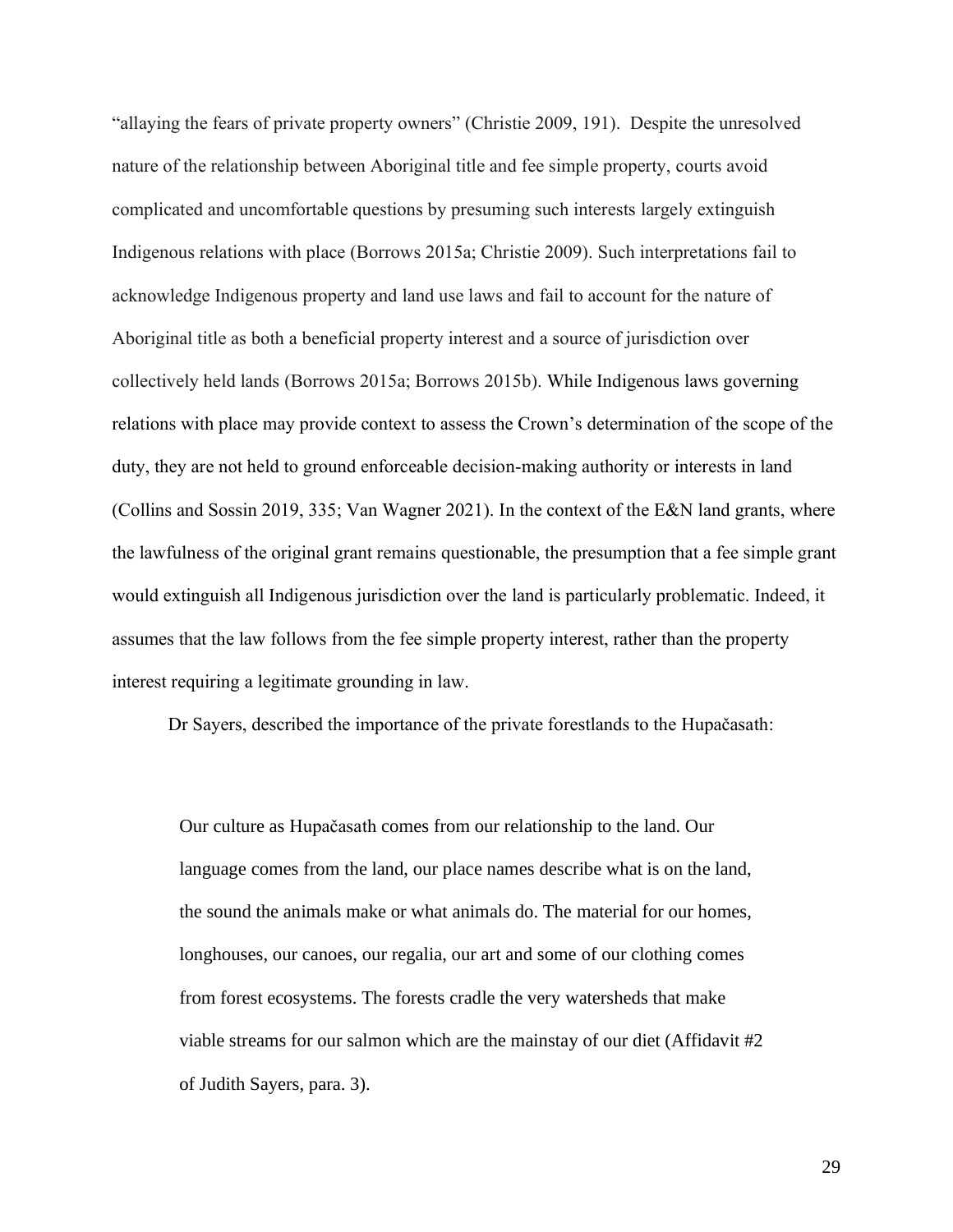"allaying the fears of private property owners" (Christie 2009, 191). Despite the unresolved nature of the relationship between Aboriginal title and fee simple property, courts avoid complicated and uncomfortable questions by presuming such interests largely extinguish Indigenous relations with place (Borrows 2015a; Christie 2009). Such interpretations fail to acknowledge Indigenous property and land use laws and fail to account for the nature of Aboriginal title as both a beneficial property interest and a source of jurisdiction over collectively held lands (Borrows 2015a; Borrows 2015b). While Indigenous laws governing relations with place may provide context to assess the Crown's determination of the scope of the duty, they are not held to ground enforceable decision-making authority or interests in land (Collins and Sossin 2019, 335; Van Wagner 2021). In the context of the E&N land grants, where the lawfulness of the original grant remains questionable, the presumption that a fee simple grant would extinguish all Indigenous jurisdiction over the land is particularly problematic. Indeed, it assumes that the law follows from the fee simple property interest, rather than the property interest requiring a legitimate grounding in law.

Dr Sayers, described the importance of the private forestlands to the Hupačasath:

Our culture as Hupačasath comes from our relationship to the land. Our language comes from the land, our place names describe what is on the land, the sound the animals make or what animals do. The material for our homes, longhouses, our canoes, our regalia, our art and some of our clothing comes from forest ecosystems. The forests cradle the very watersheds that make viable streams for our salmon which are the mainstay of our diet (Affidavit #2 of Judith Sayers, para. 3).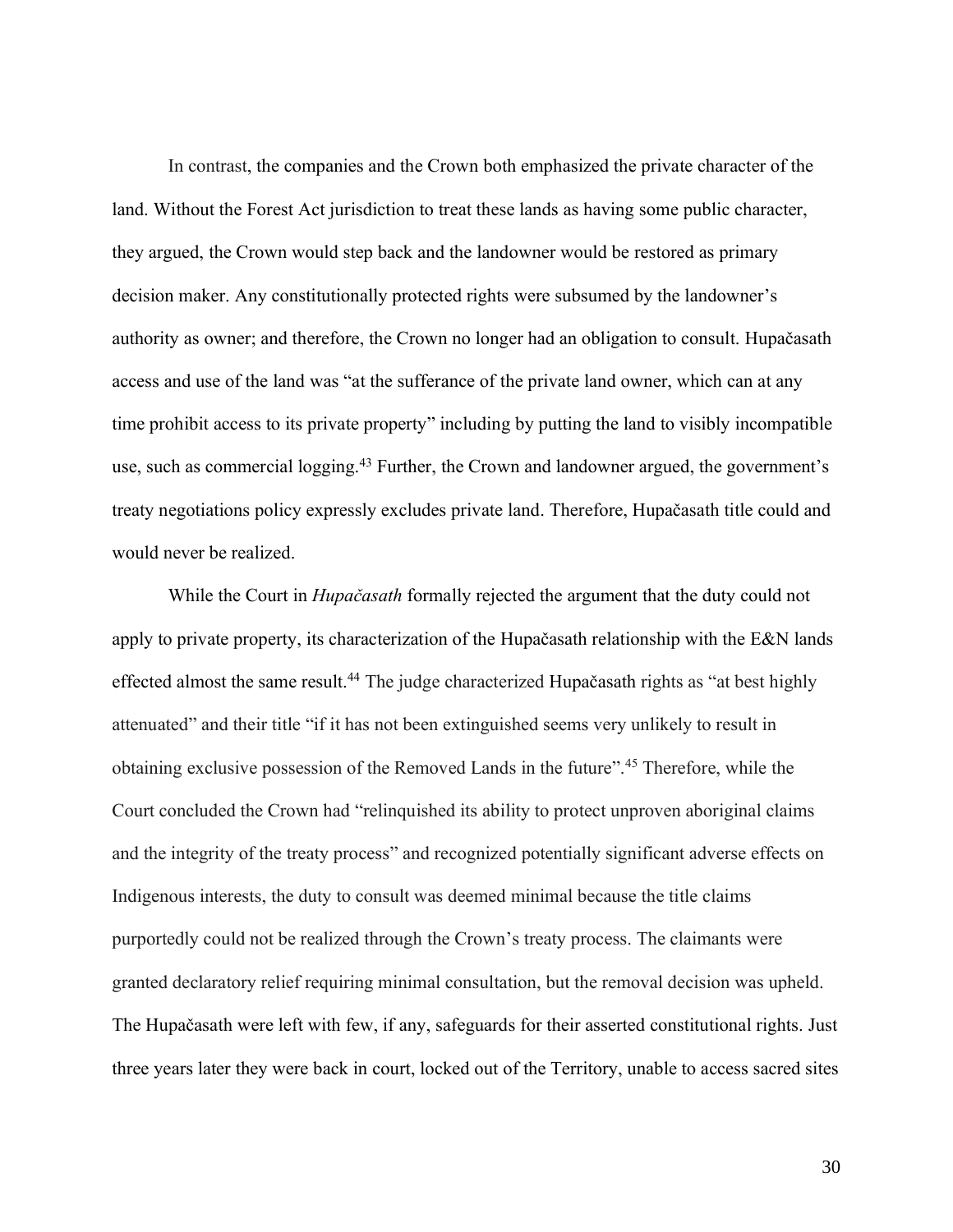In contrast, the companies and the Crown both emphasized the private character of the land. Without the Forest Act jurisdiction to treat these lands as having some public character, they argued, the Crown would step back and the landowner would be restored as primary decision maker. Any constitutionally protected rights were subsumed by the landowner's authority as owner; and therefore, the Crown no longer had an obligation to consult. Hupačasath access and use of the land was "at the sufferance of the private land owner, which can at any time prohibit access to its private property" including by putting the land to visibly incompatible use, such as commercial logging.<sup>43</sup> Further, the Crown and landowner argued, the government's treaty negotiations policy expressly excludes private land. Therefore, Hupačasath title could and would never be realized.

While the Court in *Hupačasath* formally rejected the argument that the duty could not apply to private property, its characterization of the Hupačasath relationship with the E&N lands effected almost the same result.<sup>44</sup> The judge characterized Hupačasath rights as "at best highly attenuated" and their title "if it has not been extinguished seems very unlikely to result in obtaining exclusive possession of the Removed Lands in the future".<sup>45</sup> Therefore, while the Court concluded the Crown had "relinquished its ability to protect unproven aboriginal claims and the integrity of the treaty process" and recognized potentially significant adverse effects on Indigenous interests, the duty to consult was deemed minimal because the title claims purportedly could not be realized through the Crown's treaty process. The claimants were granted declaratory relief requiring minimal consultation, but the removal decision was upheld. The Hupačasath were left with few, if any, safeguards for their asserted constitutional rights. Just three years later they were back in court, locked out of the Territory, unable to access sacred sites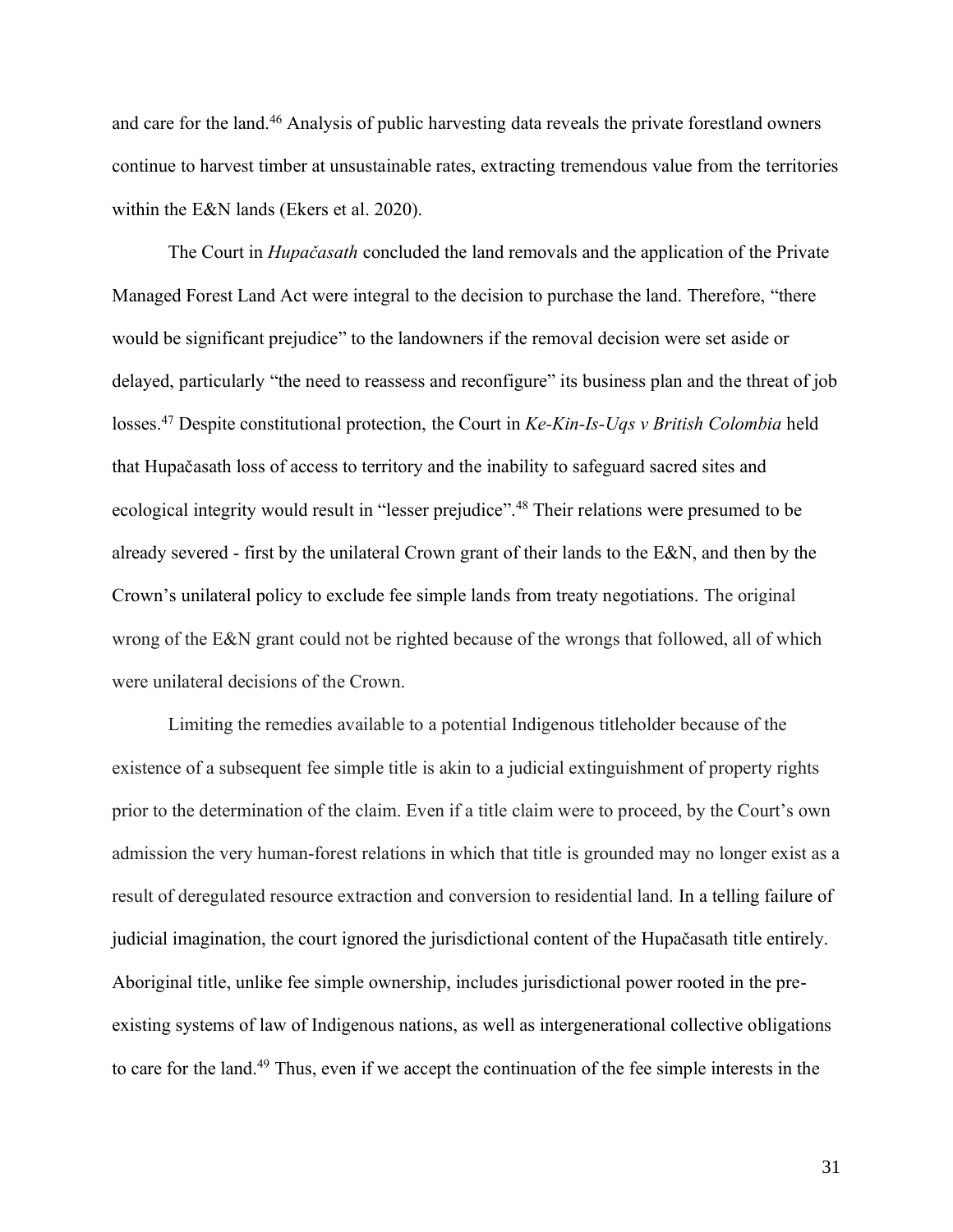and care for the land.<sup>46</sup> Analysis of public harvesting data reveals the private forestland owners continue to harvest timber at unsustainable rates, extracting tremendous value from the territories within the E&N lands (Ekers et al. 2020).

The Court in *Hupačasath* concluded the land removals and the application of the Private Managed Forest Land Act were integral to the decision to purchase the land. Therefore, "there would be significant prejudice" to the landowners if the removal decision were set aside or delayed, particularly "the need to reassess and reconfigure" its business plan and the threat of job losses.<sup>47</sup> Despite constitutional protection, the Court in *Ke-Kin-Is-Uqs v British Colombia* held that Hupačasath loss of access to territory and the inability to safeguard sacred sites and ecological integrity would result in "lesser prejudice".<sup>48</sup> Their relations were presumed to be already severed - first by the unilateral Crown grant of their lands to the E&N, and then by the Crown's unilateral policy to exclude fee simple lands from treaty negotiations. The original wrong of the E&N grant could not be righted because of the wrongs that followed, all of which were unilateral decisions of the Crown.

Limiting the remedies available to a potential Indigenous titleholder because of the existence of a subsequent fee simple title is akin to a judicial extinguishment of property rights prior to the determination of the claim. Even if a title claim were to proceed, by the Court's own admission the very human-forest relations in which that title is grounded may no longer exist as a result of deregulated resource extraction and conversion to residential land. In a telling failure of judicial imagination, the court ignored the jurisdictional content of the Hupačasath title entirely. Aboriginal title, unlike fee simple ownership, includes jurisdictional power rooted in the preexisting systems of law of Indigenous nations, as well as intergenerational collective obligations to care for the land.<sup>49</sup> Thus, even if we accept the continuation of the fee simple interests in the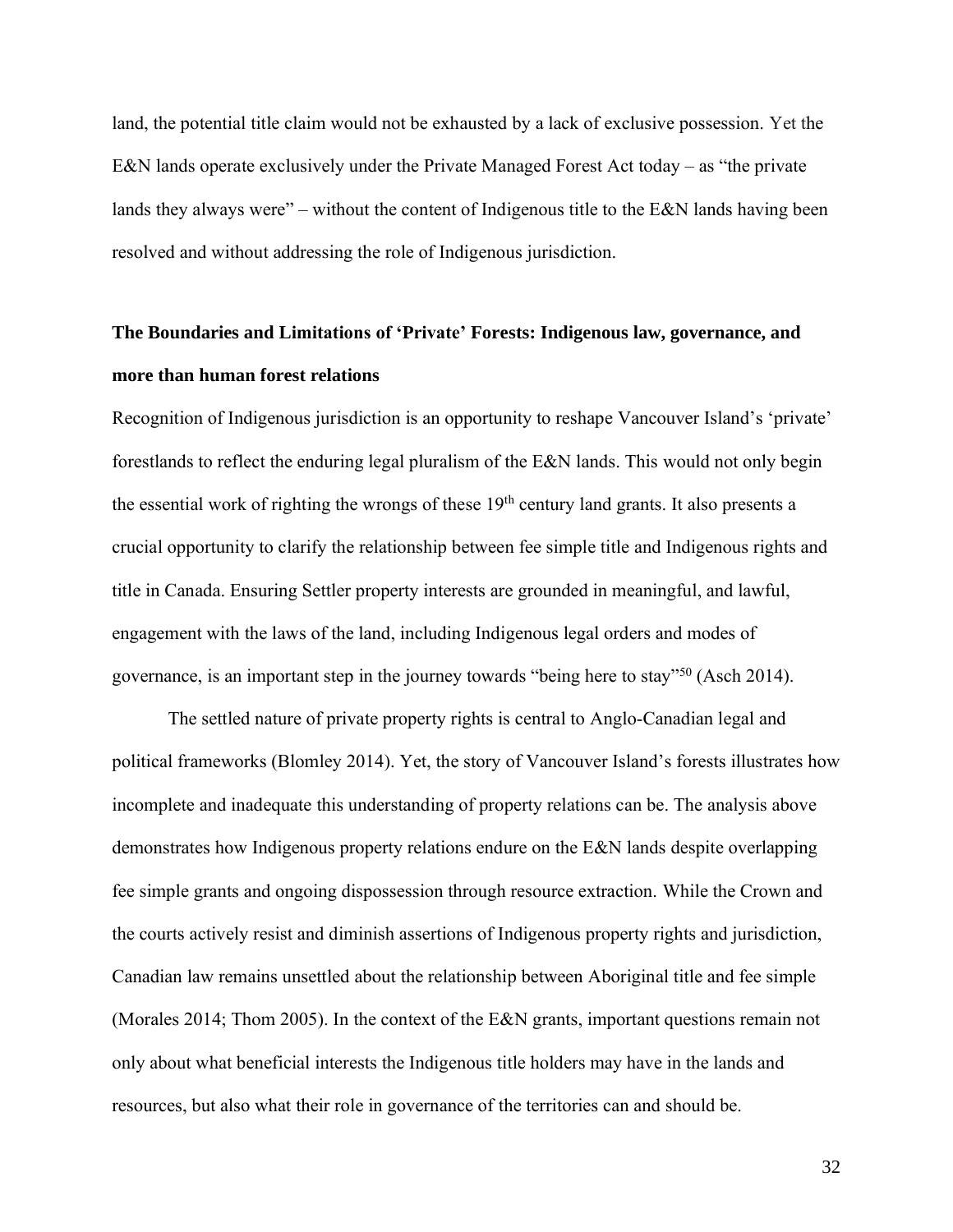land, the potential title claim would not be exhausted by a lack of exclusive possession. Yet the E&N lands operate exclusively under the Private Managed Forest Act today – as "the private lands they always were" – without the content of Indigenous title to the E&N lands having been resolved and without addressing the role of Indigenous jurisdiction.

## **The Boundaries and Limitations of 'Private' Forests: Indigenous law, governance, and more than human forest relations**

Recognition of Indigenous jurisdiction is an opportunity to reshape Vancouver Island's 'private' forestlands to reflect the enduring legal pluralism of the E&N lands. This would not only begin the essential work of righting the wrongs of these 19th century land grants. It also presents a crucial opportunity to clarify the relationship between fee simple title and Indigenous rights and title in Canada. Ensuring Settler property interests are grounded in meaningful, and lawful, engagement with the laws of the land, including Indigenous legal orders and modes of governance, is an important step in the journey towards "being here to stay"<sup>50</sup> (Asch 2014).

The settled nature of private property rights is central to Anglo-Canadian legal and political frameworks (Blomley 2014). Yet, the story of Vancouver Island's forests illustrates how incomplete and inadequate this understanding of property relations can be. The analysis above demonstrates how Indigenous property relations endure on the E&N lands despite overlapping fee simple grants and ongoing dispossession through resource extraction. While the Crown and the courts actively resist and diminish assertions of Indigenous property rights and jurisdiction, Canadian law remains unsettled about the relationship between Aboriginal title and fee simple (Morales 2014; Thom 2005). In the context of the E&N grants, important questions remain not only about what beneficial interests the Indigenous title holders may have in the lands and resources, but also what their role in governance of the territories can and should be.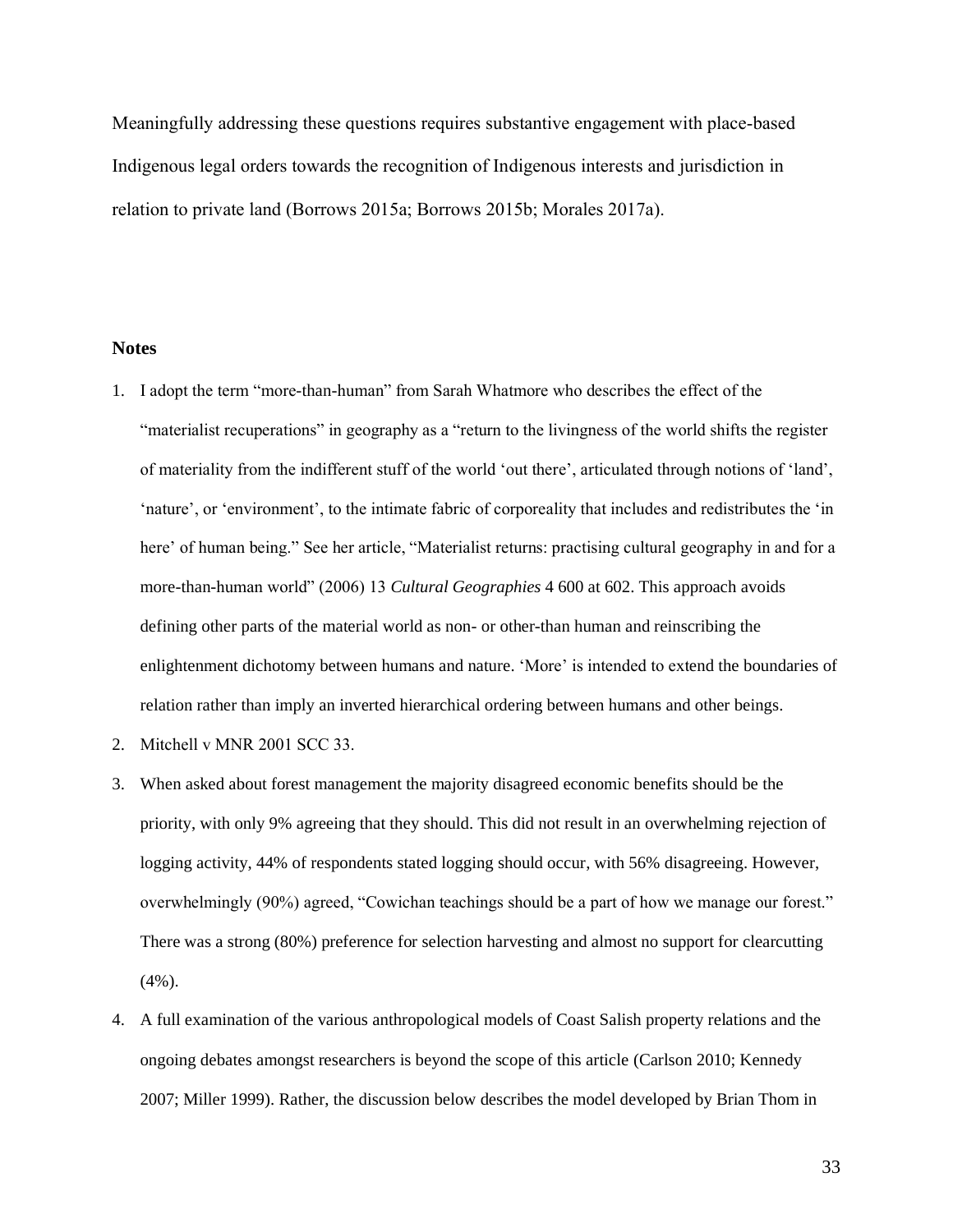Meaningfully addressing these questions requires substantive engagement with place-based Indigenous legal orders towards the recognition of Indigenous interests and jurisdiction in relation to private land (Borrows 2015a; Borrows 2015b; Morales 2017a).

#### **Notes**

- 1. I adopt the term "more-than-human" from Sarah Whatmore who describes the effect of the "materialist recuperations" in geography as a "return to the livingness of the world shifts the register of materiality from the indifferent stuff of the world 'out there', articulated through notions of 'land', 'nature', or 'environment', to the intimate fabric of corporeality that includes and redistributes the 'in here' of human being." See her article, "Materialist returns: practising cultural geography in and for a more-than-human world" (2006) 13 *Cultural Geographies* 4 600 at 602. This approach avoids defining other parts of the material world as non- or other-than human and reinscribing the enlightenment dichotomy between humans and nature. 'More' is intended to extend the boundaries of relation rather than imply an inverted hierarchical ordering between humans and other beings.
- 2. Mitchell v MNR 2001 SCC 33.
- 3. When asked about forest management the majority disagreed economic benefits should be the priority, with only 9% agreeing that they should. This did not result in an overwhelming rejection of logging activity, 44% of respondents stated logging should occur, with 56% disagreeing. However, overwhelmingly (90%) agreed, "Cowichan teachings should be a part of how we manage our forest." There was a strong (80%) preference for selection harvesting and almost no support for clearcutting (4%).
- 4. A full examination of the various anthropological models of Coast Salish property relations and the ongoing debates amongst researchers is beyond the scope of this article (Carlson 2010; Kennedy 2007; Miller 1999). Rather, the discussion below describes the model developed by Brian Thom in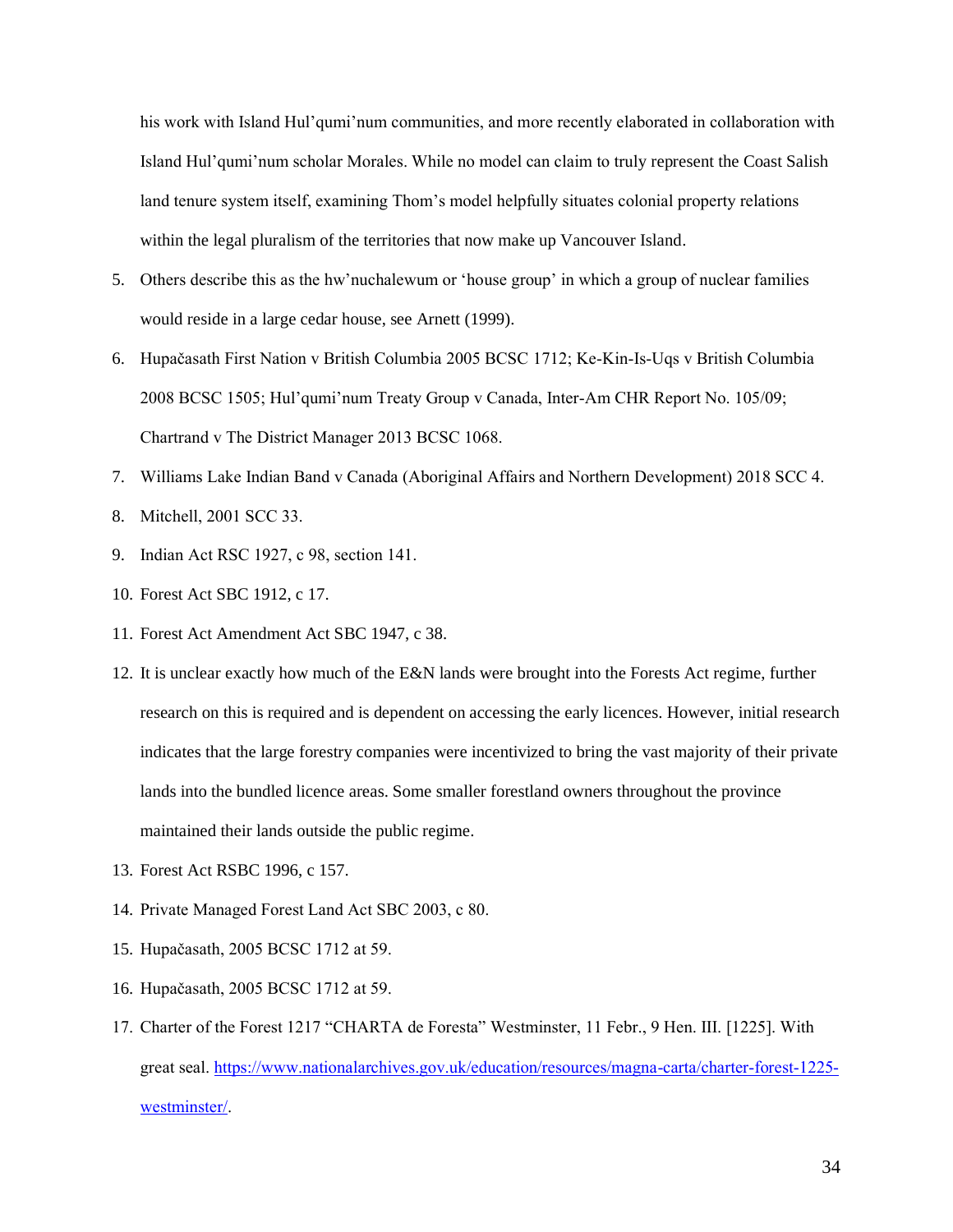his work with Island Hul'qumi'num communities, and more recently elaborated in collaboration with Island Hul'qumi'num scholar Morales. While no model can claim to truly represent the Coast Salish land tenure system itself, examining Thom's model helpfully situates colonial property relations within the legal pluralism of the territories that now make up Vancouver Island.

- 5. Others describe this as the hw'nuchalewum or 'house group' in which a group of nuclear families would reside in a large cedar house, see Arnett (1999).
- 6. Hupačasath First Nation v British Columbia 2005 BCSC 1712; Ke-Kin-Is-Uqs v British Columbia 2008 BCSC 1505; Hul'qumi'num Treaty Group v Canada, Inter-Am CHR Report No. 105/09; Chartrand v The District Manager 2013 BCSC 1068.
- 7. Williams Lake Indian Band v Canada (Aboriginal Affairs and Northern Development) 2018 SCC 4.
- 8. Mitchell, 2001 SCC 33.
- 9. Indian Act RSC 1927, c 98, section 141.
- 10. Forest Act SBC 1912, c 17.
- 11. Forest Act Amendment Act SBC 1947, c 38.
- 12. It is unclear exactly how much of the E&N lands were brought into the Forests Act regime, further research on this is required and is dependent on accessing the early licences. However, initial research indicates that the large forestry companies were incentivized to bring the vast majority of their private lands into the bundled licence areas. Some smaller forestland owners throughout the province maintained their lands outside the public regime.
- 13. Forest Act RSBC 1996, c 157.
- 14. Private Managed Forest Land Act SBC 2003, c 80.
- 15. Hupačasath, 2005 BCSC 1712 at 59.
- 16. Hupačasath, 2005 BCSC 1712 at 59.
- 17. Charter of the Forest 1217 "CHARTA de Foresta" Westminster, 11 Febr., 9 Hen. III. [1225]. With great seal. [https://www.nationalarchives.gov.uk/education/resources/magna-carta/charter-forest-1225](https://www.nationalarchives.gov.uk/education/resources/magna-carta/charter-forest-1225-westminster/) [westminster/.](https://www.nationalarchives.gov.uk/education/resources/magna-carta/charter-forest-1225-westminster/)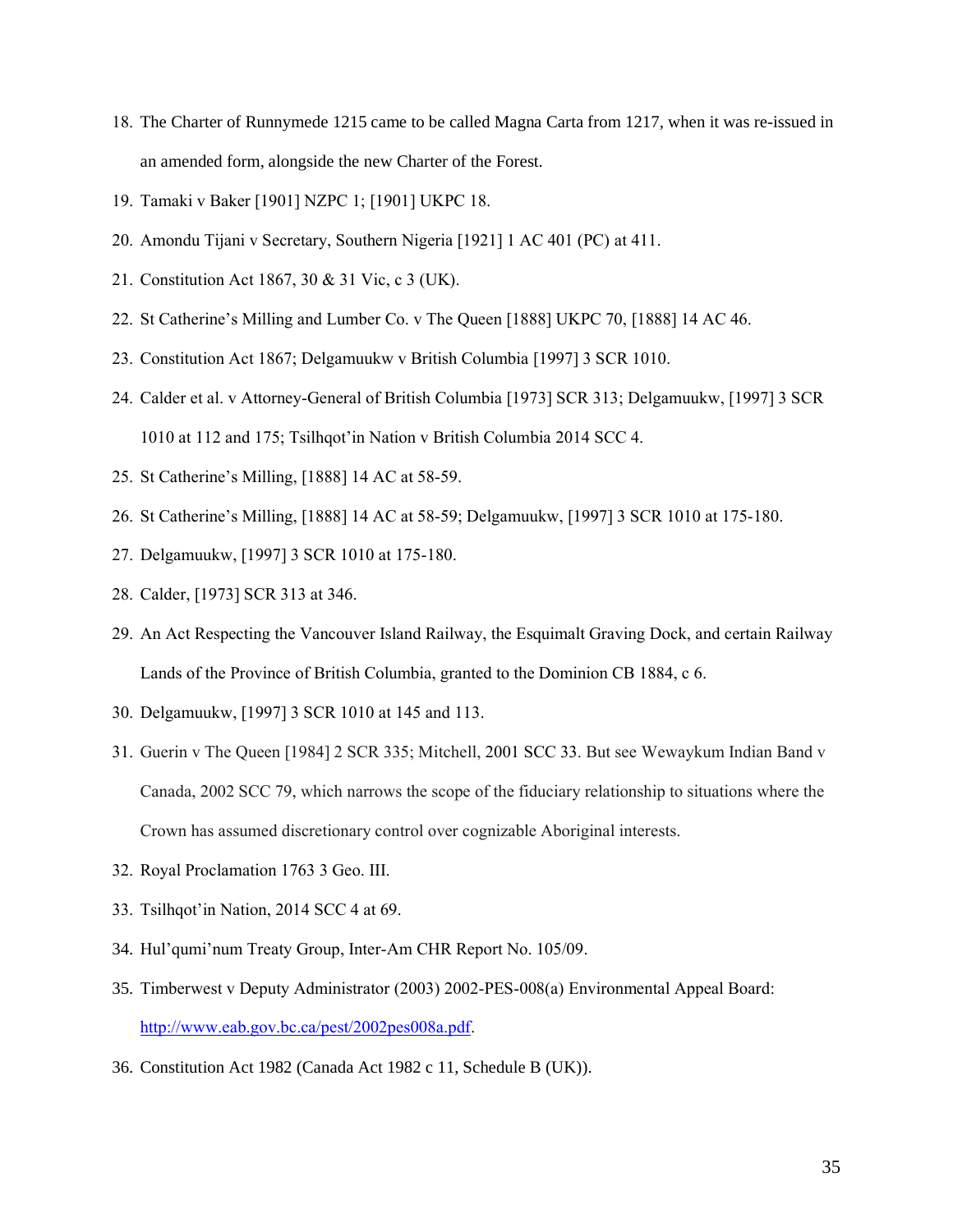- 18. The Charter of Runnymede 1215 came to be called Magna Carta from 1217, when it was re-issued in an amended form, alongside the new Charter of the Forest.
- 19. Tamaki v Baker [1901] NZPC 1; [1901] UKPC 18.
- 20. Amondu Tijani v Secretary, Southern Nigeria [1921] 1 AC 401 (PC) at 411.
- 21. Constitution Act 1867, 30 & 31 Vic, c 3 (UK).
- 22. St Catherine's Milling and Lumber Co. v The Queen [1888] UKPC 70, [1888] 14 AC 46.
- 23. Constitution Act 1867; Delgamuukw v British Columbia [1997] 3 SCR 1010.
- 24. Calder et al. v Attorney-General of British Columbia [1973] SCR 313; Delgamuukw, [1997] 3 SCR 1010 at 112 and 175; Tsilhqot'in Nation v British Columbia 2014 SCC 4.
- 25. St Catherine's Milling, [1888] 14 AC at 58-59.
- 26. St Catherine's Milling, [1888] 14 AC at 58-59; Delgamuukw, [1997] 3 SCR 1010 at 175-180.
- 27. Delgamuukw, [1997] 3 SCR 1010 at 175-180.
- 28. Calder, [1973] SCR 313 at 346.
- 29. An Act Respecting the Vancouver Island Railway, the Esquimalt Graving Dock, and certain Railway Lands of the Province of British Columbia, granted to the Dominion CB 1884, c 6.
- 30. Delgamuukw, [1997] 3 SCR 1010 at 145 and 113.
- 31. Guerin v The Queen [1984] 2 SCR 335; Mitchell, 2001 SCC 33. But see Wewaykum Indian Band v Canada, 2002 SCC 79, which narrows the scope of the fiduciary relationship to situations where the Crown has assumed discretionary control over cognizable Aboriginal interests.
- 32. Royal Proclamation 1763 3 Geo. III.
- 33. Tsilhqot'in Nation, 2014 SCC 4 at 69.
- 34. Hul'qumi'num Treaty Group, Inter-Am CHR Report No. 105/09.
- 35. Timberwest v Deputy Administrator (2003) 2002-PES-008(a) Environmental Appeal Board: [http://www.eab.gov.bc.ca/pest/2002pes008a.pdf.](http://www.eab.gov.bc.ca/pest/2002pes008a.pdf)
- 36. Constitution Act 1982 (Canada Act 1982 c 11, Schedule B (UK)).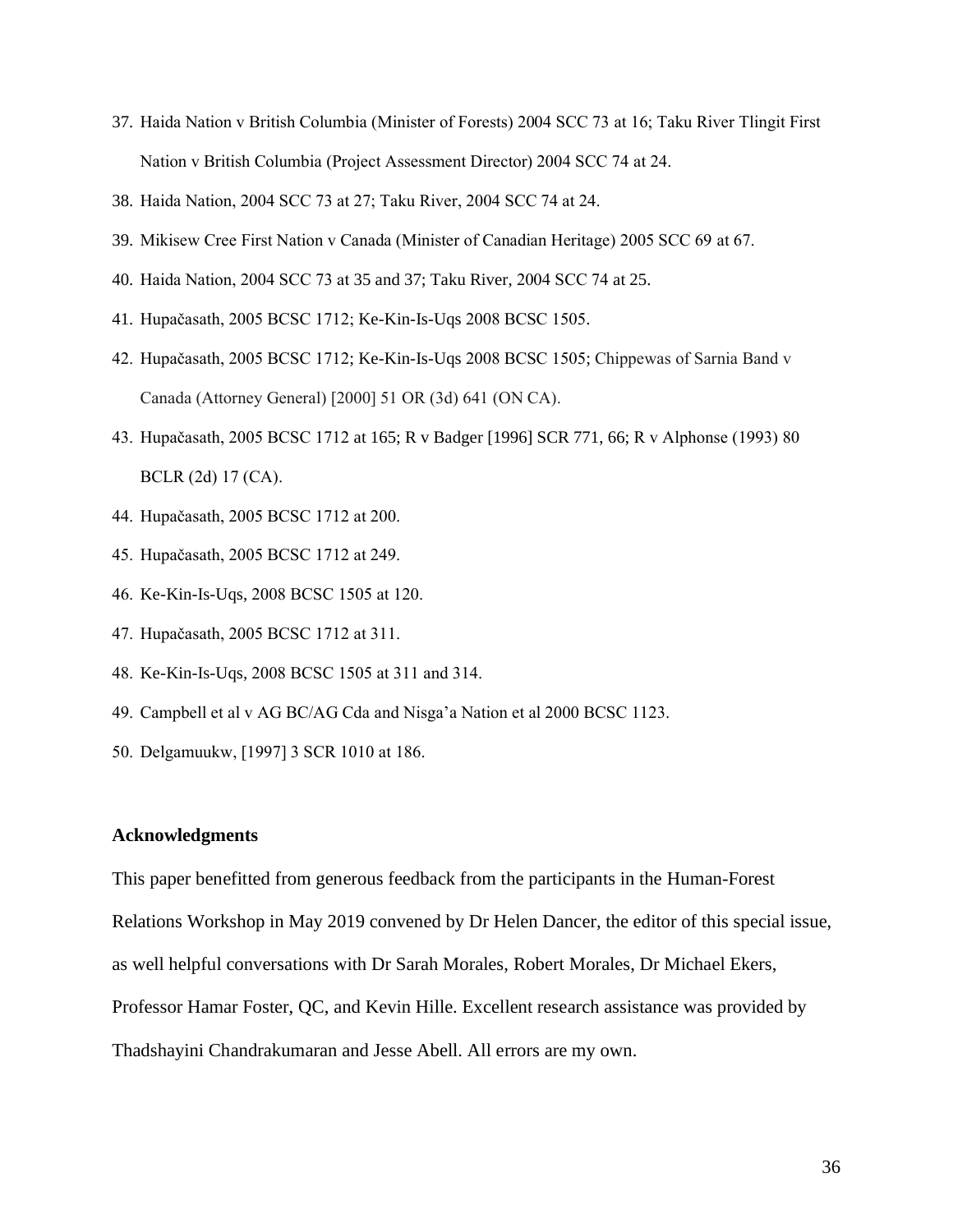- 37. Haida Nation v British Columbia (Minister of Forests) 2004 SCC 73 at 16; Taku River Tlingit First Nation v British Columbia (Project Assessment Director) 2004 SCC 74 at 24.
- 38. Haida Nation, 2004 SCC 73 at 27; Taku River, 2004 SCC 74 at 24.
- 39. Mikisew Cree First Nation v Canada (Minister of Canadian Heritage) 2005 SCC 69 at 67.
- 40. Haida Nation, 2004 SCC 73 at 35 and 37; Taku River, 2004 SCC 74 at 25.
- 41. Hupačasath, 2005 BCSC 1712; Ke-Kin-Is-Uqs 2008 BCSC 1505.
- 42. Hupačasath, 2005 BCSC 1712; Ke-Kin-Is-Uqs 2008 BCSC 1505; Chippewas of Sarnia Band v Canada (Attorney General) [2000] 51 OR (3d) 641 (ON CA).
- 43. Hupačasath, 2005 BCSC 1712 at 165; R v Badger [1996] SCR 771, 66; R v Alphonse (1993) 80 BCLR (2d) 17 (CA).
- 44. Hupačasath, 2005 BCSC 1712 at 200.
- 45. Hupačasath, 2005 BCSC 1712 at 249.
- 46. Ke-Kin-Is-Uqs, 2008 BCSC 1505 at 120.
- 47. Hupačasath, 2005 BCSC 1712 at 311.
- 48. Ke-Kin-Is-Uqs, 2008 BCSC 1505 at 311 and 314.
- 49. Campbell et al v AG BC/AG Cda and Nisga'a Nation et al 2000 BCSC 1123.
- 50. Delgamuukw, [1997] 3 SCR 1010 at 186.

#### **Acknowledgments**

This paper benefitted from generous feedback from the participants in the Human-Forest Relations Workshop in May 2019 convened by Dr Helen Dancer, the editor of this special issue, as well helpful conversations with Dr Sarah Morales, Robert Morales, Dr Michael Ekers, Professor Hamar Foster, QC, and Kevin Hille. Excellent research assistance was provided by Thadshayini Chandrakumaran and Jesse Abell. All errors are my own.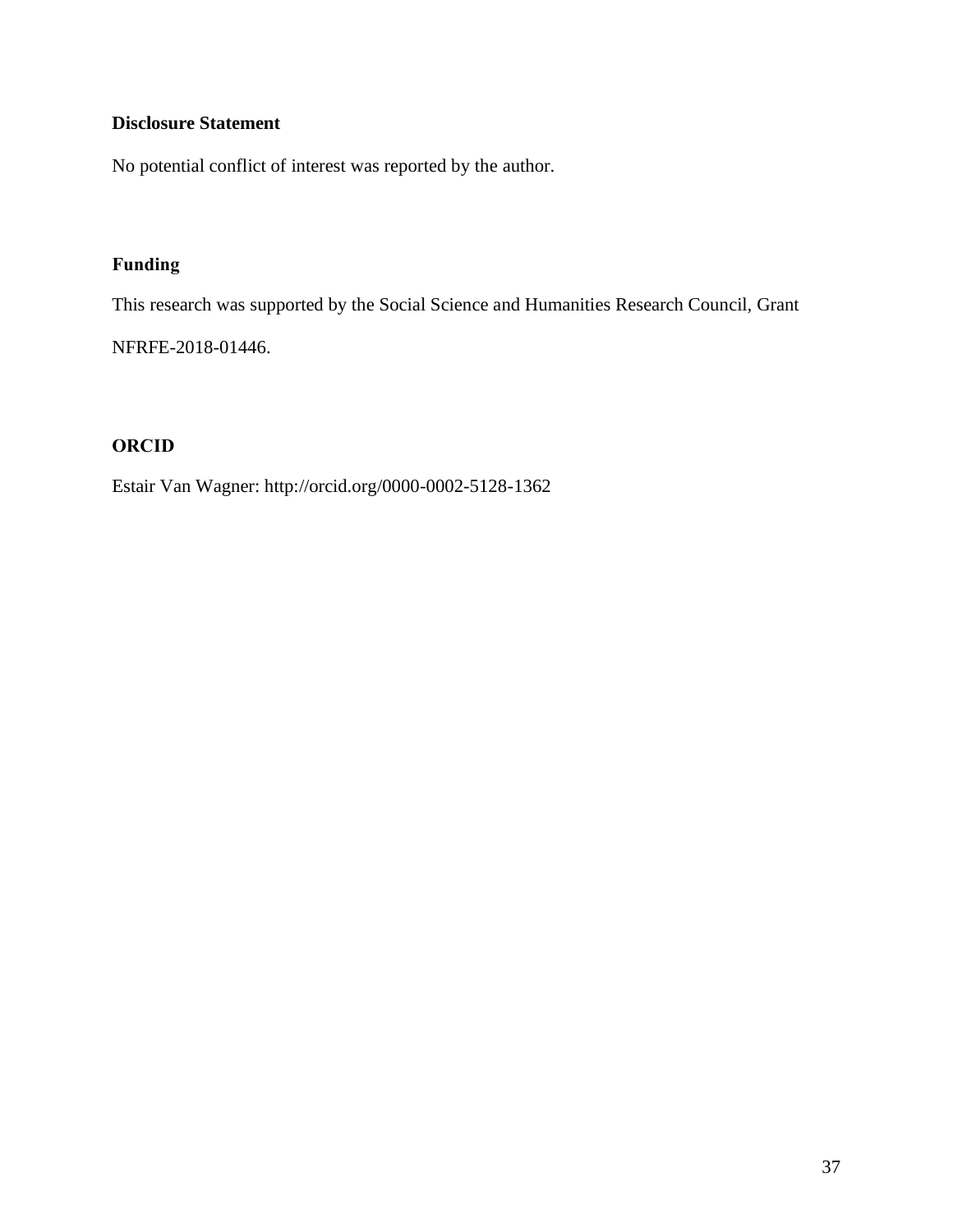## **Disclosure Statement**

No potential conflict of interest was reported by the author.

### **Funding**

This research was supported by the Social Science and Humanities Research Council, Grant

NFRFE-2018-01446.

### **ORCID**

Estair Van Wagner: http://orcid.org/0000-0002-5128-1362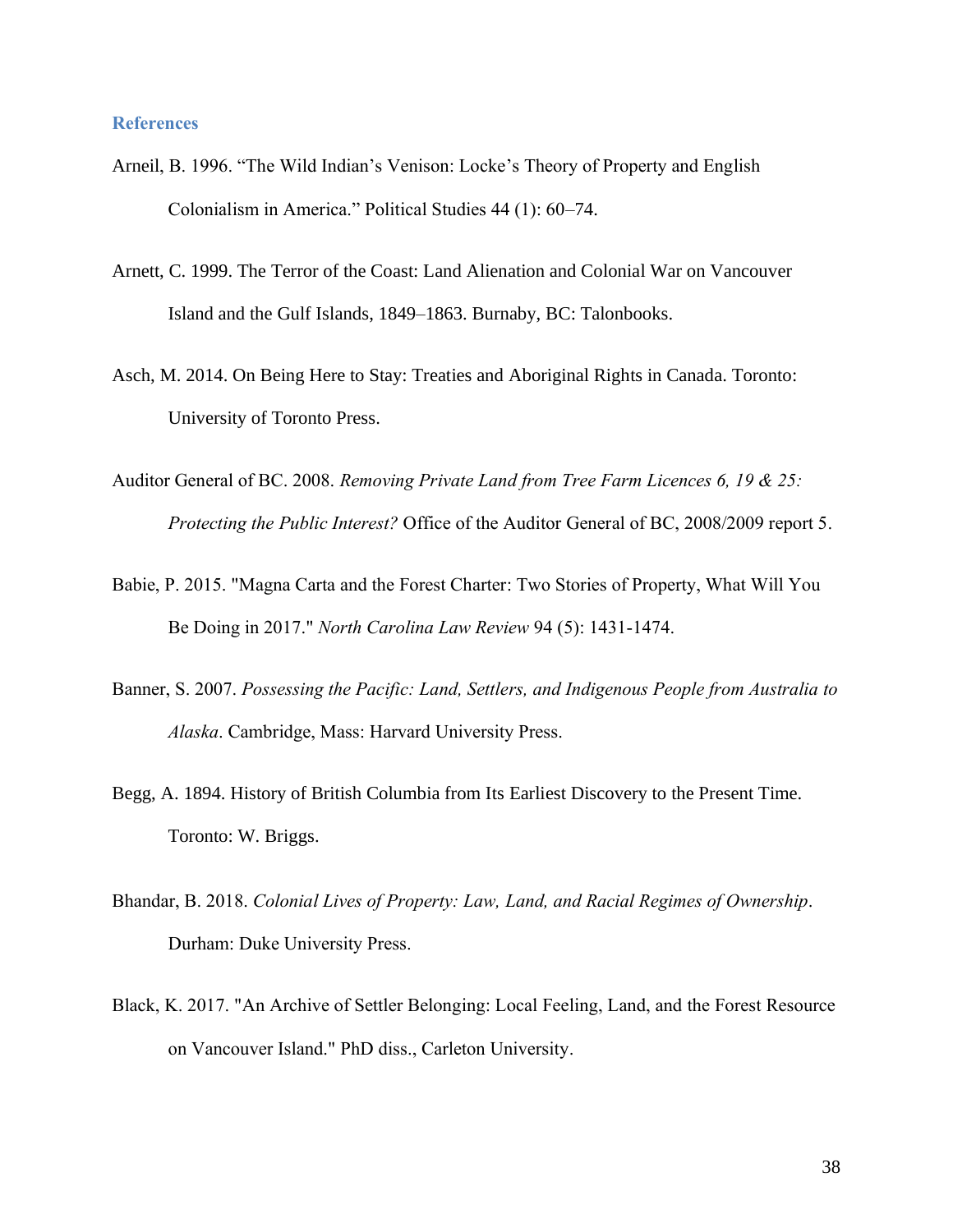#### **References**

- Arneil, B. 1996. "The Wild Indian's Venison: Locke's Theory of Property and English Colonialism in America." Political Studies 44 (1): 60–74.
- Arnett, C. 1999. The Terror of the Coast: Land Alienation and Colonial War on Vancouver Island and the Gulf Islands, 1849–1863. Burnaby, BC: Talonbooks.
- Asch, M. 2014. On Being Here to Stay: Treaties and Aboriginal Rights in Canada. Toronto: University of Toronto Press.
- Auditor General of BC. 2008. *Removing Private Land from Tree Farm Licences 6, 19 & 25: Protecting the Public Interest?* Office of the Auditor General of BC, 2008/2009 report 5.
- Babie, P. 2015. "Magna Carta and the Forest Charter: Two Stories of Property, What Will You Be Doing in 2017." *North Carolina Law Review* 94 (5): 1431-1474.
- Banner, S. 2007. *Possessing the Pacific: Land, Settlers, and Indigenous People from Australia to Alaska*. Cambridge, Mass: Harvard University Press.
- Begg, A. 1894. History of British Columbia from Its Earliest Discovery to the Present Time. Toronto: W. Briggs.
- Bhandar, B. 2018. *Colonial Lives of Property: Law, Land, and Racial Regimes of Ownership*. Durham: Duke University Press.
- Black, K. 2017. "An Archive of Settler Belonging: Local Feeling, Land, and the Forest Resource on Vancouver Island." PhD diss., Carleton University.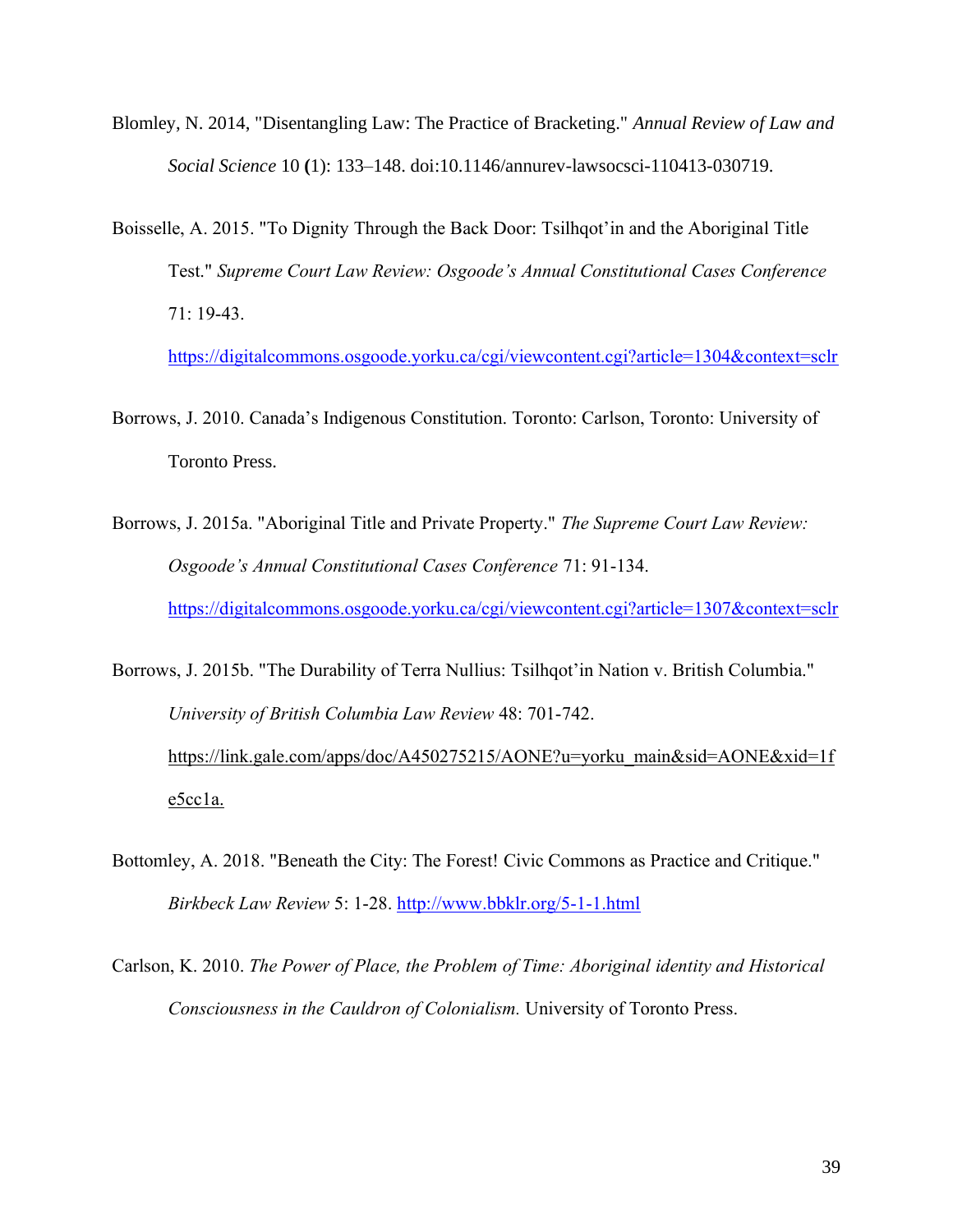- Blomley, N. 2014, "Disentangling Law: The Practice of Bracketing." *Annual Review of Law and Social Science* 10 **(**1): 133–148. doi:10.1146/annurev-lawsocsci-110413-030719.
- Boisselle, A. 2015. "To Dignity Through the Back Door: Tsilhqot'in and the Aboriginal Title Test." *Supreme Court Law Review: Osgoode's Annual Constitutional Cases Conference* 71: 19-43.

<https://digitalcommons.osgoode.yorku.ca/cgi/viewcontent.cgi?article=1304&context=sclr>

- Borrows, J. 2010. Canada's Indigenous Constitution. Toronto: Carlson, Toronto: University of Toronto Press.
- Borrows, J. 2015a. "Aboriginal Title and Private Property." *The Supreme Court Law Review: Osgoode's Annual Constitutional Cases Conference* 71: 91-134. <https://digitalcommons.osgoode.yorku.ca/cgi/viewcontent.cgi?article=1307&context=sclr>

Borrows, J. 2015b. "The Durability of Terra Nullius: Tsilhqot'in Nation v. British Columbia." *University of British Columbia Law Review* 48: 701-742. https://link.gale.com/apps/doc/A450275215/AONE?u=yorku\_main&sid=AONE&xid=1f e5cc1a.

Bottomley, A. 2018. "Beneath the City: The Forest! Civic Commons as Practice and Critique." *Birkbeck Law Review* 5: 1-28.<http://www.bbklr.org/5-1-1.html>

Carlson, K. 2010. *The Power of Place, the Problem of Time: Aboriginal identity and Historical Consciousness in the Cauldron of Colonialism.* University of Toronto Press.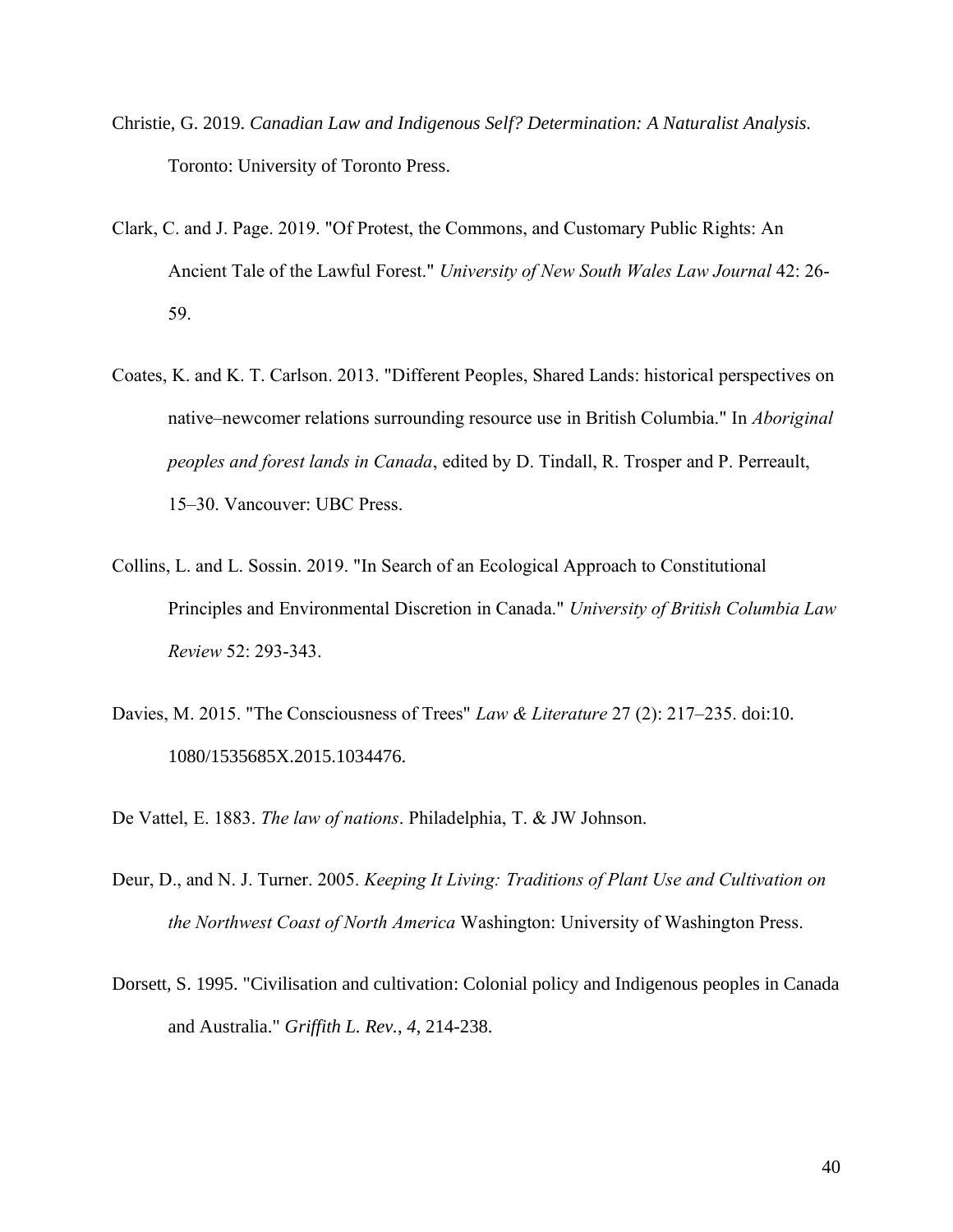- Christie, G. 2019. *Canadian Law and Indigenous Self? Determination: A Naturalist Analysis.* Toronto: University of Toronto Press.
- Clark, C. and J. Page. 2019. "Of Protest, the Commons, and Customary Public Rights: An Ancient Tale of the Lawful Forest." *University of New South Wales Law Journal* 42: 26- 59.
- Coates, K. and K. T. Carlson. 2013. "Different Peoples, Shared Lands: historical perspectives on native–newcomer relations surrounding resource use in British Columbia." In *Aboriginal peoples and forest lands in Canada*, edited by D. Tindall, R. Trosper and P. Perreault, 15–30. Vancouver: UBC Press.
- Collins, L. and L. Sossin. 2019. "In Search of an Ecological Approach to Constitutional Principles and Environmental Discretion in Canada." *University of British Columbia Law Review* 52: 293-343.
- Davies, M. 2015. "The Consciousness of Trees" *Law & Literature* 27 (2): 217–235. doi:10. 1080/1535685X.2015.1034476.

De Vattel, E. 1883. *The law of nations*. Philadelphia, T. & JW Johnson.

- Deur, D., and N. J. Turner. 2005. *Keeping It Living: Traditions of Plant Use and Cultivation on the Northwest Coast of North America* Washington: University of Washington Press.
- Dorsett, S. 1995. "Civilisation and cultivation: Colonial policy and Indigenous peoples in Canada and Australia." *Griffith L. Rev.*, *4*, 214-238.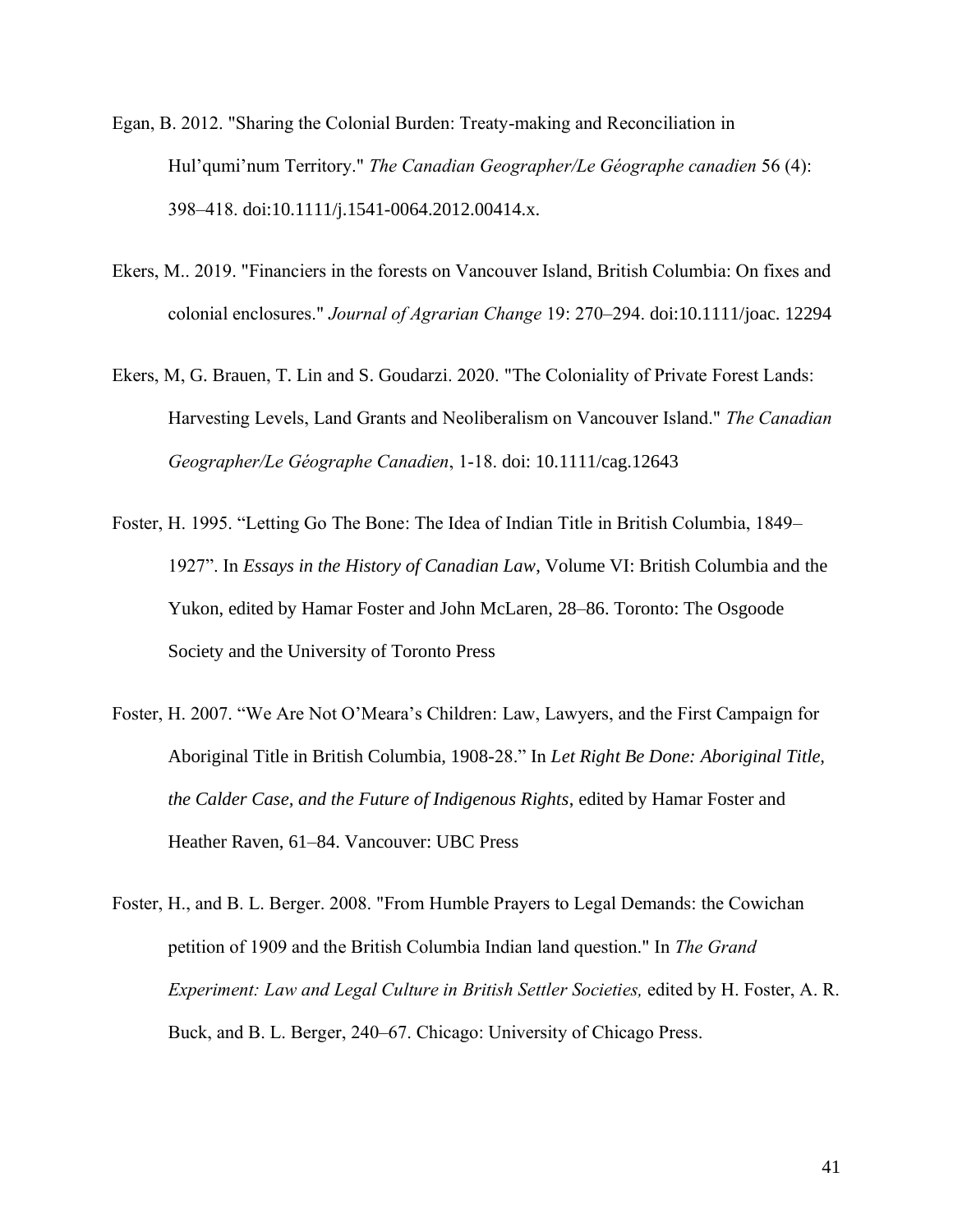- Egan, B. 2012. "Sharing the Colonial Burden: Treaty-making and Reconciliation in Hul'qumi'num Territory." *The Canadian Geographer/Le Géographe canadien* 56 (4): 398–418. doi:10.1111/j.1541-0064.2012.00414.x.
- Ekers, M.. 2019. "Financiers in the forests on Vancouver Island, British Columbia: On fixes and colonial enclosures." *Journal of Agrarian Change* 19: 270–294. doi:10.1111/joac. 12294
- Ekers, M, [G. Brauen](https://onlinelibrary.wiley.com/action/doSearch?ContribAuthorStored=Brauen%2C+Glenn), [T. Lin](https://onlinelibrary.wiley.com/action/doSearch?ContribAuthorStored=Lin%2C+Tian) and [S. Goudarzi](https://onlinelibrary.wiley.com/action/doSearch?ContribAuthorStored=Goudarzi%2C+Saman). 2020. "The Coloniality of Private Forest Lands: Harvesting Levels, Land Grants and Neoliberalism on Vancouver Island." *The Canadian Geographer/Le Géographe Canadien*, 1-18. doi: 10.1111/cag.12643
- Foster, H. 1995. "Letting Go The Bone: The Idea of Indian Title in British Columbia, 1849– 1927". In *Essays in the History of Canadian Law*, Volume VI: British Columbia and the Yukon, edited by Hamar Foster and John McLaren, 28–86. Toronto: The Osgoode Society and the University of Toronto Press
- Foster, H. 2007. "We Are Not O'Meara's Children: Law, Lawyers, and the First Campaign for Aboriginal Title in British Columbia, 1908-28." In *Let Right Be Done: Aboriginal Title, the Calder Case, and the Future of Indigenous Rights*, edited by Hamar Foster and Heather Raven, 61–84. Vancouver: UBC Press
- Foster, H., and B. L. Berger. 2008. "From Humble Prayers to Legal Demands: the Cowichan petition of 1909 and the British Columbia Indian land question." In *The Grand Experiment: Law and Legal Culture in British Settler Societies,* edited by H. Foster, A. R. Buck, and B. L. Berger, 240–67. Chicago: University of Chicago Press.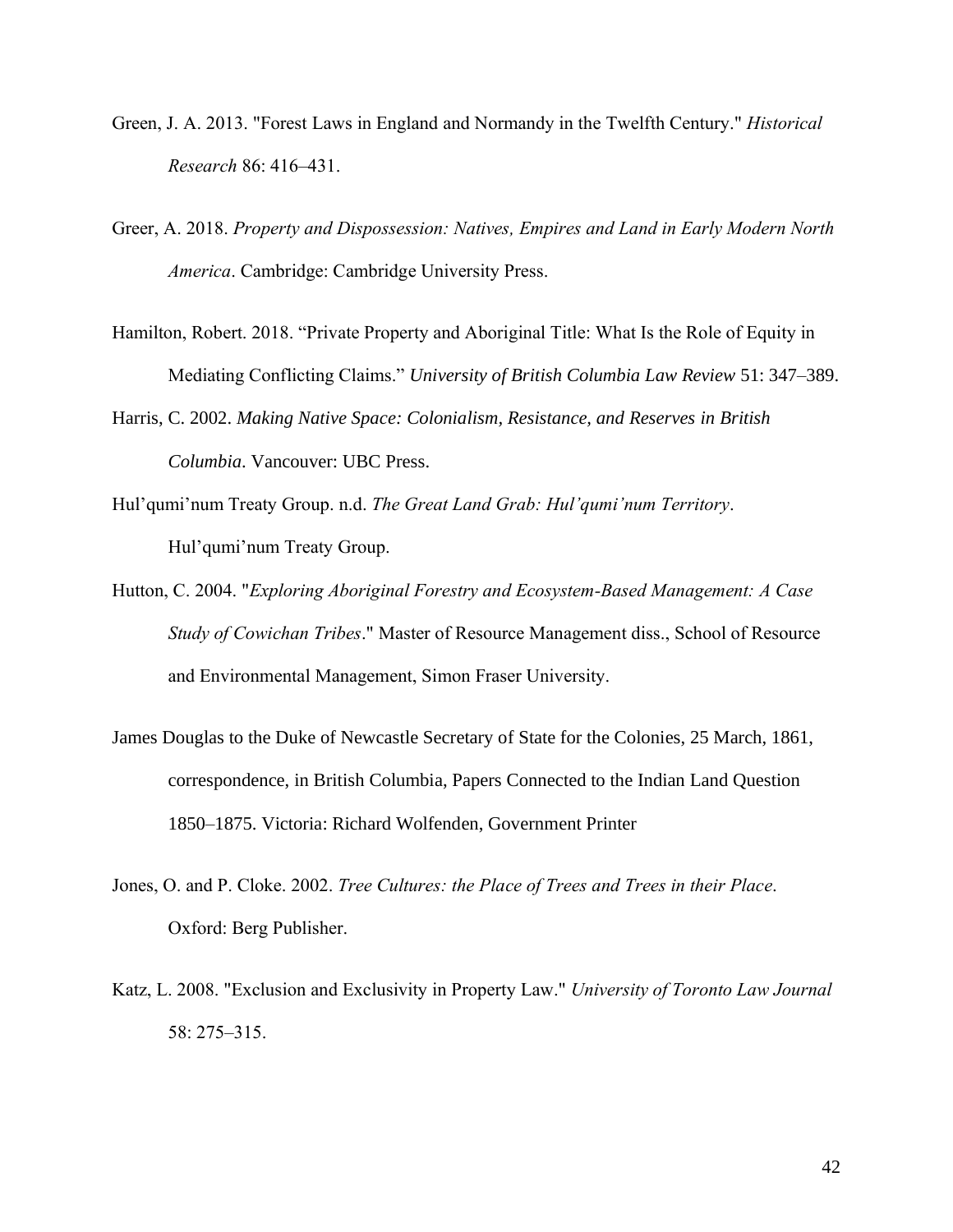- Green, J. A. 2013. "Forest Laws in England and Normandy in the Twelfth Century." *Historical Research* 86: 416–431.
- Greer, A. 2018. *Property and Dispossession: Natives, Empires and Land in Early Modern North America*. Cambridge: Cambridge University Press.
- Hamilton, Robert. 2018. "Private Property and Aboriginal Title: What Is the Role of Equity in Mediating Conflicting Claims." *University of British Columbia Law Review* 51: 347–389.
- Harris, C. 2002. *Making Native Space: Colonialism, Resistance, and Reserves in British Columbia*. Vancouver: UBC Press.
- Hul'qumi'num Treaty Group. n.d. *The Great Land Grab: Hul'qumi'num Territory*. Hul'qumi'num Treaty Group.
- Hutton, C. 2004. "*Exploring Aboriginal Forestry and Ecosystem-Based Management: A Case Study of Cowichan Tribes*." Master of Resource Management diss., School of Resource and Environmental Management, Simon Fraser University.
- James Douglas to the Duke of Newcastle Secretary of State for the Colonies, 25 March, 1861, correspondence, in British Columbia, Papers Connected to the Indian Land Question 1850–1875. Victoria: Richard Wolfenden, Government Printer
- Jones, O. and P. Cloke. 2002. *Tree Cultures: the Place of Trees and Trees in their Place*. Oxford: Berg Publisher.
- Katz, L. 2008. "Exclusion and Exclusivity in Property Law." *University of Toronto Law Journal*  58: 275–315.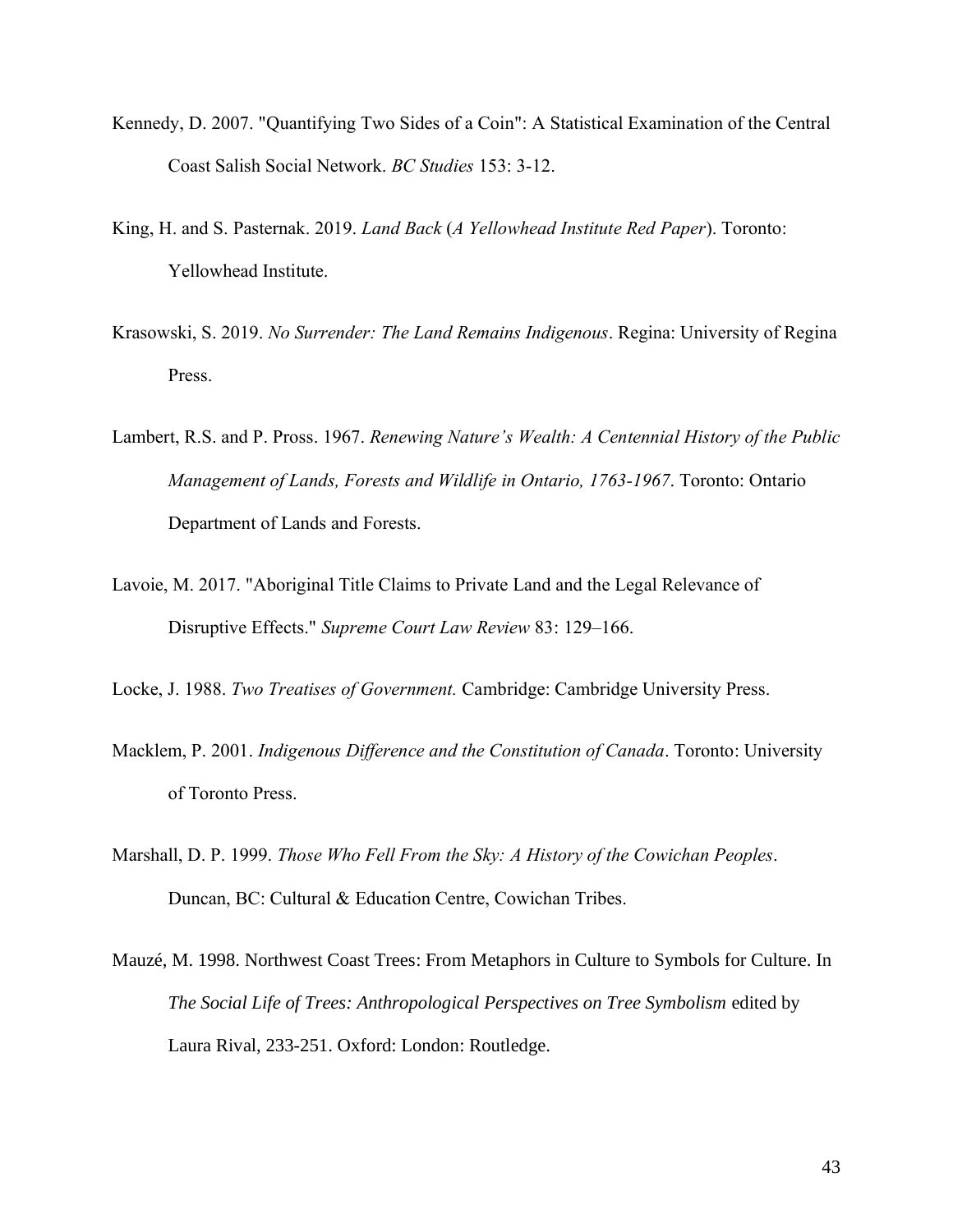- Kennedy, D. 2007. "Quantifying Two Sides of a Coin": A Statistical Examination of the Central Coast Salish Social Network. *BC Studies* 153: 3-12.
- King, H. and S. Pasternak. 2019. *Land Back* (*A Yellowhead Institute Red Paper*). Toronto: Yellowhead Institute.
- Krasowski, S. 2019. *No Surrender: The Land Remains Indigenous*. Regina: University of Regina Press.
- Lambert, R.S. and P. Pross. 1967. *Renewing Nature's Wealth: A Centennial History of the Public Management of Lands, Forests and Wildlife in Ontario, 1763-1967*. Toronto: Ontario Department of Lands and Forests.
- Lavoie, M. 2017. "Aboriginal Title Claims to Private Land and the Legal Relevance of Disruptive Effects." *Supreme Court Law Review* 83: 129–166.
- Locke, J. 1988. *Two Treatises of Government.* Cambridge: Cambridge University Press.
- Macklem, P. 2001. *Indigenous Difference and the Constitution of Canada*. Toronto: University of Toronto Press.
- Marshall, D. P. 1999. *Those Who Fell From the Sky: A History of the Cowichan Peoples*. Duncan, BC: Cultural & Education Centre, Cowichan Tribes.
- Mauzé, M. 1998. Northwest Coast Trees: From Metaphors in Culture to Symbols for Culture. In *The Social Life of Trees: Anthropological Perspectives on Tree Symbolism* edited by Laura Rival, 233-251. Oxford: London: Routledge.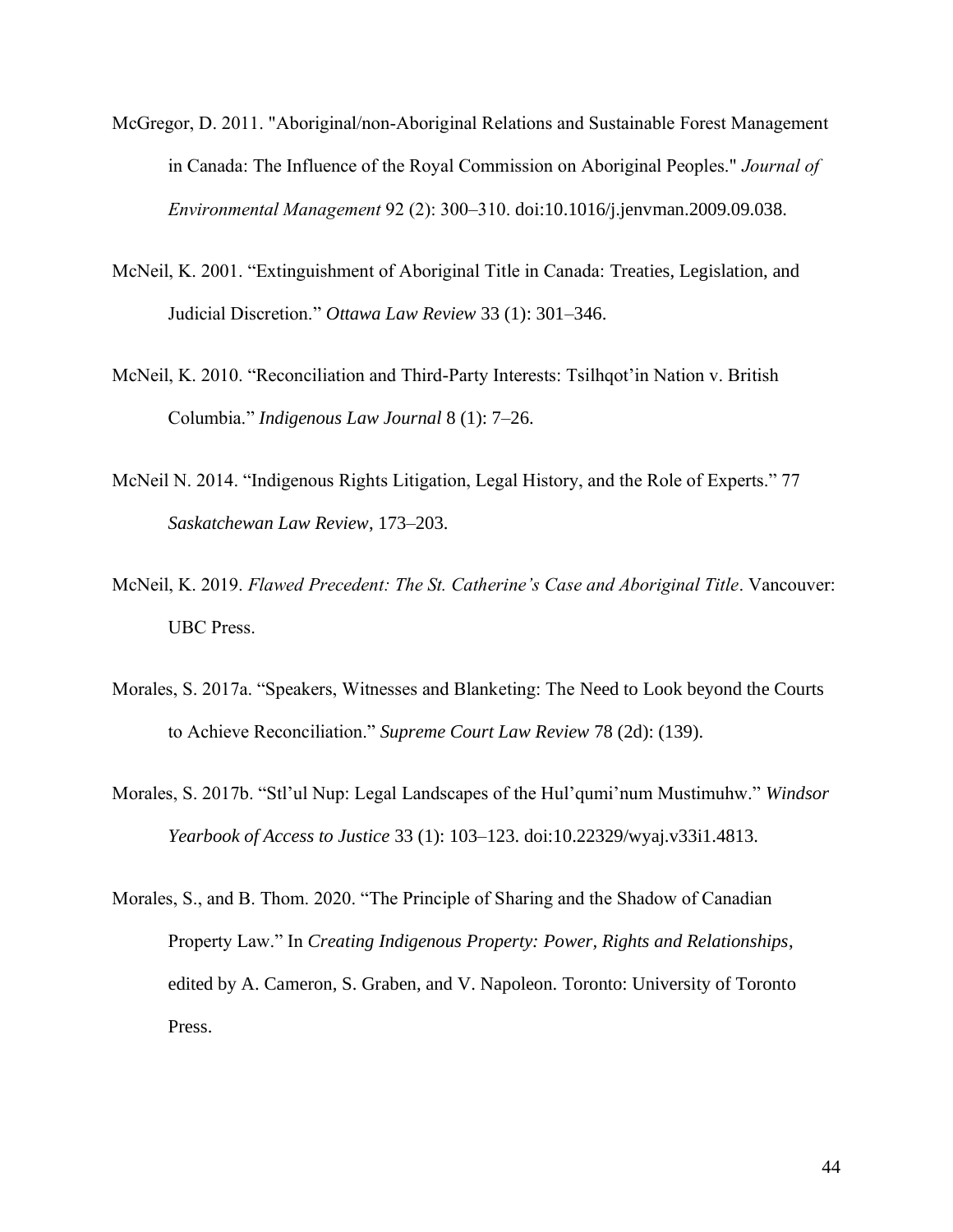- McGregor, D. 2011. "Aboriginal/non-Aboriginal Relations and Sustainable Forest Management in Canada: The Influence of the Royal Commission on Aboriginal Peoples." *Journal of Environmental Management* 92 (2): 300–310. doi:10.1016/j.jenvman.2009.09.038.
- McNeil, K. 2001. "Extinguishment of Aboriginal Title in Canada: Treaties, Legislation, and Judicial Discretion." *Ottawa Law Review* 33 (1): 301–346.
- McNeil, K. 2010. "Reconciliation and Third-Party Interests: Tsilhqot'in Nation v. British Columbia." *Indigenous Law Journal* 8 (1): 7–26.
- McNeil N. 2014. "Indigenous Rights Litigation, Legal History, and the Role of Experts." 77 *Saskatchewan Law Review*, 173–203.
- McNeil, K. 2019. *Flawed Precedent: The St. Catherine's Case and Aboriginal Title*. Vancouver: UBC Press.
- Morales, S. 2017a. "Speakers, Witnesses and Blanketing: The Need to Look beyond the Courts to Achieve Reconciliation." *Supreme Court Law Review* 78 (2d): (139).
- Morales, S. 2017b. "Stl'ul Nup: Legal Landscapes of the Hul'qumi'num Mustimuhw." *Windsor Yearbook of Access to Justice* 33 (1): 103–123. doi:10.22329/wyaj.v33i1.4813.
- Morales, S., and B. Thom. 2020. "The Principle of Sharing and the Shadow of Canadian Property Law." In *Creating Indigenous Property: Power, Rights and Relationships*, edited by A. Cameron, S. Graben, and V. Napoleon. Toronto: University of Toronto Press.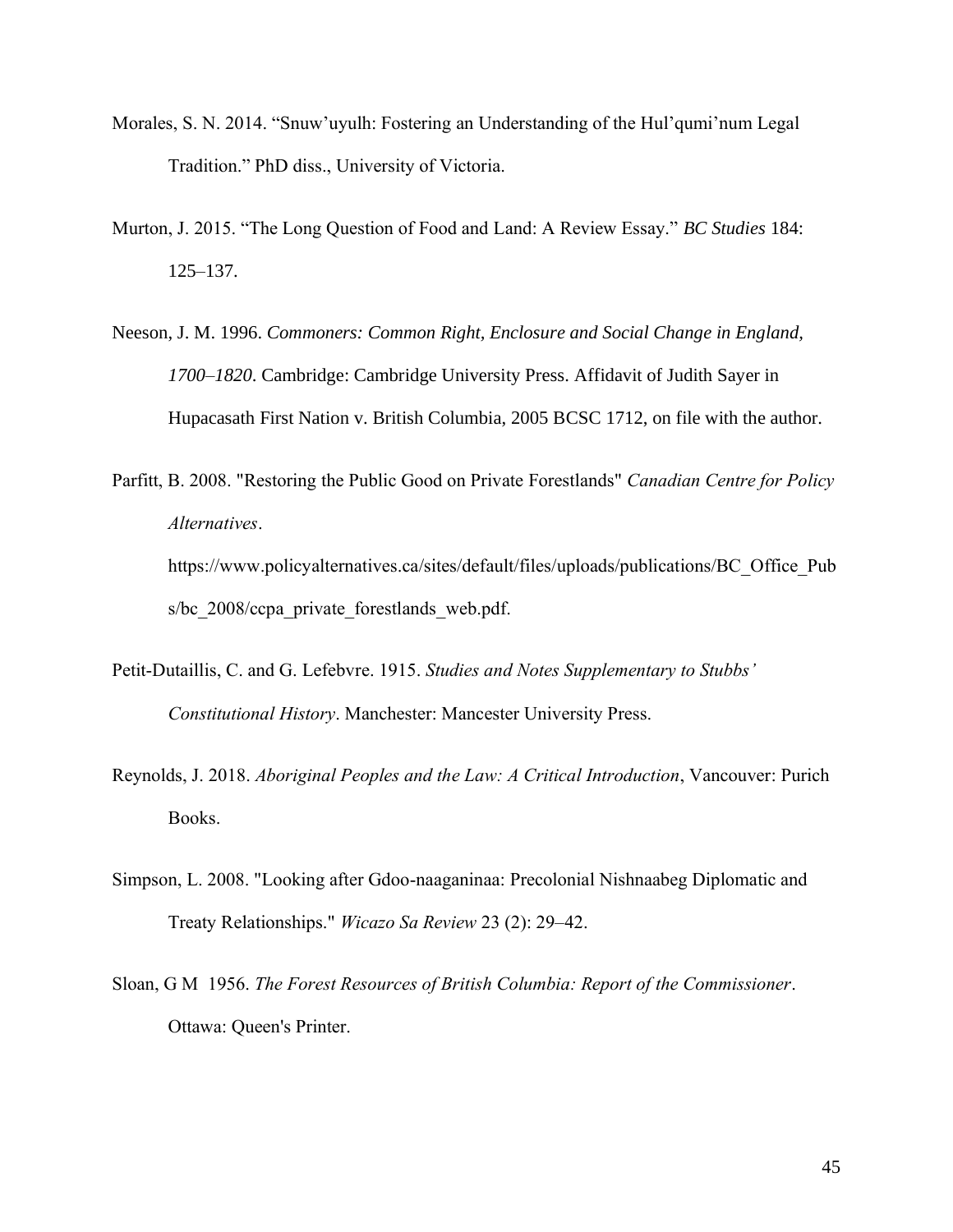- Morales, S. N. 2014. "Snuw'uyulh: Fostering an Understanding of the Hul'qumi'num Legal Tradition." PhD diss., University of Victoria.
- Murton, J. 2015. "The Long Question of Food and Land: A Review Essay." *BC Studies* 184: 125–137.
- Neeson, J. M. 1996. *Commoners: Common Right, Enclosure and Social Change in England, 1700–1820*. Cambridge: Cambridge University Press. Affidavit of Judith Sayer in Hupacasath First Nation v. British Columbia, 2005 BCSC 1712, on file with the author.
- Parfitt, B. 2008. "Restoring the Public Good on Private Forestlands" *Canadian Centre for Policy Alternatives*. https://www.policyalternatives.ca/sites/default/files/uploads/publications/BC\_Office\_Pub s/bc 2008/ccpa private forestlands web.pdf.
- Petit-Dutaillis, C. and G. Lefebvre. 1915. *Studies and Notes Supplementary to Stubbs' Constitutional History*. Manchester: Mancester University Press.
- Reynolds, J. 2018. *Aboriginal Peoples and the Law: A Critical Introduction*, Vancouver: Purich Books.
- Simpson, L. 2008. "Looking after Gdoo-naaganinaa: Precolonial Nishnaabeg Diplomatic and Treaty Relationships." *Wicazo Sa Review* 23 (2): 29–42.
- Sloan, G M 1956. *The Forest Resources of British Columbia: Report of the Commissioner*. Ottawa: Queen's Printer.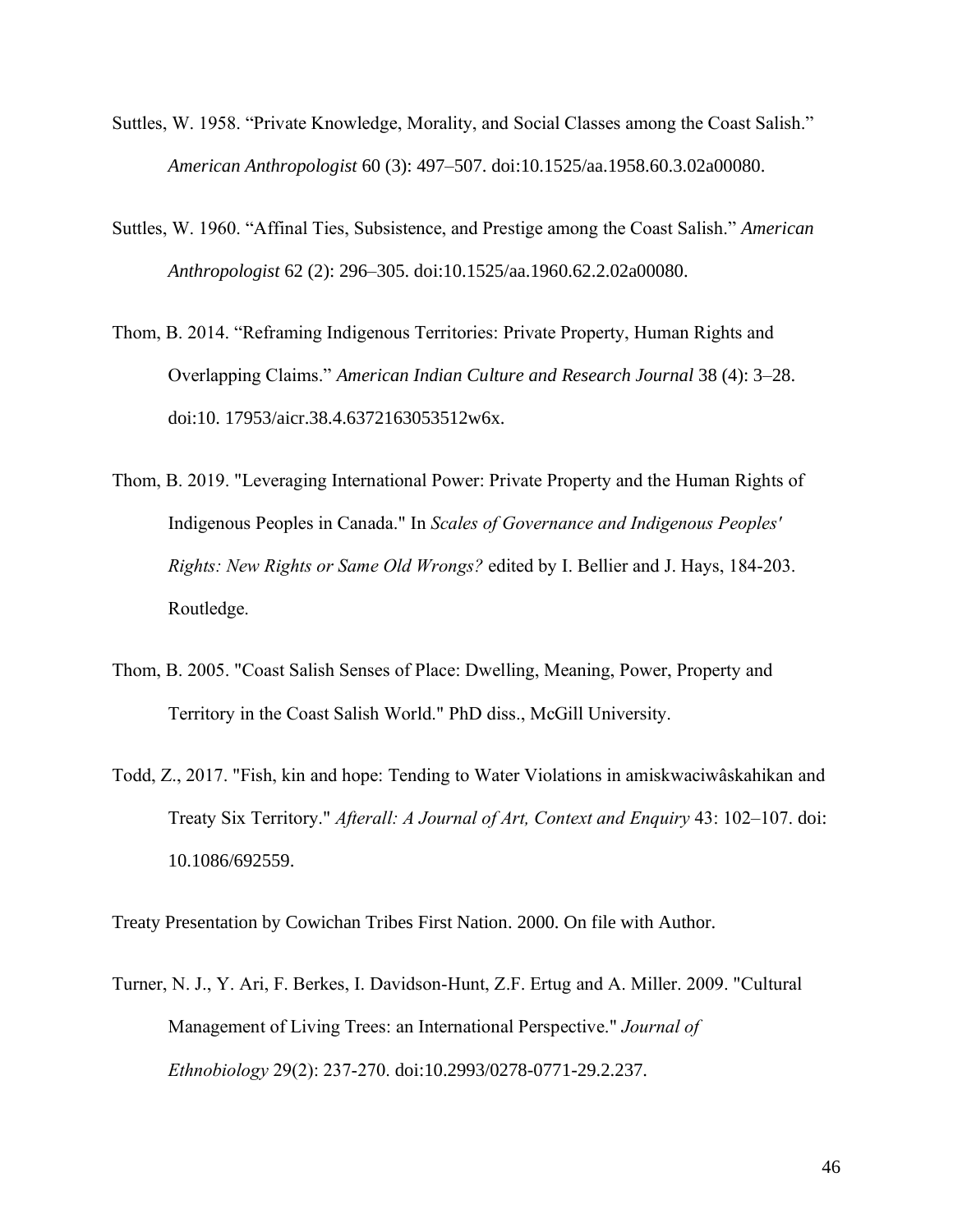- Suttles, W. 1958. "Private Knowledge, Morality, and Social Classes among the Coast Salish." *American Anthropologist* 60 (3): 497–507. doi:10.1525/aa.1958.60.3.02a00080.
- Suttles, W. 1960. "Affinal Ties, Subsistence, and Prestige among the Coast Salish." *American Anthropologist* 62 (2): 296–305. doi:10.1525/aa.1960.62.2.02a00080.
- Thom, B. 2014. "Reframing Indigenous Territories: Private Property, Human Rights and Overlapping Claims." *American Indian Culture and Research Journal* 38 (4): 3–28. doi:10. 17953/aicr.38.4.6372163053512w6x.
- Thom, B. 2019. "Leveraging International Power: Private Property and the Human Rights of Indigenous Peoples in Canada." In *Scales of Governance and Indigenous Peoples' Rights: New Rights or Same Old Wrongs?* edited by I. Bellier and J. Hays, 184-203. Routledge.
- Thom, B. 2005. "Coast Salish Senses of Place: Dwelling, Meaning, Power, Property and Territory in the Coast Salish World." PhD diss., McGill University.
- Todd, Z., 2017. "Fish, kin and hope: Tending to Water Violations in amiskwaciwâskahikan and Treaty Six Territory." *Afterall: A Journal of Art, Context and Enquiry* 43: 102–107. doi: 10.1086/692559.

Treaty Presentation by Cowichan Tribes First Nation. 2000. On file with Author.

Turner, N. J., Y. Ari, F. Berkes, I. Davidson-Hunt, Z.F. Ertug and A. Miller. 2009. "Cultural Management of Living Trees: an International Perspective." *Journal of Ethnobiology* 29(2): 237-270. doi:10.2993/0278-0771-29.2.237.